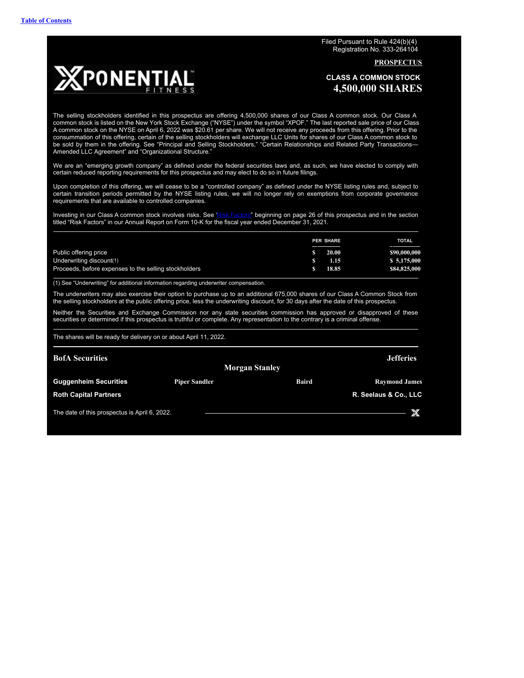Filed Pursuant to Rule 424(b)(4) Registration No. 333-264104

**PROSPECTUS**

<span id="page-0-0"></span>

**CLASS A COMMON STOCK 4,500,000 SHARES**

The selling stockholders identified in this prospectus are offering 4,500,000 shares of our Class A common stock. Our Class A common stock is listed on the New York Stock Exchange ("NYSE") under the symbol "XPOF." The last reported sale price of our Class A common stock on the NYSE on April 6, 2022 was \$20.61 per share. We will not receive any proceeds from this offering. Prior to the consummation of this offering, certain of the selling stockholders will exchange LLC Units for shares of our Class A common stock to be sold by them in the offering. See "Principal and Selling Stockholders," "Certain Relationships and Related Party Transactions— Amended LLC Agreement" and "Organizational Structure."

We are an "emerging growth company" as defined under the federal securities laws and, as such, we have elected to comply with certain reduced reporting requirements for this prospectus and may elect to do so in future filings.

Upon completion of this offering, we will cease to be a "controlled company" as defined under the NYSE listing rules and, subject to certain transition periods permitted by the NYSE listing rules, we will no longer rely on exemptions from corporate governance requirements that are available to controlled companies.

Investing in our Class A common stock involves risks. See "Risk [Factors](#page-27-0)" beginning on page 26 of this prospectus and in the section titled "Risk Factors" in our Annual Report on Form 10-K for the fiscal year ended December 31, 2021.

|                                                       | <b>PER SHARE</b> | <b>TOTAL</b> |
|-------------------------------------------------------|------------------|--------------|
| Public offering price                                 | 20.00            | \$90,000,000 |
| Underwriting discount(1)                              | 1.15             | \$5,175,000  |
| Proceeds, before expenses to the selling stockholders | 18.85            | \$84,825,000 |

(1) See "Underwriting" for additional information regarding underwriter compensation.

The underwriters may also exercise their option to purchase up to an additional 675,000 shares of our Class A Common Stock from the selling stockholders at the public offering price, less the underwriting discount, for 30 days after the date of this prospectus.

Neither the Securities and Exchange Commission nor any state securities commission has approved or disapproved of these securities or determined if this prospectus is truthful or complete. Any representation to the contrary is a criminal offense.

The shares will be ready for delivery on or about April 11, 2022.

| <b>BofA</b> Securities                        |                       |              | <b>Jefferies</b>      |
|-----------------------------------------------|-----------------------|--------------|-----------------------|
|                                               | <b>Morgan Stanley</b> |              |                       |
| <b>Guggenheim Securities</b>                  | <b>Piper Sandler</b>  | <b>Baird</b> | <b>Raymond James</b>  |
| <b>Roth Capital Partners</b>                  |                       |              | R. Seelaus & Co., LLC |
| The date of this prospectus is April 6, 2022. |                       |              |                       |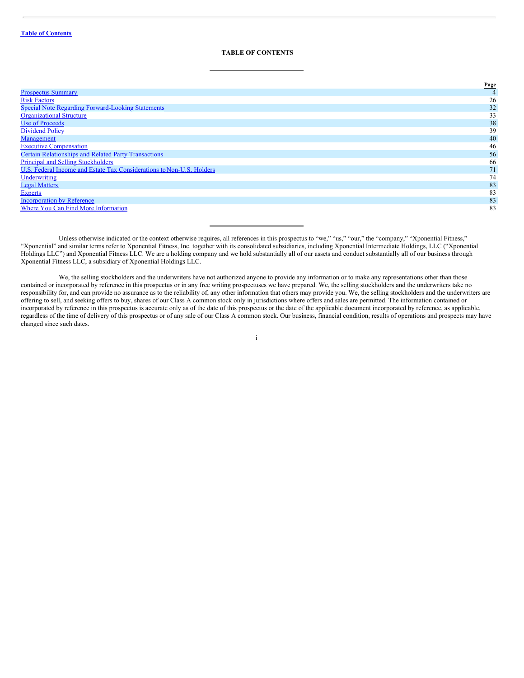# <span id="page-1-0"></span>**TABLE OF CONTENTS**

|                                                                       | Page |
|-----------------------------------------------------------------------|------|
| <b>Prospectus Summary</b>                                             |      |
| <b>Risk Factors</b>                                                   | 26   |
| <b>Special Note Regarding Forward-Looking Statements</b>              | 32   |
| <b>Organizational Structure</b>                                       | 33   |
| <b>Use of Proceeds</b>                                                | 38   |
| <b>Dividend Policy</b>                                                | 39   |
| Management                                                            | 40   |
| <b>Executive Compensation</b>                                         | 46   |
| <b>Certain Relationships and Related Party Transactions</b>           | 56   |
| <b>Principal and Selling Stockholders</b>                             | 66   |
| U.S. Federal Income and Estate Tax Considerations to Non-U.S. Holders | 71   |
| Underwriting                                                          | 74   |
| <b>Legal Matters</b>                                                  | 83   |
| <b>Experts</b>                                                        | 83   |
| <b>Incorporation by Reference</b>                                     | 83   |
| Where You Can Find More Information                                   | 83   |

Unless otherwise indicated or the context otherwise requires, all references in this prospectus to "we," "us," "our," the "company," "Xponential Fitness," "Xponential" and similar terms refer to Xponential Fitness, Inc. together with its consolidated subsidiaries, including Xponential Intermediate Holdings, LLC ("Xponential Holdings LLC") and Xponential Fitness LLC. We are a holding company and we hold substantially all of our assets and conduct substantially all of our business through Xponential Fitness LLC, a subsidiary of Xponential Holdings LLC.

We, the selling stockholders and the underwriters have not authorized anyone to provide any information or to make any representations other than those contained or incorporated by reference in this prospectus or in any free writing prospectuses we have prepared. We, the selling stockholders and the underwriters take no responsibility for, and can provide no assurance as to the reliability of, any other information that others may provide you. We, the selling stockholders and the underwriters are offering to sell, and seeking offers to buy, shares of our Class A common stock only in jurisdictions where offers and sales are permitted. The information contained or incorporated by reference in this prospectus is accurate only as of the date of this prospectus or the date of the applicable document incorporated by reference, as applicable, regardless of the time of delivery of this prospectus or of any sale of our Class A common stock. Our business, financial condition, results of operations and prospects may have changed since such dates.

i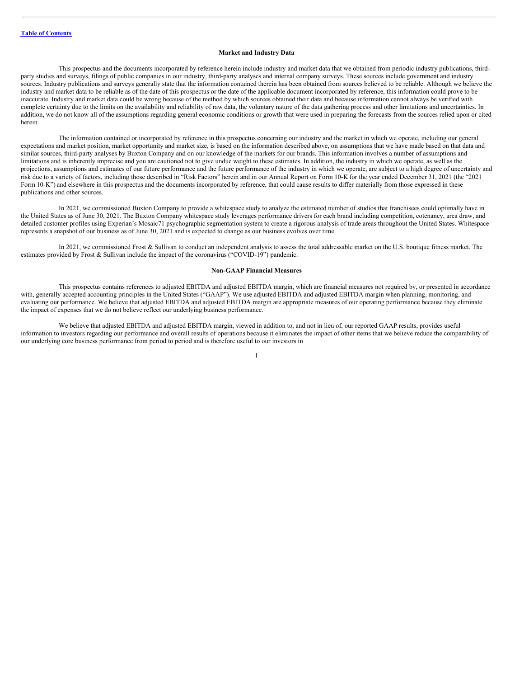# **Market and Industry Data**

This prospectus and the documents incorporated by reference herein include industry and market data that we obtained from periodic industry publications, thirdparty studies and surveys, filings of public companies in our industry, third-party analyses and internal company surveys. These sources include government and industry sources. Industry publications and surveys generally state that the information contained therein has been obtained from sources believed to be reliable. Although we believe the industry and market data to be reliable as of the date of this prospectus or the date of the applicable document incorporated by reference, this information could prove to be inaccurate. Industry and market data could be wrong because of the method by which sources obtained their data and because information cannot always be verified with complete certainty due to the limits on the availability and reliability of raw data, the voluntary nature of the data gathering process and other limitations and uncertainties. In addition, we do not know all of the assumptions regarding general economic conditions or growth that were used in preparing the forecasts from the sources relied upon or cited herein.

The information contained or incorporated by reference in this prospectus concerning our industry and the market in which we operate, including our general expectations and market position, market opportunity and market size, is based on the information described above, on assumptions that we have made based on that data and similar sources, third-party analyses by Buxton Company and on our knowledge of the markets for our brands. This information involves a number of assumptions and limitations and is inherently imprecise and you are cautioned not to give undue weight to these estimates. In addition, the industry in which we operate, as well as the projections, assumptions and estimates of our future performance and the future performance of the industry in which we operate, are subject to a high degree of uncertainty and risk due to a variety of factors, including those described in "Risk Factors" herein and in our Annual Report on Form 10-K for the year ended December 31, 2021 (the "2021 Form 10-K") and elsewhere in this prospectus and the documents incorporated by reference, that could cause results to differ materially from those expressed in these publications and other sources.

In 2021, we commissioned Buxton Company to provide a whitespace study to analyze the estimated number of studios that franchisees could optimally have in the United States as of June 30, 2021. The Buxton Company whitespace study leverages performance drivers for each brand including competition, cotenancy, area draw, and detailed customer profiles using Experian's Mosaic71 psychographic segmentation system to create a rigorous analysis of trade areas throughout the United States. Whitespace represents a snapshot of our business as of June 30, 2021 and is expected to change as our business evolves over time.

In 2021, we commissioned Frost & Sullivan to conduct an independent analysis to assess the total addressable market on the U.S. boutique fitness market. The estimates provided by Frost & Sullivan include the impact of the coronavirus ("COVID-19") pandemic.

#### **Non-GAAP Financial Measures**

This prospectus contains references to adjusted EBITDA and adjusted EBITDA margin, which are financial measures not required by, or presented in accordance with, generally accepted accounting principles in the United States ("GAAP"). We use adjusted EBITDA and adjusted EBITDA margin when planning, monitoring, and evaluating our performance. We believe that adjusted EBITDA and adjusted EBITDA margin are appropriate measures of our operating performance because they eliminate the impact of expenses that we do not believe reflect our underlying business performance.

We believe that adjusted EBITDA and adjusted EBITDA margin, viewed in addition to, and not in lieu of, our reported GAAP results, provides useful information to investors regarding our performance and overall results of operations because it eliminates the impact of other items that we believe reduce the comparability of our underlying core business performance from period to period and is therefore useful to our investors in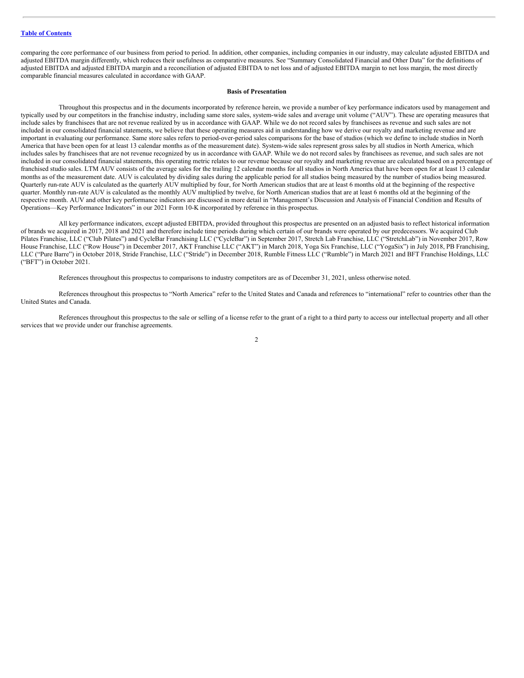comparing the core performance of our business from period to period. In addition, other companies, including companies in our industry, may calculate adjusted EBITDA and adjusted EBITDA margin differently, which reduces their usefulness as comparative measures. See "Summary Consolidated Financial and Other Data" for the definitions of adjusted EBITDA and adjusted EBITDA margin and a reconciliation of adjusted EBITDA to net loss and of adjusted EBITDA margin to net loss margin, the most directly comparable financial measures calculated in accordance with GAAP.

### **Basis of Presentation**

Throughout this prospectus and in the documents incorporated by reference herein, we provide a number of key performance indicators used by management and typically used by our competitors in the franchise industry, including same store sales, system-wide sales and average unit volume ("AUV"). These are operating measures that include sales by franchisees that are not revenue realized by us in accordance with GAAP. While we do not record sales by franchisees as revenue and such sales are not included in our consolidated financial statements, we believe that these operating measures aid in understanding how we derive our royalty and marketing revenue and are important in evaluating our performance. Same store sales refers to period-over-period sales comparisons for the base of studios (which we define to include studios in North America that have been open for at least 13 calendar months as of the measurement date). System-wide sales represent gross sales by all studios in North America, which includes sales by franchisees that are not revenue recognized by us in accordance with GAAP. While we do not record sales by franchisees as revenue, and such sales are not included in our consolidated financial statements, this operating metric relates to our revenue because our royalty and marketing revenue are calculated based on a percentage of franchised studio sales. LTM AUV consists of the average sales for the trailing 12 calendar months for all studios in North America that have been open for at least 13 calendar months as of the measurement date. AUV is calculated by dividing sales during the applicable period for all studios being measured by the number of studios being measured. Quarterly run-rate AUV is calculated as the quarterly AUV multiplied by four, for North American studios that are at least 6 months old at the beginning of the respective quarter. Monthly run-rate AUV is calculated as the monthly AUV multiplied by twelve, for North American studios that are at least 6 months old at the beginning of the respective month. AUV and other key performance indicators are discussed in more detail in "Management's Discussion and Analysis of Financial Condition and Results of Operations—Key Performance Indicators" in our 2021 Form 10-K incorporated by reference in this prospectus.

All key performance indicators, except adjusted EBITDA, provided throughout this prospectus are presented on an adjusted basis to reflect historical information of brands we acquired in 2017, 2018 and 2021 and therefore include time periods during which certain of our brands were operated by our predecessors. We acquired Club Pilates Franchise, LLC ("Club Pilates") and CycleBar Franchising LLC ("CycleBar") in September 2017, Stretch Lab Franchise, LLC ("StretchLab") in November 2017, Row House Franchise, LLC ("Row House") in December 2017, AKT Franchise LLC ("AKT") in March 2018, Yoga Six Franchise, LLC ("YogaSix") in July 2018, PB Franchising, LLC ("Pure Barre") in October 2018, Stride Franchise, LLC ("Stride") in December 2018, Rumble Fitness LLC ("Rumble") in March 2021 and BFT Franchise Holdings, LLC ("BFT") in October 2021.

References throughout this prospectus to comparisons to industry competitors are as of December 31, 2021, unless otherwise noted.

References throughout this prospectus to "North America" refer to the United States and Canada and references to "international" refer to countries other than the United States and Canada.

References throughout this prospectus to the sale or selling of a license refer to the grant of a right to a third party to access our intellectual property and all other services that we provide under our franchise agreements.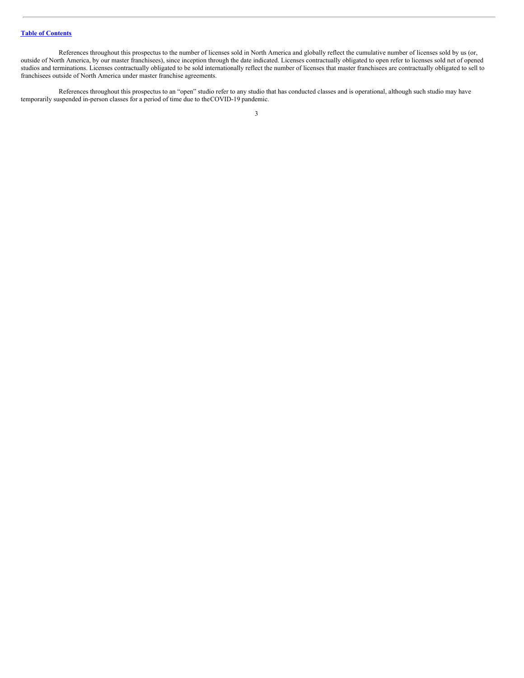References throughout this prospectus to the number of licenses sold in North America and globally reflect the cumulative number of licenses sold by us (or, outside of North America, by our master franchisees), since inception through the date indicated. Licenses contractually obligated to open refer to licenses sold net of opened studios and terminations. Licenses contractually obligated to be sold internationally reflect the number of licenses that master franchisees are contractually obligated to sell to franchisees outside of North America under master franchise agreements.

References throughout this prospectus to an "open" studio refer to any studio that has conducted classes and is operational, although such studio may have temporarily suspended in-person classes for a period of time due to theCOVID-19 pandemic.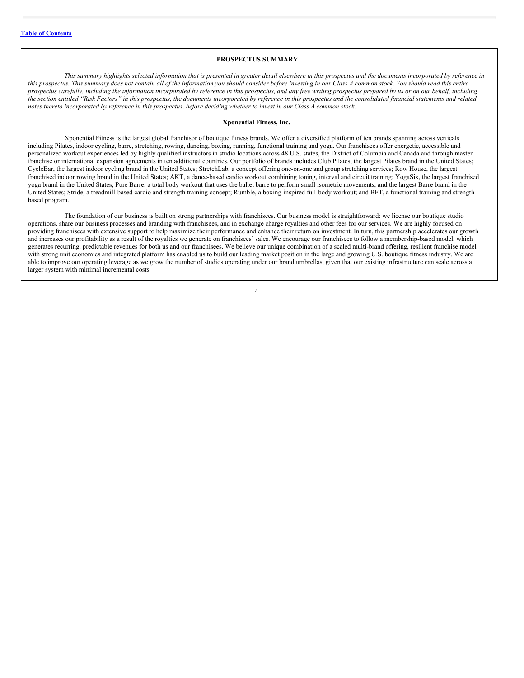### <span id="page-5-0"></span>**PROSPECTUS SUMMARY**

This summary highlights selected information that is presented in greater detail elsewhere in this prospectus and the documents incorporated by reference in this prospectus. This summary does not contain all of the information you should consider before investing in our Class A common stock. You should read this entire prospectus carefully, including the information incorporated by reference in this prospectus, and any free writing prospectus prepared by us or on our behalf, including the section entitled "Risk Factors" in this prospectus, the documents incorporated by reference in this prospectus and the consolidated financial statements and related notes thereto incorporated by reference in this prospectus, before deciding whether to invest in our Class A common stock.

### **Xponential Fitness, Inc.**

Xponential Fitness is the largest global franchisor of boutique fitness brands. We offer a diversified platform of ten brands spanning across verticals including Pilates, indoor cycling, barre, stretching, rowing, dancing, boxing, running, functional training and yoga. Our franchisees offer energetic, accessible and personalized workout experiences led by highly qualified instructors in studio locations across 48 U.S. states, the District of Columbia and Canada and through master franchise or international expansion agreements in ten additional countries. Our portfolio of brands includes Club Pilates, the largest Pilates brand in the United States; CycleBar, the largest indoor cycling brand in the United States; StretchLab, a concept offering one-on-one and group stretching services; Row House, the largest franchised indoor rowing brand in the United States; AKT, a dance-based cardio workout combining toning, interval and circuit training; YogaSix, the largest franchised yoga brand in the United States; Pure Barre, a total body workout that uses the ballet barre to perform small isometric movements, and the largest Barre brand in the United States; Stride, a treadmill-based cardio and strength training concept; Rumble, a boxing-inspired full-body workout; and BFT, a functional training and strengthbased program.

The foundation of our business is built on strong partnerships with franchisees. Our business model is straightforward: we license our boutique studio operations, share our business processes and branding with franchisees, and in exchange charge royalties and other fees for our services. We are highly focused on providing franchisees with extensive support to help maximize their performance and enhance their return on investment. In turn, this partnership accelerates our growth and increases our profitability as a result of the royalties we generate on franchisees' sales. We encourage our franchisees to follow a membership-based model, which generates recurring, predictable revenues for both us and our franchisees. We believe our unique combination of a scaled multi-brand offering, resilient franchise model with strong unit economics and integrated platform has enabled us to build our leading market position in the large and growing U.S. boutique fitness industry. We are able to improve our operating leverage as we grow the number of studios operating under our brand umbrellas, given that our existing infrastructure can scale across a larger system with minimal incremental costs.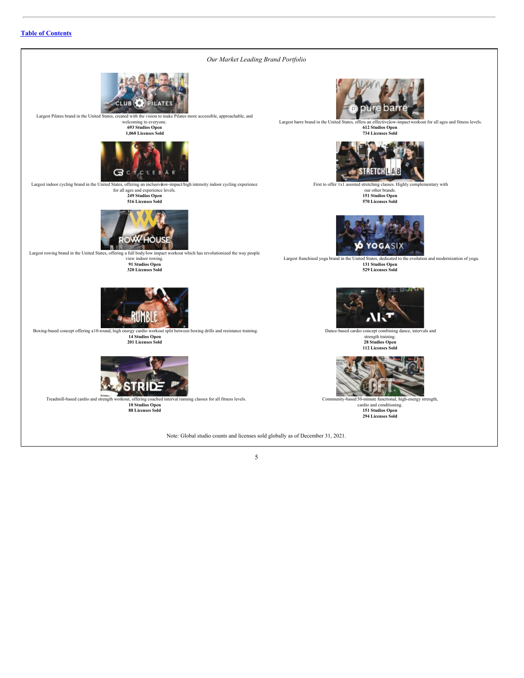# **Table of [Contents](#page-1-0)**

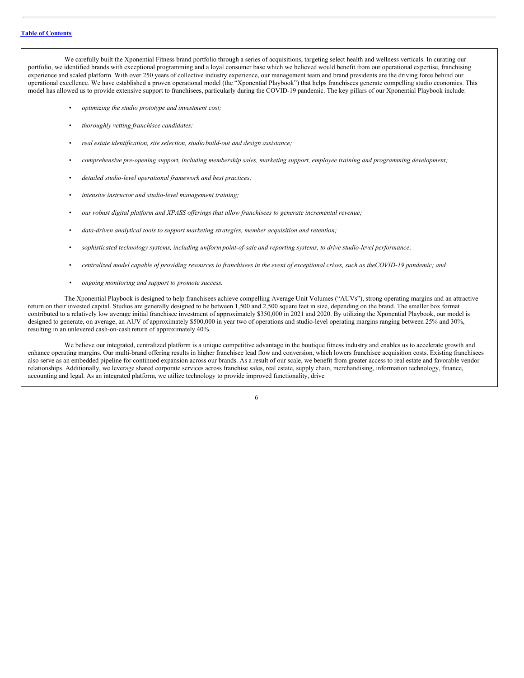We carefully built the Xponential Fitness brand portfolio through a series of acquisitions, targeting select health and wellness verticals. In curating our portfolio, we identified brands with exceptional programming and a loyal consumer base which we believed would benefit from our operational expertise, franchising experience and scaled platform. With over 250 years of collective industry experience, our management team and brand presidents are the driving force behind our operational excellence. We have established a proven operational model (the "Xponential Playbook") that helps franchisees generate compelling studio economics. This model has allowed us to provide extensive support to franchisees, particularly during the COVID-19 pandemic. The key pillars of our Xponential Playbook include:

- *optimizing the studio prototype and investment cost;*
- *thoroughly vetting franchisee candidates;*
- *real estate identification, site selection, studio build-out and design assistance;*
- *comprehensive pre-opening support, including membership sales, marketing support, employee training and programming development;*
- *detailed studio-level operational framework and best practices;*
- *intensive instructor and studio-level management training;*
- *our robust digital platform and XPASS of erings that allow franchisees to generate incremental revenue;*
- *data-driven analytical tools to support marketing strategies, member acquisition and retention;*
- *sophisticated technology systems, including uniform point-of-sale and reporting systems, to drive studio-level performance;*
- centralized model capable of providing resources to franchisees in the event of exceptional crises, such as the COVID-19 pandemic; and
- *• ongoing monitoring and support to promote success.*

The Xponential Playbook is designed to help franchisees achieve compelling Average Unit Volumes ("AUVs"), strong operating margins and an attractive return on their invested capital. Studios are generally designed to be between 1,500 and 2,500 square feet in size, depending on the brand. The smaller box format contributed to a relatively low average initial franchisee investment of approximately \$350,000 in 2021 and 2020. By utilizing the Xponential Playbook, our model is designed to generate, on average, an AUV of approximately \$500,000 in year two of operations and studio-level operating margins ranging between 25% and 30%, resulting in an unlevered cash-on-cash return of approximately 40%.

We believe our integrated, centralized platform is a unique competitive advantage in the boutique fitness industry and enables us to accelerate growth and enhance operating margins. Our multi-brand offering results in higher franchisee lead flow and conversion, which lowers franchisee acquisition costs. Existing franchisees also serve as an embedded pipeline for continued expansion across our brands. As a result of our scale, we benefit from greater access to real estate and favorable vendor relationships. Additionally, we leverage shared corporate services across franchise sales, real estate, supply chain, merchandising, information technology, finance, accounting and legal. As an integrated platform, we utilize technology to provide improved functionality, drive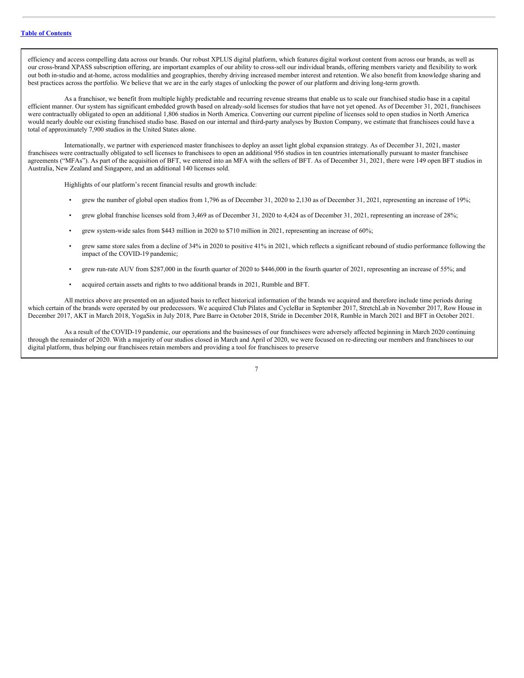efficiency and access compelling data across our brands. Our robust XPLUS digital platform, which features digital workout content from across our brands, as well as our cross-brand XPASS subscription offering, are important examples of our ability to cross-sell our individual brands, offering members variety and flexibility to work out both in-studio and at-home, across modalities and geographies, thereby driving increased member interest and retention. We also benefit from knowledge sharing and best practices across the portfolio. We believe that we are in the early stages of unlocking the power of our platform and driving long-term growth.

As a franchisor, we benefit from multiple highly predictable and recurring revenue streams that enable us to scale our franchised studio base in a capital efficient manner. Our system has significant embedded growth based on already-sold licenses for studios that have not yet opened. As of December 31, 2021, franchisees were contractually obligated to open an additional 1,806 studios in North America. Converting our current pipeline of licenses sold to open studios in North America would nearly double our existing franchised studio base. Based on our internal and third-party analyses by Buxton Company, we estimate that franchisees could have a total of approximately 7,900 studios in the United States alone.

Internationally, we partner with experienced master franchisees to deploy an asset light global expansion strategy. As of December 31, 2021, master franchisees were contractually obligated to sell licenses to franchisees to open an additional 956 studios in ten countries internationally pursuant to master franchisee agreements ("MFAs"). As part of the acquisition of BFT, we entered into an MFA with the sellers of BFT. As of December 31, 2021, there were 149 open BFT studios in Australia, New Zealand and Singapore, and an additional 140 licenses sold.

Highlights of our platform's recent financial results and growth include:

- grew the number of global open studios from 1,796 as of December 31, 2020 to 2,130 as of December 31, 2021, representing an increase of 19%;
- grew global franchise licenses sold from 3,469 as of December 31, 2020 to 4,424 as of December 31, 2021, representing an increase of 28%;
- grew system-wide sales from \$443 million in 2020 to \$710 million in 2021, representing an increase of 60%;
- grew same store sales from a decline of 34% in 2020 to positive 41% in 2021, which reflects a significant rebound of studio performance following the impact of the COVID-19 pandemic;
- grew run-rate AUV from \$287,000 in the fourth quarter of 2020 to \$446,000 in the fourth quarter of 2021, representing an increase of 55%; and
- acquired certain assets and rights to two additional brands in 2021, Rumble and BFT.

All metrics above are presented on an adjusted basis to reflect historical information of the brands we acquired and therefore include time periods during which certain of the brands were operated by our predecessors. We acquired Club Pilates and CycleBar in September 2017, StretchLab in November 2017, Row House in December 2017, AKT in March 2018, YogaSix in July 2018, Pure Barre in October 2018, Stride in December 2018, Rumble in March 2021 and BFT in October 2021.

As a result of the COVID-19 pandemic, our operations and the businesses of our franchisees were adversely affected beginning in March 2020 continuing through the remainder of 2020. With a majority of our studios closed in March and April of 2020, we were focused on re-directing our members and franchisees to our digital platform, thus helping our franchisees retain members and providing a tool for franchisees to preserve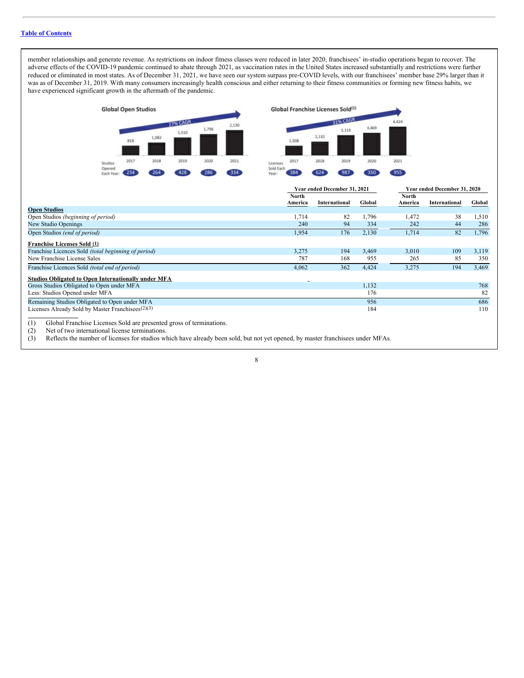# **Table of [Contents](#page-1-0)**

member relationships and generate revenue. As restrictions on indoor fitness classes were reduced in later 2020, franchisees' in-studio operations began to recover. The adverse effects of the COVID-19 pandemic continued to abate through 2021, as vaccination rates in the United States increased substantially and restrictions were further reduced or eliminated in most states. As of December 31, 2021, we have seen our system surpass pre-COVID levels, with our franchisees' member base 29% larger than it was as of December 31, 2019. With many consumers increasingly health conscious and either returning to their fitness communities or forming new fitness habits, we have experienced significant growth in the aftermath of the pandemic.



(2) Net of two international license terminations.

(3) Reflects the number of licenses for studios which have already been sold, but not yet opened, by master franchisees under MFAs.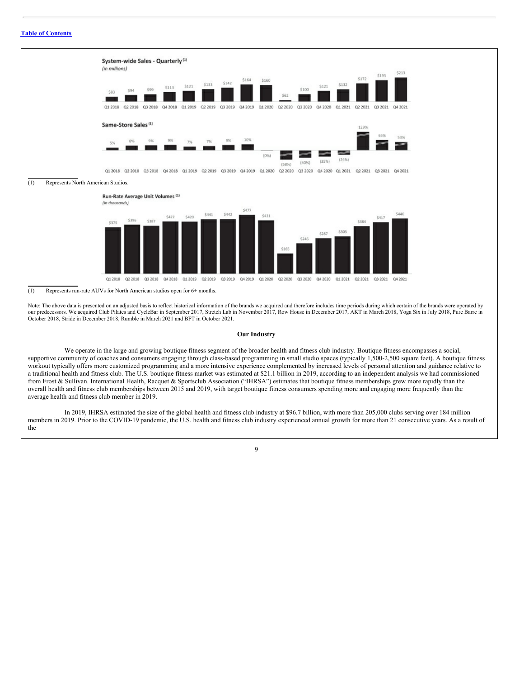# **Table of [Contents](#page-1-0)**



Note: The above data is presented on an adjusted basis to reflect historical information of the brands we acquired and therefore includes time periods during which certain of the brands were operated by our predecessors. We acquired Club Pilates and CycleBar in September 2017, Stretch Lab in November 2017, Row House in December 2017, AKT in March 2018, Yoga Six in July 2018, Pure Barre in October 2018, Stride in December 2018, Rumble in March 2021 and BFT in October 2021.

### **Our Industry**

We operate in the large and growing boutique fitness segment of the broader health and fitness club industry. Boutique fitness encompasses a social, supportive community of coaches and consumers engaging through class-based programming in small studio spaces (typically 1,500-2,500 square feet). A boutique fitness workout typically offers more customized programming and a more intensive experience complemented by increased levels of personal attention and guidance relative to a traditional health and fitness club. The U.S. boutique fitness market was estimated at \$21.1 billion in 2019, according to an independent analysis we had commissioned from Frost & Sullivan. International Health, Racquet & Sportsclub Association ("IHRSA") estimates that boutique fitness memberships grew more rapidly than the overall health and fitness club memberships between 2015 and 2019, with target boutique fitness consumers spending more and engaging more frequently than the average health and fitness club member in 2019.

In 2019, IHRSA estimated the size of the global health and fitness club industry at \$96.7 billion, with more than 205,000 clubs serving over 184 million members in 2019. Prior to the COVID-19 pandemic, the U.S. health and fitness club industry experienced annual growth for more than 21 consecutive years. As a result of the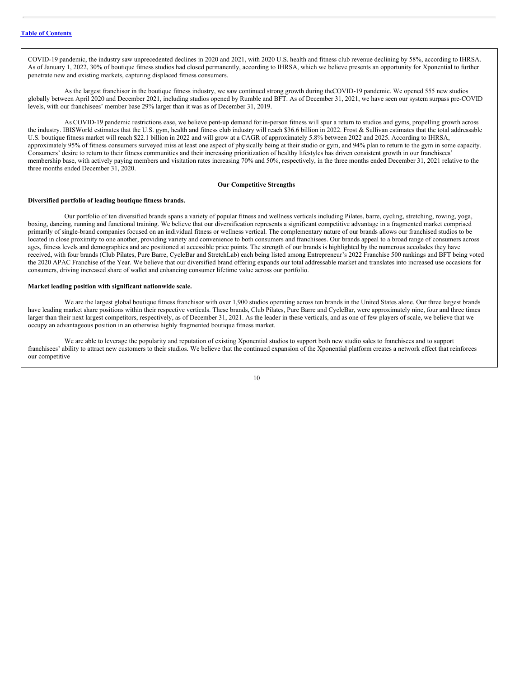COVID-19 pandemic, the industry saw unprecedented declines in 2020 and 2021, with 2020 U.S. health and fitness club revenue declining by 58%, according to IHRSA. As of January 1, 2022, 30% of boutique fitness studios had closed permanently, according to IHRSA, which we believe presents an opportunity for Xponential to further penetrate new and existing markets, capturing displaced fitness consumers.

As the largest franchisor in the boutique fitness industry, we saw continued strong growth during theCOVID-19 pandemic. We opened 555 new studios globally between April 2020 and December 2021, including studios opened by Rumble and BFT. As of December 31, 2021, we have seen our system surpass pre-COVID levels, with our franchisees' member base 29% larger than it was as of December 31, 2019.

As COVID-19 pandemic restrictions ease, we believe pent-up demand for in-person fitness will spur a return to studios and gyms, propelling growth across the industry. IBISWorld estimates that the U.S. gym, health and fitness club industry will reach \$36.6 billion in 2022. Frost & Sullivan estimates that the total addressable U.S. boutique fitness market will reach \$22.1 billion in 2022 and will grow at a CAGR of approximately 5.8% between 2022 and 2025. According to IHRSA, approximately 95% of fitness consumers surveyed miss at least one aspect of physically being at their studio or gym, and 94% plan to return to the gym in some capacity. Consumers' desire to return to their fitness communities and their increasing prioritization of healthy lifestyles has driven consistent growth in our franchisees' membership base, with actively paying members and visitation rates increasing 70% and 50%, respectively, in the three months ended December 31, 2021 relative to the three months ended December 31, 2020.

## **Our Competitive Strengths**

#### **Diversified portfolio of leading boutique fitness brands.**

Our portfolio of ten diversified brands spans a variety of popular fitness and wellness verticals including Pilates, barre, cycling, stretching, rowing, yoga, boxing, dancing, running and functional training. We believe that our diversification represents a significant competitive advantage in a fragmented market comprised primarily of single-brand companies focused on an individual fitness or wellness vertical. The complementary nature of our brands allows our franchised studios to be located in close proximity to one another, providing variety and convenience to both consumers and franchisees. Our brands appeal to a broad range of consumers across ages, fitness levels and demographics and are positioned at accessible price points. The strength of our brands is highlighted by the numerous accolades they have received, with four brands (Club Pilates, Pure Barre, CycleBar and StretchLab) each being listed among Entrepreneur's 2022 Franchise 500 rankings and BFT being voted the 2020 APAC Franchise of the Year. We believe that our diversified brand offering expands our total addressable market and translates into increased use occasions for consumers, driving increased share of wallet and enhancing consumer lifetime value across our portfolio.

# **Market leading position with significant nationwide scale.**

We are the largest global boutique fitness franchisor with over 1,900 studios operating across ten brands in the United States alone. Our three largest brands have leading market share positions within their respective verticals. These brands, Club Pilates, Pure Barre and CycleBar, were approximately nine, four and three times larger than their next largest competitors, respectively, as of December 31, 2021. As the leader in these verticals, and as one of few players of scale, we believe that we occupy an advantageous position in an otherwise highly fragmented boutique fitness market.

We are able to leverage the popularity and reputation of existing Xponential studios to support both new studio sales to franchisees and to support franchisees' ability to attract new customers to their studios. We believe that the continued expansion of the Xponential platform creates a network effect that reinforces our competitive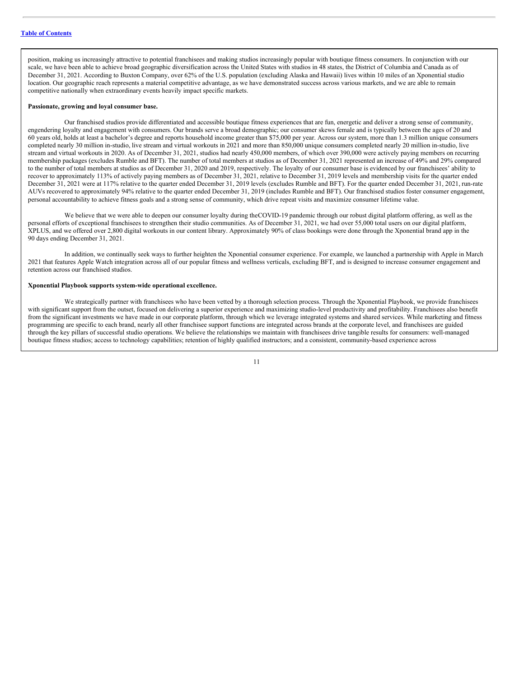position, making us increasingly attractive to potential franchisees and making studios increasingly popular with boutique fitness consumers. In conjunction with our scale, we have been able to achieve broad geographic diversification across the United States with studios in 48 states, the District of Columbia and Canada as of December 31, 2021. According to Buxton Company, over 62% of the U.S. population (excluding Alaska and Hawaii) lives within 10 miles of an Xponential studio location. Our geographic reach represents a material competitive advantage, as we have demonstrated success across various markets, and we are able to remain competitive nationally when extraordinary events heavily impact specific markets.

# **Passionate, growing and loyal consumer base.**

Our franchised studios provide differentiated and accessible boutique fitness experiences that are fun, energetic and deliver a strong sense of community, engendering loyalty and engagement with consumers. Our brands serve a broad demographic; our consumer skews female and is typically between the ages of 20 and 60 years old, holds at least a bachelor's degree and reports household income greater than \$75,000 per year. Across our system, more than 1.3 million unique consumers completed nearly 30 million in-studio, live stream and virtual workouts in 2021 and more than 850,000 unique consumers completed nearly 20 million in-studio, live stream and virtual workouts in 2020. As of December 31, 2021, studios had nearly 450,000 members, of which over 390,000 were actively paying members on recurring membership packages (excludes Rumble and BFT). The number of total members at studios as of December 31, 2021 represented an increase of 49% and 29% compared to the number of total members at studios as of December 31, 2020 and 2019, respectively. The loyalty of our consumer base is evidenced by our franchisees' ability to recover to approximately 113% of actively paying members as of December 31, 2021, relative to December 31, 2019 levels and membership visits for the quarter ended December 31, 2021 were at 117% relative to the quarter ended December 31, 2019 levels (excludes Rumble and BFT). For the quarter ended December 31, 2021, run-rate AUVs recovered to approximately 94% relative to the quarter ended December 31, 2019 (includes Rumble and BFT). Our franchised studios foster consumer engagement, personal accountability to achieve fitness goals and a strong sense of community, which drive repeat visits and maximize consumer lifetime value.

We believe that we were able to deepen our consumer loyalty during the COVID-19 pandemic through our robust digital platform offering, as well as the personal efforts of exceptional franchisees to strengthen their studio communities. As of December 31, 2021, we had over 55,000 total users on our digital platform, XPLUS, and we offered over 2,800 digital workouts in our content library. Approximately 90% of class bookings were done through the Xponential brand app in the 90 days ending December 31, 2021.

In addition, we continually seek ways to further heighten the Xponential consumer experience. For example, we launched a partnership with Apple in March 2021 that features Apple Watch integration across all of our popular fitness and wellness verticals, excluding BFT, and is designed to increase consumer engagement and retention across our franchised studios.

## **Xponential Playbook supports system-wide operational excellence.**

We strategically partner with franchisees who have been vetted by a thorough selection process. Through the Xponential Playbook, we provide franchisees with significant support from the outset, focused on delivering a superior experience and maximizing studio-level productivity and profitability. Franchisees also benefit from the significant investments we have made in our corporate platform, through which we leverage integrated systems and shared services. While marketing and fitness programming are specific to each brand, nearly all other franchisee support functions are integrated across brands at the corporate level, and franchisees are guided through the key pillars of successful studio operations. We believe the relationships we maintain with franchisees drive tangible results for consumers: well-managed boutique fitness studios; access to technology capabilities; retention of highly qualified instructors; and a consistent, community-based experience across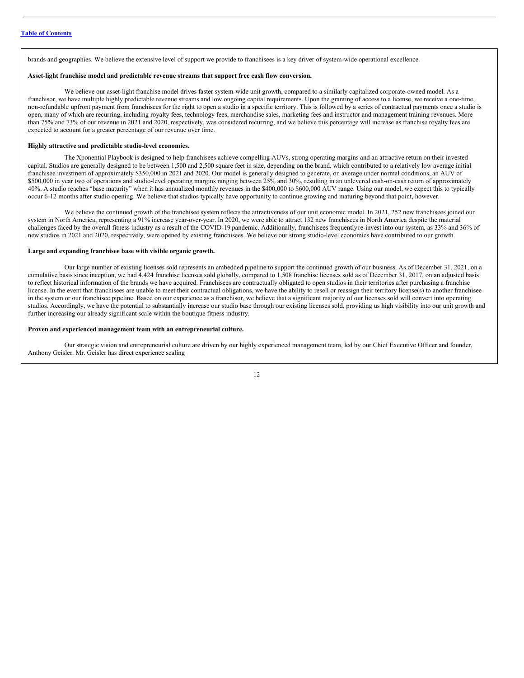brands and geographies. We believe the extensive level of support we provide to franchisees is a key driver of system-wide operational excellence.

### **Asset-light franchise model and predictable revenue streams that support free cash flow conversion.**

We believe our asset-light franchise model drives faster system-wide unit growth, compared to a similarly capitalized corporate-owned model. As a franchisor, we have multiple highly predictable revenue streams and low ongoing capital requirements. Upon the granting of access to a license, we receive a one-time, non-refundable upfront payment from franchisees for the right to open a studio in a specific territory. This is followed by a series of contractual payments once a studio is open, many of which are recurring, including royalty fees, technology fees, merchandise sales, marketing fees and instructor and management training revenues. More than 75% and 73% of our revenue in 2021 and 2020, respectively, was considered recurring, and we believe this percentage will increase as franchise royalty fees are expected to account for a greater percentage of our revenue over time.

#### **Highly attractive and predictable studio-level economics.**

The Xponential Playbook is designed to help franchisees achieve compelling AUVs, strong operating margins and an attractive return on their invested capital. Studios are generally designed to be between 1,500 and 2,500 square feet in size, depending on the brand, which contributed to a relatively low average initial franchisee investment of approximately \$350,000 in 2021 and 2020. Our model is generally designed to generate, on average under normal conditions, an AUV of \$500,000 in year two of operations and studio-level operating margins ranging between 25% and 30%, resulting in an unlevered cash-on-cash return of approximately 40%. A studio reaches "base maturity" when it has annualized monthly revenues in the \$400,000 to \$600,000 AUV range. Using our model, we expect this to typically occur 6-12 months after studio opening. We believe that studios typically have opportunity to continue growing and maturing beyond that point, however.

We believe the continued growth of the franchisee system reflects the attractiveness of our unit economic model. In 2021, 252 new franchisees joined our system in North America, representing a 91% increase year-over-year. In 2020, we were able to attract 132 new franchisees in North America despite the material challenges faced by the overall fitness industry as a result of the COVID-19 pandemic. Additionally, franchisees frequentlyre-invest into our system, as 33% and 36% of new studios in 2021 and 2020, respectively, were opened by existing franchisees. We believe our strong studio-level economics have contributed to our growth.

# **Large and expanding franchisee base with visible organic growth.**

Our large number of existing licenses sold represents an embedded pipeline to support the continued growth of our business. As of December 31, 2021, on a cumulative basis since inception, we had 4,424 franchise licenses sold globally, compared to 1,508 franchise licenses sold as of December 31, 2017, on an adjusted basis to reflect historical information of the brands we have acquired. Franchisees are contractually obligated to open studios in their territories after purchasing a franchise license. In the event that franchisees are unable to meet their contractual obligations, we have the ability to resell or reassign their territory license(s) to another franchisee in the system or our franchisee pipeline. Based on our experience as a franchisor, we believe that a significant majority of our licenses sold will convert into operating studios. Accordingly, we have the potential to substantially increase our studio base through our existing licenses sold, providing us high visibility into our unit growth and further increasing our already significant scale within the boutique fitness industry.

## **Proven and experienced management team with an entrepreneurial culture.**

Our strategic vision and entrepreneurial culture are driven by our highly experienced management team, led by our Chief Executive Officer and founder, Anthony Geisler. Mr. Geisler has direct experience scaling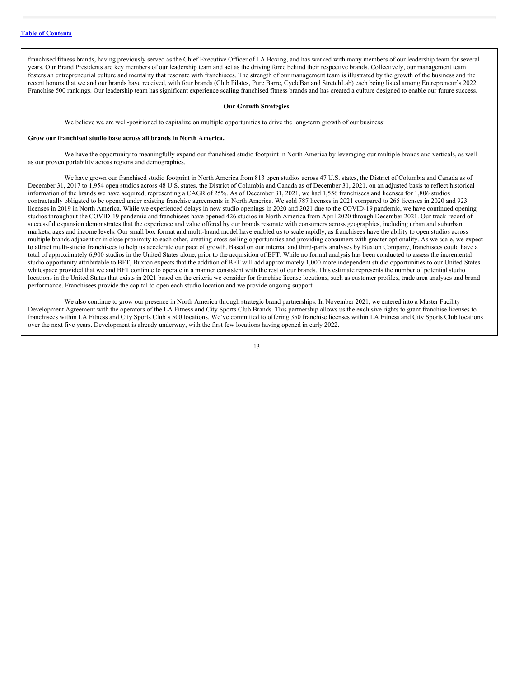franchised fitness brands, having previously served as the Chief Executive Officer of LA Boxing, and has worked with many members of our leadership team for several years. Our Brand Presidents are key members of our leadership team and act as the driving force behind their respective brands. Collectively, our management team fosters an entrepreneurial culture and mentality that resonate with franchisees. The strength of our management team is illustrated by the growth of the business and the recent honors that we and our brands have received, with four brands (Club Pilates, Pure Barre, CycleBar and StretchLab) each being listed among Entrepreneur's 2022 Franchise 500 rankings. Our leadership team has significant experience scaling franchised fitness brands and has created a culture designed to enable our future success.

#### **Our Growth Strategies**

We believe we are well-positioned to capitalize on multiple opportunities to drive the long-term growth of our business:

#### **Grow our franchised studio base across all brands in North America.**

We have the opportunity to meaningfully expand our franchised studio footprint in North America by leveraging our multiple brands and verticals, as well as our proven portability across regions and demographics.

We have grown our franchised studio footprint in North America from 813 open studios across 47 U.S. states, the District of Columbia and Canada as of December 31, 2017 to 1,954 open studios across 48 U.S. states, the District of Columbia and Canada as of December 31, 2021, on an adjusted basis to reflect historical information of the brands we have acquired, representing a CAGR of 25%. As of December 31, 2021, we had 1,556 franchisees and licenses for 1,806 studios contractually obligated to be opened under existing franchise agreements in North America. We sold 787 licenses in 2021 compared to 265 licenses in 2020 and 923 licenses in 2019 in North America. While we experienced delays in new studio openings in 2020 and 2021 due to the COVID-19 pandemic, we have continued opening studios throughout the COVID-19 pandemic and franchisees have opened 426 studios in North America from April 2020 through December 2021. Our track-record of successful expansion demonstrates that the experience and value offered by our brands resonate with consumers across geographies, including urban and suburban markets, ages and income levels. Our small box format and multi-brand model have enabled us to scale rapidly, as franchisees have the ability to open studios across multiple brands adjacent or in close proximity to each other, creating cross-selling opportunities and providing consumers with greater optionality. As we scale, we expect to attract multi-studio franchisees to help us accelerate our pace of growth. Based on our internal and third-party analyses by Buxton Company, franchisees could have a total of approximately 6,900 studios in the United States alone, prior to the acquisition of BFT. While no formal analysis has been conducted to assess the incremental studio opportunity attributable to BFT, Buxton expects that the addition of BFT will add approximately 1,000 more independent studio opportunities to our United States whitespace provided that we and BFT continue to operate in a manner consistent with the rest of our brands. This estimate represents the number of potential studio locations in the United States that exists in 2021 based on the criteria we consider for franchise license locations, such as customer profiles, trade area analyses and brand performance. Franchisees provide the capital to open each studio location and we provide ongoing support.

We also continue to grow our presence in North America through strategic brand partnerships. In November 2021, we entered into a Master Facility Development Agreement with the operators of the LA Fitness and City Sports Club Brands. This partnership allows us the exclusive rights to grant franchise licenses to franchisees within LA Fitness and City Sports Club's 500 locations. We've committed to offering 350 franchise licenses within LA Fitness and City Sports Club locations over the next five years. Development is already underway, with the first few locations having opened in early 2022.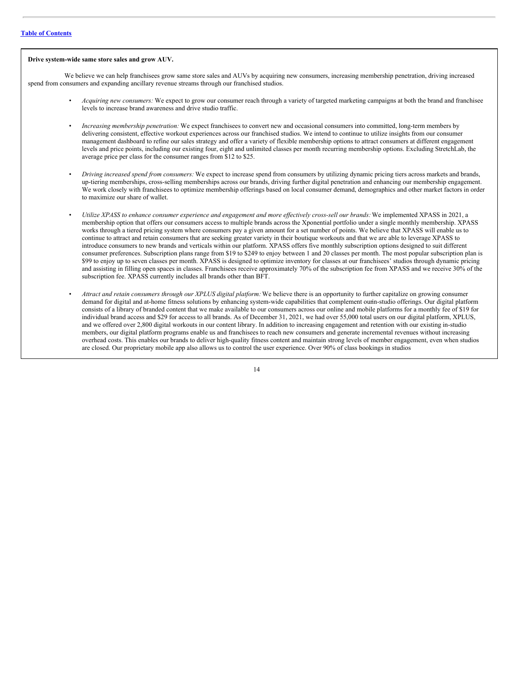#### **Drive system-wide same store sales and grow AUV.**

We believe we can help franchisees grow same store sales and AUVs by acquiring new consumers, increasing membership penetration, driving increased spend from consumers and expanding ancillary revenue streams through our franchised studios.

- *Acquiring new consumers:* We expect to grow our consumer reach through a variety of targeted marketing campaigns at both the brand and franchisee levels to increase brand awareness and drive studio traffic.
- *Increasing membership penetration:* We expect franchisees to convert new and occasional consumers into committed, long-term members by delivering consistent, effective workout experiences across our franchised studios. We intend to continue to utilize insights from our consumer management dashboard to refine our sales strategy and offer a variety of flexible membership options to attract consumers at different engagement levels and price points, including our existing four, eight and unlimited classes per month recurring membership options. Excluding StretchLab, the average price per class for the consumer ranges from \$12 to \$25.
- *Driving increased spend from consumers:* We expect to increase spend from consumers by utilizing dynamic pricing tiers across markets and brands, up-tiering memberships, cross-selling memberships across our brands, driving further digital penetration and enhancing our membership engagement. We work closely with franchisees to optimize membership offerings based on local consumer demand, demographics and other market factors in order to maximize our share of wallet.
- Utilize XPASS to enhance consumer experience and engagement and more effectively cross-sell our brands: We implemented XPASS in 2021, a membership option that offers our consumers access to multiple brands across the Xponential portfolio under a single monthly membership. XPASS works through a tiered pricing system where consumers pay a given amount for a set number of points. We believe that XPASS will enable us to continue to attract and retain consumers that are seeking greater variety in their boutique workouts and that we are able to leverage XPASS to introduce consumers to new brands and verticals within our platform. XPASS offers five monthly subscription options designed to suit different consumer preferences. Subscription plans range from \$19 to \$249 to enjoy between 1 and 20 classes per month. The most popular subscription plan is \$99 to enjoy up to seven classes per month. XPASS is designed to optimize inventory for classes at our franchisees' studios through dynamic pricing and assisting in filling open spaces in classes. Franchisees receive approximately 70% of the subscription fee from XPASS and we receive 30% of the subscription fee. XPASS currently includes all brands other than BFT.
- *Attract and retain consumers through our XPLUS digital platform:*We believe there is an opportunity to further capitalize on growing consumer demand for digital and at-home fitness solutions by enhancing system-wide capabilities that complement ourin-studio offerings. Our digital platform consists of a library of branded content that we make available to our consumers across our online and mobile platforms for a monthly fee of \$19 for individual brand access and \$29 for access to all brands. As of December 31, 2021, we had over 55,000 total users on our digital platform, XPLUS, and we offered over 2,800 digital workouts in our content library. In addition to increasing engagement and retention with our existing in-studio members, our digital platform programs enable us and franchisees to reach new consumers and generate incremental revenues without increasing overhead costs. This enables our brands to deliver high-quality fitness content and maintain strong levels of member engagement, even when studios are closed. Our proprietary mobile app also allows us to control the user experience. Over 90% of class bookings in studios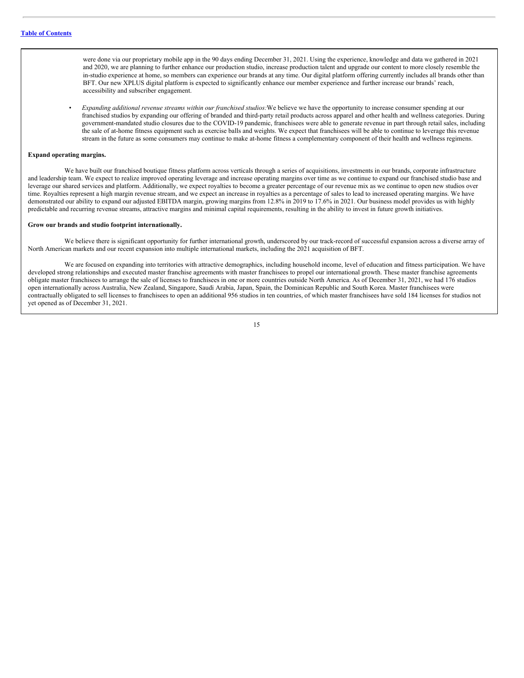were done via our proprietary mobile app in the 90 days ending December 31, 2021. Using the experience, knowledge and data we gathered in 2021 and 2020, we are planning to further enhance our production studio, increase production talent and upgrade our content to more closely resemble the in-studio experience at home, so members can experience our brands at any time. Our digital platform offering currently includes all brands other than BFT. Our new XPLUS digital platform is expected to significantly enhance our member experience and further increase our brands' reach, accessibility and subscriber engagement.

• *Expanding additional revenue streams within our franchised studios:*We believe we have the opportunity to increase consumer spending at our franchised studios by expanding our offering of branded and third-party retail products across apparel and other health and wellness categories. During government-mandated studio closures due to the COVID-19 pandemic, franchisees were able to generate revenue in part through retail sales, including the sale of at-home fitness equipment such as exercise balls and weights. We expect that franchisees will be able to continue to leverage this revenue stream in the future as some consumers may continue to make at-home fitness a complementary component of their health and wellness regimens.

#### **Expand operating margins.**

We have built our franchised boutique fitness platform across verticals through a series of acquisitions, investments in our brands, corporate infrastructure and leadership team. We expect to realize improved operating leverage and increase operating margins over time as we continue to expand our franchised studio base and leverage our shared services and platform. Additionally, we expect royalties to become a greater percentage of our revenue mix as we continue to open new studios over time. Royalties represent a high margin revenue stream, and we expect an increase in royalties as a percentage of sales to lead to increased operating margins. We have demonstrated our ability to expand our adjusted EBITDA margin, growing margins from 12.8% in 2019 to 17.6% in 2021. Our business model provides us with highly predictable and recurring revenue streams, attractive margins and minimal capital requirements, resulting in the ability to invest in future growth initiatives.

### **Grow our brands and studio footprint internationally.**

We believe there is significant opportunity for further international growth, underscored by our track-record of successful expansion across a diverse array of North American markets and our recent expansion into multiple international markets, including the 2021 acquisition of BFT.

We are focused on expanding into territories with attractive demographics, including household income, level of education and fitness participation. We have developed strong relationships and executed master franchise agreements with master franchisees to propel our international growth. These master franchise agreements obligate master franchisees to arrange the sale of licenses to franchisees in one or more countries outside North America. As of December 31, 2021, we had 176 studios open internationally across Australia, New Zealand, Singapore, Saudi Arabia, Japan, Spain, the Dominican Republic and South Korea. Master franchisees were contractually obligated to sell licenses to franchisees to open an additional 956 studios in ten countries, of which master franchisees have sold 184 licenses for studios not yet opened as of December 31, 2021.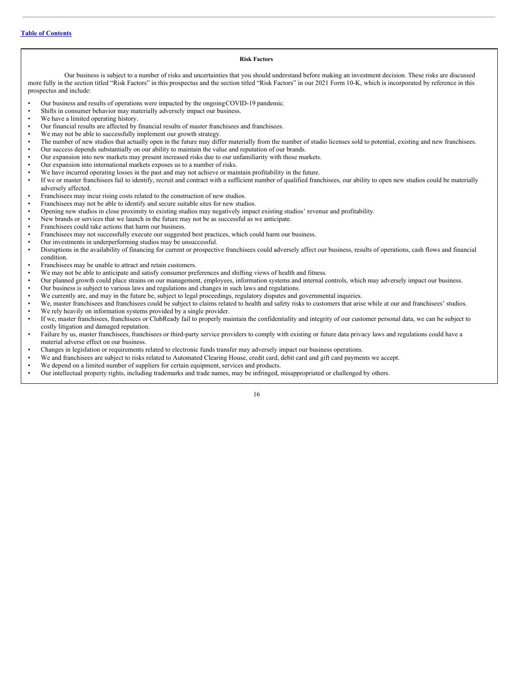# **Risk Factors**

Our business is subject to a number of risks and uncertainties that you should understand before making an investment decision. These risks are discussed more fully in the section titled "Risk Factors" in this prospectus and the section titled "Risk Factors" in our 2021 Form 10-K, which is incorporated by reference in this prospectus and include:

- Our business and results of operations were impacted by the ongoingCOVID-19 pandemic.
- Shifts in consumer behavior may materially adversely impact our business.
- We have a limited operating history.
- Our financial results are affected by financial results of master franchisees and franchisees.
- We may not be able to successfully implement our growth strategy.
- The number of new studios that actually open in the future may differ materially from the number of studio licenses sold to potential, existing and new franchisees.<br>• Our success depends substantially on our ability to m
- Our success depends substantially on our ability to maintain the value and reputation of our brands.
- Our expansion into new markets may present increased risks due to our unfamiliarity with those markets.
- Our expansion into international markets exposes us to a number of risks.
- We have incurred operating losses in the past and may not achieve or maintain profitability in the future.
- If we or master franchisees fail to identify, recruit and contract with a sufficient number of qualified franchisees, our ability to open new studios could be materially adversely affected.
- Franchisees may incur rising costs related to the construction of new studios.
- Franchisees may not be able to identify and secure suitable sites for new studios.
- Opening new studios in close proximity to existing studios may negatively impact existing studios' revenue and profitability.
- New brands or services that we launch in the future may not be as successful as we anticipate.
- Franchisees could take actions that harm our business.
- Franchisees may not successfully execute our suggested best practices, which could harm our business.
- Our investments in underperforming studios may be unsuccessful.
- Disruptions in the availability of financing for current or prospective franchisees could adversely affect our business, results of operations, cash flows and financial condition.
- Franchisees may be unable to attract and retain customers.
- We may not be able to anticipate and satisfy consumer preferences and shifting views of health and fitness.
- Our planned growth could place strains on our management, employees, information systems and internal controls, which may adversely impact our business.
- Our business is subject to various laws and regulations and changes in such laws and regulations.<br>• We currently are and may in the future be subject to legal proceedings regulatory disputes and g
- We currently are, and may in the future be, subject to legal proceedings, regulatory disputes and governmental inquiries.
- We, master franchisees and franchisees could be subject to claims related to health and safety risks to customers that arise while at our and franchisees' studios.
- We rely heavily on information systems provided by a single provider.
- If we, master franchisees, franchisees or ClubReady fail to properly maintain the confidentiality and integrity of our customer personal data, we can be subject to costly litigation and damaged reputation.
- Failure by us, master franchisees, franchisees or third-party service providers to comply with existing or future data privacy laws and regulations could have a material adverse effect on our business.
- Changes in legislation or requirements related to electronic funds transfer may adversely impact our business operations.<br>• We and franchise as a subject to risks related to Automated Clearing House, credit card, debit c
- We and franchisees are subject to risks related to Automated Clearing House, credit card, debit card and gift card payments we accept.
- We depend on a limited number of suppliers for certain equipment, services and products.
- Our intellectual property rights, including trademarks and trade names, may be infringed, misappropriated or challenged by others.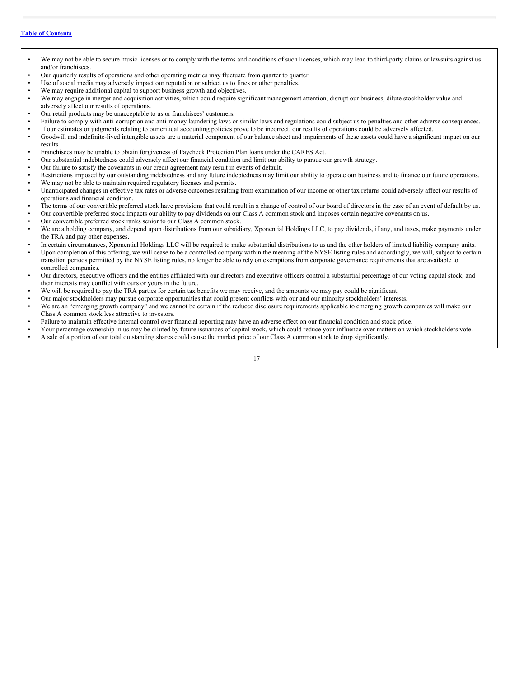- We may not be able to secure music licenses or to comply with the terms and conditions of such licenses, which may lead to third-party claims or lawsuits against us and/or franchisees.
- Our quarterly results of operations and other operating metrics may fluctuate from quarter to quarter.
- Use of social media may adversely impact our reputation or subject us to fines or other penalties.
- We may require additional capital to support business growth and objectives.
- We may engage in merger and acquisition activities, which could require significant management attention, disrupt our business, dilute stockholder value and adversely affect our results of operations.
- Our retail products may be unacceptable to us or franchisees' customers.
- Failure to comply with anti-corruption and anti-money laundering laws or similar laws and regulations could subject us to penalties and other adverse consequences.
- If our estimates or judgments relating to our critical accounting policies prove to be incorrect, our results of operations could be adversely affected.<br>• Goodwill and indefinite-lived intangible assets are a material co
- Goodwill and indefinite-lived intangible assets are a material component of our balance sheet and impairments of these assets could have a significant impact on our results.
- Franchisees may be unable to obtain forgiveness of Paycheck Protection Plan loans under the CARES Act.
- Our substantial indebtedness could adversely affect our financial condition and limit our ability to pursue our growth strategy.
- Our failure to satisfy the covenants in our credit agreement may result in events of default.
- Restrictions imposed by our outstanding indebtedness and any future indebtedness may limit our ability to operate our business and to finance our future operations.<br>We may not be able to maintain required requistery lice We may not be able to maintain required regulatory licenses and permits.
- Unanticipated changes in effective tax rates or adverse outcomes resulting from examination of our income or other tax returns could adversely affect our results of operations and financial condition.
- The terms of our convertible preferred stock have provisions that could result in a change of control of our board of directors in the case of an event of default by us.
- Our convertible preferred stock impacts our ability to pay dividends on our Class A common stock and imposes certain negative covenants on us.
- Our convertible preferred stock ranks senior to our Class A common stock.
- We are a holding company, and depend upon distributions from our subsidiary, Xponential Holdings LLC, to pay dividends, if any, and taxes, make payments under the TRA and pay other expenses.
- In certain circumstances, Xponential Holdings LLC will be required to make substantial distributions to us and the other holders of limited liability company units.
- Upon completion of this offering, we will cease to be a controlled company within the meaning of the NYSE listing rules and accordingly, we will, subject to certain transition periods permitted by the NYSE listing rules, no longer be able to rely on exemptions from corporate governance requirements that are available to controlled companies.
- Our directors, executive officers and the entities affiliated with our directors and executive officers control a substantial percentage of our voting capital stock, and their interests may conflict with ours or yours in the future.
- We will be required to pay the TRA parties for certain tax benefits we may receive, and the amounts we may pay could be significant.
- Our major stockholders may pursue corporate opportunities that could present conflicts with our and our minority stockholders' interests.
- We are an "emerging growth company" and we cannot be certain if the reduced disclosure requirements applicable to emerging growth companies will make our Class A common stock less attractive to investors.
- Failure to maintain effective internal control over financial reporting may have an adverse effect on our financial condition and stock price.
- Your percentage ownership in us may be diluted by future issuances of capital stock, which could reduce your influence over matters on which stockholders vote.
- A sale of a portion of our total outstanding shares could cause the market price of our Class A common stock to drop significantly.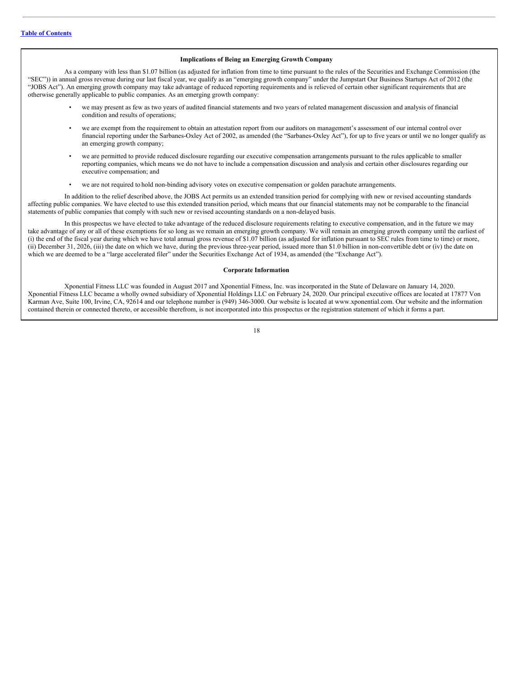#### **Implications of Being an Emerging Growth Company**

As a company with less than \$1.07 billion (as adjusted for inflation from time to time pursuant to the rules of the Securities and Exchange Commission (the "SEC")) in annual gross revenue during our last fiscal year, we qualify as an "emerging growth company" under the Jumpstart Our Business Startups Act of 2012 (the "JOBS Act"). An emerging growth company may take advantage of reduced reporting requirements and is relieved of certain other significant requirements that are otherwise generally applicable to public companies. As an emerging growth company:

- we may present as few as two years of audited financial statements and two years of related management discussion and analysis of financial condition and results of operations;
- we are exempt from the requirement to obtain an attestation report from our auditors on management's assessment of our internal control over financial reporting under the Sarbanes-Oxley Act of 2002, as amended (the "Sarbanes-Oxley Act"), for up to five years or until we no longer qualify as an emerging growth company;
- we are permitted to provide reduced disclosure regarding our executive compensation arrangements pursuant to the rules applicable to smaller reporting companies, which means we do not have to include a compensation discussion and analysis and certain other disclosures regarding our executive compensation; and
- we are not required to hold non-binding advisory votes on executive compensation or golden parachute arrangements.

In addition to the relief described above, the JOBS Act permits us an extended transition period for complying with new or revised accounting standards affecting public companies. We have elected to use this extended transition period, which means that our financial statements may not be comparable to the financial statements of public companies that comply with such new or revised accounting standards on a non-delayed basis.

In this prospectus we have elected to take advantage of the reduced disclosure requirements relating to executive compensation, and in the future we may take advantage of any or all of these exemptions for so long as we remain an emerging growth company. We will remain an emerging growth company until the earliest of (i) the end of the fiscal year during which we have total annual gross revenue of \$1.07 billion (as adjusted for inflation pursuant to SEC rules from time to time) or more, (ii) December 31, 2026, (iii) the date on which we have, during the previous three-year period, issued more than \$1.0 billion in non-convertible debt or (iv) the date on which we are deemed to be a "large accelerated filer" under the Securities Exchange Act of 1934, as amended (the "Exchange Act").

#### **Corporate Information**

Xponential Fitness LLC was founded in August 2017 and Xponential Fitness, Inc. was incorporated in the State of Delaware on January 14, 2020. Xponential Fitness LLC became a wholly owned subsidiary of Xponential Holdings LLC on February 24, 2020. Our principal executive offices are located at 17877 Von Karman Ave, Suite 100, Irvine, CA, 92614 and our telephone number is (949) 346-3000. Our website is located at www.xponential.com. Our website and the information contained therein or connected thereto, or accessible therefrom, is not incorporated into this prospectus or the registration statement of which it forms a part.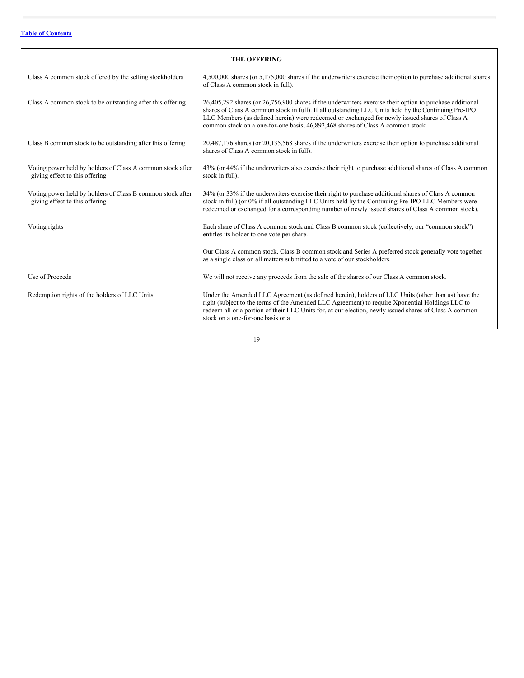| <b>THE OFFERING</b>                                                                          |                                                                                                                                                                                                                                                                                                                                                                                                      |  |  |
|----------------------------------------------------------------------------------------------|------------------------------------------------------------------------------------------------------------------------------------------------------------------------------------------------------------------------------------------------------------------------------------------------------------------------------------------------------------------------------------------------------|--|--|
| Class A common stock offered by the selling stockholders                                     | 4,500,000 shares (or 5,175,000 shares if the underwriters exercise their option to purchase additional shares<br>of Class A common stock in full).                                                                                                                                                                                                                                                   |  |  |
| Class A common stock to be outstanding after this offering                                   | 26,405,292 shares (or 26,756,900 shares if the underwriters exercise their option to purchase additional<br>shares of Class A common stock in full). If all outstanding LLC Units held by the Continuing Pre-IPO<br>LLC Members (as defined herein) were redeemed or exchanged for newly issued shares of Class A<br>common stock on a one-for-one basis, 46,892,468 shares of Class A common stock. |  |  |
| Class B common stock to be outstanding after this offering                                   | 20,487,176 shares (or 20,135,568 shares if the underwriters exercise their option to purchase additional<br>shares of Class A common stock in full).                                                                                                                                                                                                                                                 |  |  |
| Voting power held by holders of Class A common stock after<br>giving effect to this offering | 43% (or 44% if the underwriters also exercise their right to purchase additional shares of Class A common<br>stock in full).                                                                                                                                                                                                                                                                         |  |  |
| Voting power held by holders of Class B common stock after<br>giving effect to this offering | 34% (or 33% if the underwriters exercise their right to purchase additional shares of Class A common<br>stock in full) (or 0% if all outstanding LLC Units held by the Continuing Pre-IPO LLC Members were<br>redeemed or exchanged for a corresponding number of newly issued shares of Class A common stock).                                                                                      |  |  |
| Voting rights                                                                                | Each share of Class A common stock and Class B common stock (collectively, our "common stock")<br>entitles its holder to one vote per share.                                                                                                                                                                                                                                                         |  |  |
|                                                                                              | Our Class A common stock, Class B common stock and Series A preferred stock generally vote together<br>as a single class on all matters submitted to a vote of our stockholders.                                                                                                                                                                                                                     |  |  |
| Use of Proceeds                                                                              | We will not receive any proceeds from the sale of the shares of our Class A common stock.                                                                                                                                                                                                                                                                                                            |  |  |
| Redemption rights of the holders of LLC Units                                                | Under the Amended LLC Agreement (as defined herein), holders of LLC Units (other than us) have the<br>right (subject to the terms of the Amended LLC Agreement) to require Xponential Holdings LLC to<br>redeem all or a portion of their LLC Units for, at our election, newly issued shares of Class A common<br>stock on a one-for-one basis or a                                                 |  |  |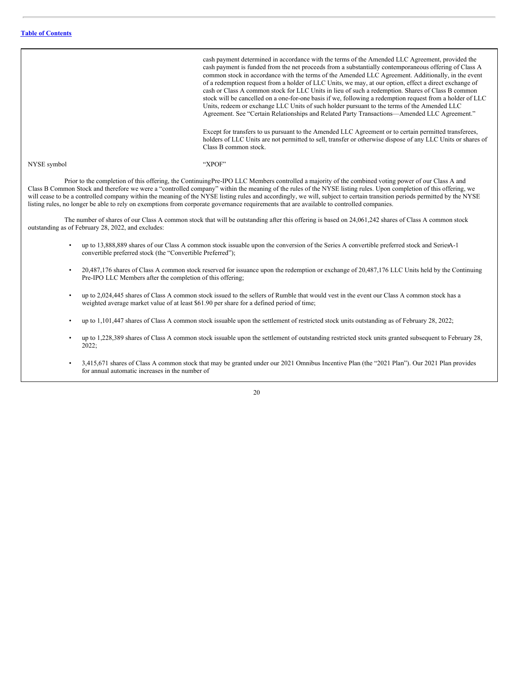cash payment determined in accordance with the terms of the Amended LLC Agreement, provided the cash payment is funded from the net proceeds from a substantially contemporaneous offering of Class A common stock in accordance with the terms of the Amended LLC Agreement. Additionally, in the event of a redemption request from a holder of LLC Units, we may, at our option, effect a direct exchange of cash or Class A common stock for LLC Units in lieu of such a redemption. Shares of Class B common stock will be cancelled on a one-for-one basis if we, following a redemption request from a holder of LLC Units, redeem or exchange LLC Units of such holder pursuant to the terms of the Amended LLC Agreement. See "Certain Relationships and Related Party Transactions—Amended LLC Agreement." Except for transfers to us pursuant to the Amended LLC Agreement or to certain permitted transferees, holders of LLC Units are not permitted to sell, transfer or otherwise dispose of any LLC Units or shares of Class B common stock. NYSE symbol "XPOF"

Prior to the completion of this offering, the ContinuingPre-IPO LLC Members controlled a majority of the combined voting power of our Class A and Class B Common Stock and therefore we were a "controlled company" within the meaning of the rules of the NYSE listing rules. Upon completion of this offering, we will cease to be a controlled company within the meaning of the NYSE listing rules and accordingly, we will, subject to certain transition periods permitted by the NYSE listing rules, no longer be able to rely on exemptions from corporate governance requirements that are available to controlled companies.

The number of shares of our Class A common stock that will be outstanding after this offering is based on 24,061,242 shares of Class A common stock outstanding as of February 28, 2022, and excludes:

- up to 13,888,889 shares of our Class A common stock issuable upon the conversion of the Series A convertible preferred stock and SeriesA-1 convertible preferred stock (the "Convertible Preferred");
- 20,487,176 shares of Class A common stock reserved for issuance upon the redemption or exchange of 20,487,176 LLC Units held by the Continuing Pre-IPO LLC Members after the completion of this offering;
- up to 2,024,445 shares of Class A common stock issued to the sellers of Rumble that would vest in the event our Class A common stock has a weighted average market value of at least \$61.90 per share for a defined period of time;
- up to 1,101,447 shares of Class A common stock issuable upon the settlement of restricted stock units outstanding as of February 28, 2022;
- up to 1,228,389 shares of Class A common stock issuable upon the settlement of outstanding restricted stock units granted subsequent to February 28, 2022;
- 3,415,671 shares of Class A common stock that may be granted under our 2021 Omnibus Incentive Plan (the "2021 Plan"). Our 2021 Plan provides for annual automatic increases in the number of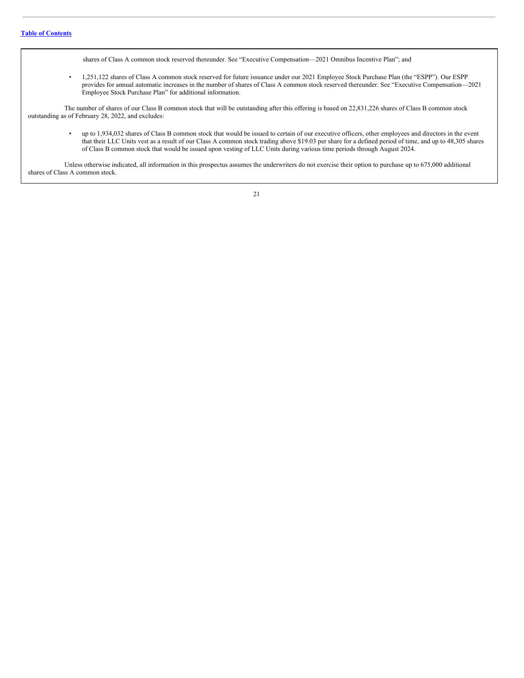shares of Class A common stock reserved thereunder. See "Executive Compensation—2021 Omnibus Incentive Plan"; and

• 1,251,122 shares of Class A common stock reserved for future issuance under our 2021 Employee Stock Purchase Plan (the "ESPP"). Our ESPP provides for annual automatic increases in the number of shares of Class A common stock reserved thereunder. See "Executive Compensation—2021 Employee Stock Purchase Plan" for additional information.

The number of shares of our Class B common stock that will be outstanding after this offering is based on 22,831,226 shares of Class B common stock outstanding as of February 28, 2022, and excludes:

• up to 1,934,032 shares of Class B common stock that would be issued to certain of our executive officers, other employees and directors in the event that their LLC Units vest as a result of our Class A common stock trading above \$19.03 per share for a defined period of time, and up to 48,305 shares of Class B common stock that would be issued upon vesting of LLC Units during various time periods through August 2024.

Unless otherwise indicated, all information in this prospectus assumes the underwriters do not exercise their option to purchase up to 675,000 additional shares of Class A common stock.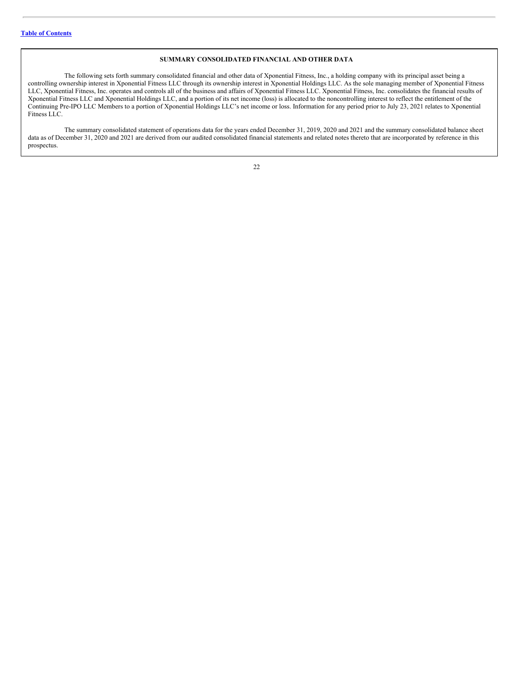# **SUMMARY CONSOLIDATED FINANCIAL AND OTHER DATA**

The following sets forth summary consolidated financial and other data of Xponential Fitness, Inc., a holding company with its principal asset being a controlling ownership interest in Xponential Fitness LLC through its ownership interest in Xponential Holdings LLC. As the sole managing member of Xponential Fitness LLC, Xponential Fitness, Inc. operates and controls all of the business and affairs of Xponential Fitness LLC. Xponential Fitness, Inc. consolidates the financial results of Xponential Fitness LLC and Xponential Holdings LLC, and a portion of its net income (loss) is allocated to the noncontrolling interest to reflect the entitlement of the Continuing Pre-IPO LLC Members to a portion of Xponential Holdings LLC's net income or loss. Information for any period prior to July 23, 2021 relates to Xponential Fitness LLC.

The summary consolidated statement of operations data for the years ended December 31, 2019, 2020 and 2021 and the summary consolidated balance sheet data as of December 31, 2020 and 2021 are derived from our audited consolidated financial statements and related notes thereto that are incorporated by reference in this prospectus.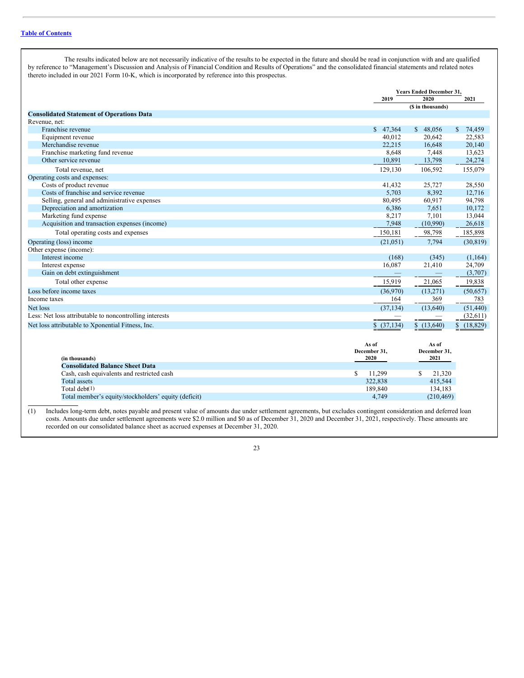The results indicated below are not necessarily indicative of the results to be expected in the future and should be read in conjunction with and are qualified by reference to "Management's Discussion and Analysis of Financial Condition and Results of Operations" and the consolidated financial statements and related notes thereto included in our 2021 Form 10-K, which is incorporated by reference into this prospectus.

|                                                         | <b>Years Ended December 31.</b> |                       |                           |
|---------------------------------------------------------|---------------------------------|-----------------------|---------------------------|
|                                                         | 2019                            | 2020                  | 2021                      |
|                                                         |                                 | (\$ in thousands)     |                           |
| <b>Consolidated Statement of Operations Data</b>        |                                 |                       |                           |
| Revenue, net:                                           |                                 |                       |                           |
| Franchise revenue                                       | \$47,364                        | \$48,056              | $\mathbb{S}$<br>74,459    |
| Equipment revenue                                       | 40.012                          | 20.642                | 22,583                    |
| Merchandise revenue                                     | 22,215                          | 16.648                | 20,140                    |
| Franchise marketing fund revenue                        | 8,648                           | 7,448                 | 13,623                    |
| Other service revenue                                   | 10,891                          | 13,798                | 24,274                    |
| Total revenue, net                                      | 129,130                         | 106,592               | 155,079                   |
| Operating costs and expenses:                           |                                 |                       |                           |
| Costs of product revenue                                | 41,432                          | 25,727                | 28,550                    |
| Costs of franchise and service revenue                  | 5,703                           | 8,392                 | 12,716                    |
| Selling, general and administrative expenses            | 80,495                          | 60,917                | 94,798                    |
| Depreciation and amortization                           | 6,386                           | 7,651                 | 10.172                    |
| Marketing fund expense                                  | 8,217                           | 7,101                 | 13,044                    |
| Acquisition and transaction expenses (income)           | 7,948                           | (10,990)              | 26,618                    |
| Total operating costs and expenses                      | 150,181                         | 98,798                | 185,898                   |
| Operating (loss) income                                 | (21, 051)                       | 7,794                 | (30, 819)                 |
| Other expense (income):                                 |                                 |                       |                           |
| Interest income                                         | (168)                           | (345)                 | (1,164)                   |
| Interest expense                                        | 16,087                          | 21,410                | 24,709                    |
| Gain on debt extinguishment                             |                                 |                       | (3,707)                   |
| Total other expense                                     | 15,919                          | 21,065                | 19,838                    |
| Loss before income taxes                                | (36,970)                        | (13,271)              | (50, 657)                 |
| Income taxes                                            | 164                             | 369                   | 783                       |
| Net loss                                                | (37, 134)                       | (13,640)              | (51, 440)                 |
| Less: Net loss attributable to noncontrolling interests |                                 |                       | (32,611)                  |
| Net loss attributable to Xponential Fitness, Inc.       | \$ (37,134)                     | \$(13,640)            | $\mathbb{S}$<br>(18, 829) |
|                                                         | As of<br>December 31,           | As of<br>December 31, |                           |
| (in thousands)                                          | 2020                            | 2021                  |                           |
| <b>Consolidated Balance Sheet Data</b>                  |                                 |                       |                           |
| Cash, cash equivalents and restricted cash              | \$<br>11,299                    | \$.<br>21.320         |                           |
| <b>Total assets</b>                                     | 322,838                         | 415,544               |                           |
| Total debt $(1)$                                        | 189,840                         | 134,183               |                           |
| Total member's equity/stockholders' equity (deficit)    | 4,749                           | (210, 469)            |                           |
|                                                         |                                 |                       |                           |

(1) Includes long-term debt, notes payable and present value of amounts due under settlement agreements, but excludes contingent consideration and deferred loan costs. Amounts due under settlement agreements were \$2.0 million and \$0 as of December 31, 2020 and December 31, 2021, respectively. These amounts are recorded on our consolidated balance sheet as accrued expenses at December 31, 2020.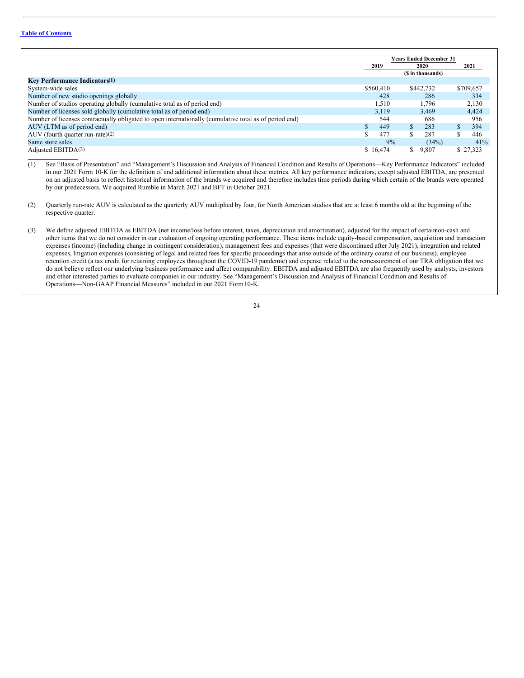# **Table of [Contents](#page-1-0)**

|                                                                                                        | <b>Years Ended December 31</b> |                   |           |
|--------------------------------------------------------------------------------------------------------|--------------------------------|-------------------|-----------|
|                                                                                                        | 2019                           | 2020              | 2021      |
|                                                                                                        |                                | (\$ in thousands) |           |
| <b>Key Performance Indicators</b> (1)                                                                  |                                |                   |           |
| System-wide sales                                                                                      | \$560,410                      | \$442,732         | \$709,657 |
| Number of new studio openings globally                                                                 | 428                            | 286               | 334       |
| Number of studios operating globally (cumulative total as of period end)                               | 1,510                          | 1.796             | 2,130     |
| Number of licenses sold globally (cumulative total as of period end)                                   | 3,119                          | 3.469             | 4,424     |
| Number of licenses contractually obligated to open internationally (cumulative total as of period end) | 544                            | 686               | 956       |
| AUV (LTM as of period end)                                                                             | 449                            | 283               | 394       |
| AUV (fourth quarter run-rate) $(2)$                                                                    | 477<br>S                       | 287<br>S.         | 446       |
| Same store sales                                                                                       | 9%                             | (34%)             | 41%       |
| Adjusted EBITDA(3)                                                                                     | \$16,474                       | 9,807<br>\$       | \$27,323  |

(1) See "Basis of Presentation" and "Management's Discussion and Analysis of Financial Condition and Results of Operations—Key Performance Indicators" included in our 2021 Form 10-K for the definition of and additional information about these metrics. All key performance indicators, except adjusted EBITDA, are presented on an adjusted basis to reflect historical information of the brands we acquired and therefore includes time periods during which certain of the brands were operated by our predecessors. We acquired Rumble in March 2021 and BFT in October 2021.

- (2) Quarterly run-rate AUV is calculated as the quarterly AUV multiplied by four, for North American studios that are at least 6 months old at the beginning of the respective quarter.
- (3) We define adjusted EBITDA as EBITDA (net income/loss before interest, taxes, depreciation and amortization), adjusted for the impact of certain on-cash and other items that we do not consider in our evaluation of ongoing operating performance. These items include equity-based compensation, acquisition and transaction expenses (income) (including change in contingent consideration), management fees and expenses (that were discontinued after July 2021), integration and related expenses, litigation expenses (consisting of legal and related fees for specific proceedings that arise outside of the ordinary course of our business), employee retention credit (a tax credit for retaining employees throughout the COVID-19 pandemic) and expense related to the remeasurement of our TRA obligation that we do not believe reflect our underlying business performance and affect comparability. EBITDA and adjusted EBITDA are also frequently used by analysts, investors and other interested parties to evaluate companies in our industry. See "Management's Discussion and Analysis of Financial Condition and Results of Operations—Non-GAAP Financial Measures" included in our 2021 Form10-K.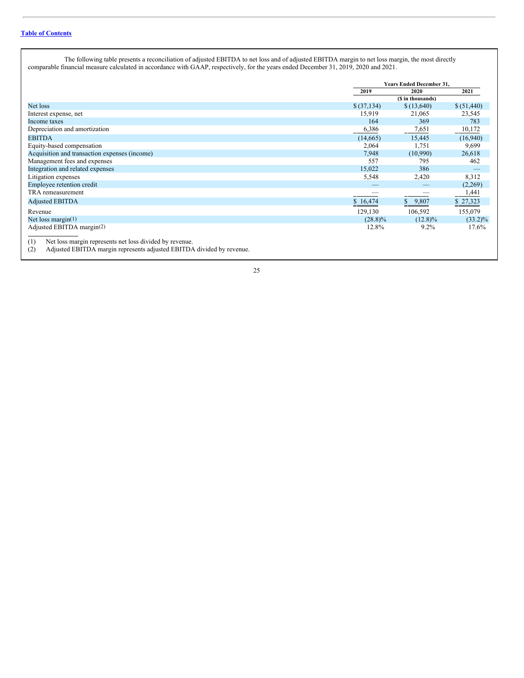The following table presents a reconciliation of adjusted EBITDA to net loss and of adjusted EBITDA margin to net loss margin, the most directly comparable financial measure calculated in accordance with GAAP, respectively, for the years ended December 31, 2019, 2020 and 2021.

|                                                                                                                                                                                                                                                                                                                                       |             | <b>Years Ended December 31,</b> |             |  |
|---------------------------------------------------------------------------------------------------------------------------------------------------------------------------------------------------------------------------------------------------------------------------------------------------------------------------------------|-------------|---------------------------------|-------------|--|
|                                                                                                                                                                                                                                                                                                                                       | 2019        | 2020                            | 2021        |  |
|                                                                                                                                                                                                                                                                                                                                       |             | (\$ in thousands)               |             |  |
| Net loss                                                                                                                                                                                                                                                                                                                              | \$ (37,134) | \$(13,640)                      | \$ (51,440) |  |
| Interest expense, net                                                                                                                                                                                                                                                                                                                 | 15,919      | 21,065                          | 23,545      |  |
| Income taxes                                                                                                                                                                                                                                                                                                                          | 164         | 369                             | 783         |  |
| Depreciation and amortization                                                                                                                                                                                                                                                                                                         | 6,386       | 7,651                           | 10,172      |  |
| <b>EBITDA</b>                                                                                                                                                                                                                                                                                                                         | (14, 665)   | 15,445                          | (16,940)    |  |
| Equity-based compensation                                                                                                                                                                                                                                                                                                             | 2,064       | 1,751                           | 9,699       |  |
| Acquisition and transaction expenses (income)                                                                                                                                                                                                                                                                                         | 7,948       | (10,990)                        | 26,618      |  |
| Management fees and expenses                                                                                                                                                                                                                                                                                                          | 557         | 795                             | 462         |  |
| Integration and related expenses                                                                                                                                                                                                                                                                                                      | 15,022      | 386                             |             |  |
| Litigation expenses                                                                                                                                                                                                                                                                                                                   | 5,548       | 2,420                           | 8,312       |  |
| Employee retention credit                                                                                                                                                                                                                                                                                                             |             |                                 | (2,269)     |  |
| TRA remeasurement                                                                                                                                                                                                                                                                                                                     |             |                                 | 1,441       |  |
| <b>Adjusted EBITDA</b>                                                                                                                                                                                                                                                                                                                | \$16,474    | 9,807<br>\$                     | \$27,323    |  |
| Revenue                                                                                                                                                                                                                                                                                                                               | 129,130     | 106,592                         | 155,079     |  |
| Net loss margin $(1)$                                                                                                                                                                                                                                                                                                                 | $(28.8)\%$  | $(12.8)\%$                      | $(33.2)\%$  |  |
| Adjusted EBITDA margin(2)                                                                                                                                                                                                                                                                                                             | 12.8%       | $9.2\%$                         | 17.6%       |  |
| Net loss margin represents net loss divided by revenue.<br>(1)<br>$\sim$ 1.000 $\sim$ 0.000 $\sim$ 0.000 $\sim$ 1.000 $\sim$ 1.000 $\sim$ 1.000 $\sim$ 1.000 $\sim$ 1.000 $\sim$ 1.000 $\sim$ 1.000 $\sim$ 1.000 $\sim$ 1.000 $\sim$ 1.000 $\sim$ 1.000 $\sim$ 1.000 $\sim$ 1.000 $\sim$ 1.000 $\sim$ 1.000 $\sim$ 1.000 $\sim$ 1.000 |             |                                 |             |  |

(2) Adjusted EBITDA margin represents adjusted EBITDA divided by revenue.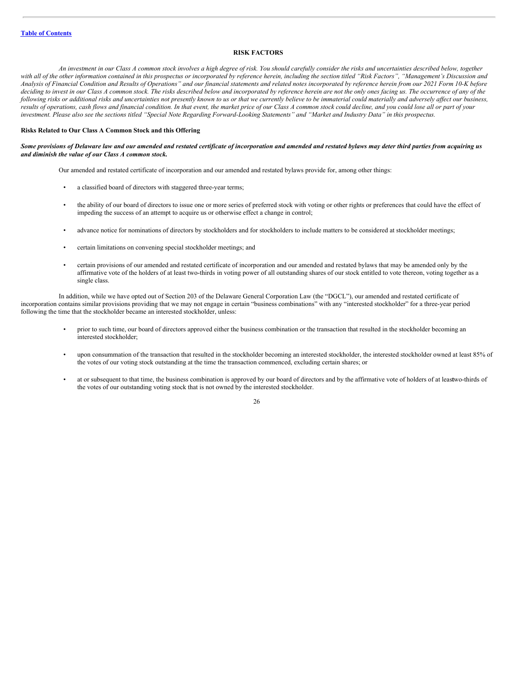# <span id="page-27-1"></span><span id="page-27-0"></span>**RISK FACTORS**

An investment in our Class A common stock involves a high degree of risk. You should carefully consider the risks and uncertainties described below, together with all of the other information contained in this prospectus or incorporated by reference herein, including the section titled "Risk Factors", "Management's Discussion and Analysis of Financial Condition and Results of Operations" and our financial statements and related notes incorporated by reference herein from our 2021 Form 10-K before deciding to invest in our Class A common stock. The risks described below and incorporated by reference herein are not the only ones facing us. The occurrence of any of the following risks or additional risks and uncertainties not presently known to us or that we currently believe to be immaterial could materially and adversely affect our business, results of operations, cash flows and financial condition. In that event, the market price of our Class A common stock could decline, and you could lose all or part of your investment. Please also see the sections titled "Special Note Regarding Forward-Looking Statements" and "Market and Industry Data" in this prospectus.

# **Risks Related to Our Class A Common Stock and this Offering**

### Some provisions of Delaware law and our amended and restated certificate of incorporation and amended and restated bylaws may deter third parties from acquiring us *and diminish the value of our Class A common stock.*

Our amended and restated certificate of incorporation and our amended and restated bylaws provide for, among other things:

- a classified board of directors with staggered three-year terms;
- the ability of our board of directors to issue one or more series of preferred stock with voting or other rights or preferences that could have the effect of impeding the success of an attempt to acquire us or otherwise effect a change in control;
- advance notice for nominations of directors by stockholders and for stockholders to include matters to be considered at stockholder meetings;
- certain limitations on convening special stockholder meetings; and
- certain provisions of our amended and restated certificate of incorporation and our amended and restated bylaws that may be amended only by the affirmative vote of the holders of at least two-thirds in voting power of all outstanding shares of our stock entitled to vote thereon, voting together as a single class.

In addition, while we have opted out of Section 203 of the Delaware General Corporation Law (the "DGCL"), our amended and restated certificate of incorporation contains similar provisions providing that we may not engage in certain "business combinations" with any "interested stockholder" for a three-year period following the time that the stockholder became an interested stockholder, unless:

- prior to such time, our board of directors approved either the business combination or the transaction that resulted in the stockholder becoming an interested stockholder;
- upon consummation of the transaction that resulted in the stockholder becoming an interested stockholder, the interested stockholder owned at least 85% of the votes of our voting stock outstanding at the time the transaction commenced, excluding certain shares; or
- at or subsequent to that time, the business combination is approved by our board of directors and by the affirmative vote of holders of at leastwo-thirds of the votes of our outstanding voting stock that is not owned by the interested stockholder.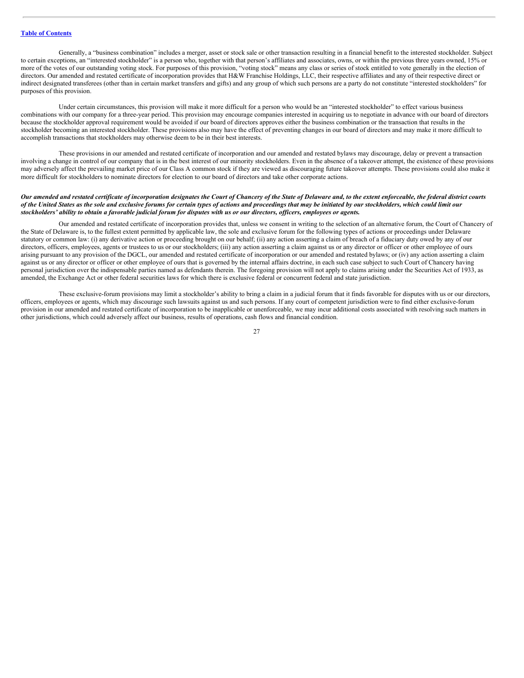Generally, a "business combination" includes a merger, asset or stock sale or other transaction resulting in a financial benefit to the interested stockholder. Subject to certain exceptions, an "interested stockholder" is a person who, together with that person's affiliates and associates, owns, or within the previous three years owned, 15% or more of the votes of our outstanding voting stock. For purposes of this provision, "voting stock" means any class or series of stock entitled to vote generally in the election of directors. Our amended and restated certificate of incorporation provides that H&W Franchise Holdings, LLC, their respective affiliates and any of their respective direct or indirect designated transferees (other than in certain market transfers and gifts) and any group of which such persons are a party do not constitute "interested stockholders" for purposes of this provision.

Under certain circumstances, this provision will make it more difficult for a person who would be an "interested stockholder" to effect various business combinations with our company for a three-year period. This provision may encourage companies interested in acquiring us to negotiate in advance with our board of directors because the stockholder approval requirement would be avoided if our board of directors approves either the business combination or the transaction that results in the stockholder becoming an interested stockholder. These provisions also may have the effect of preventing changes in our board of directors and may make it more difficult to accomplish transactions that stockholders may otherwise deem to be in their best interests.

These provisions in our amended and restated certificate of incorporation and our amended and restated bylaws may discourage, delay or prevent a transaction involving a change in control of our company that is in the best interest of our minority stockholders. Even in the absence of a takeover attempt, the existence of these provisions may adversely affect the prevailing market price of our Class A common stock if they are viewed as discouraging future takeover attempts. These provisions could also make it more difficult for stockholders to nominate directors for election to our board of directors and take other corporate actions.

### Our amended and restated certificate of incorporation designates the Court of Chancery of the State of Delaware and, to the extent enforceable, the federal district courts of the United States as the sole and exclusive forums for certain types of actions and proceedings that may be initiated by our stockholders, which could limit our stockholders' ability to obtain a favorable judicial forum for disputes with us or our directors, officers, employees or agents.

Our amended and restated certificate of incorporation provides that, unless we consent in writing to the selection of an alternative forum, the Court of Chancery of the State of Delaware is, to the fullest extent permitted by applicable law, the sole and exclusive forum for the following types of actions or proceedings under Delaware statutory or common law: (i) any derivative action or proceeding brought on our behalf; (ii) any action asserting a claim of breach of a fiduciary duty owed by any of our directors, officers, employees, agents or trustees to us or our stockholders; (iii) any action asserting a claim against us or any director or officer or other employee of ours arising pursuant to any provision of the DGCL, our amended and restated certificate of incorporation or our amended and restated bylaws; or (iv) any action asserting a claim against us or any director or officer or other employee of ours that is governed by the internal affairs doctrine, in each such case subject to such Court of Chancery having personal jurisdiction over the indispensable parties named as defendants therein. The foregoing provision will not apply to claims arising under the Securities Act of 1933, as amended, the Exchange Act or other federal securities laws for which there is exclusive federal or concurrent federal and state jurisdiction.

These exclusive-forum provisions may limit a stockholder's ability to bring a claim in a judicial forum that it finds favorable for disputes with us or our directors, officers, employees or agents, which may discourage such lawsuits against us and such persons. If any court of competent jurisdiction were to find either exclusive-forum provision in our amended and restated certificate of incorporation to be inapplicable or unenforceable, we may incur additional costs associated with resolving such matters in other jurisdictions, which could adversely affect our business, results of operations, cash flows and financial condition.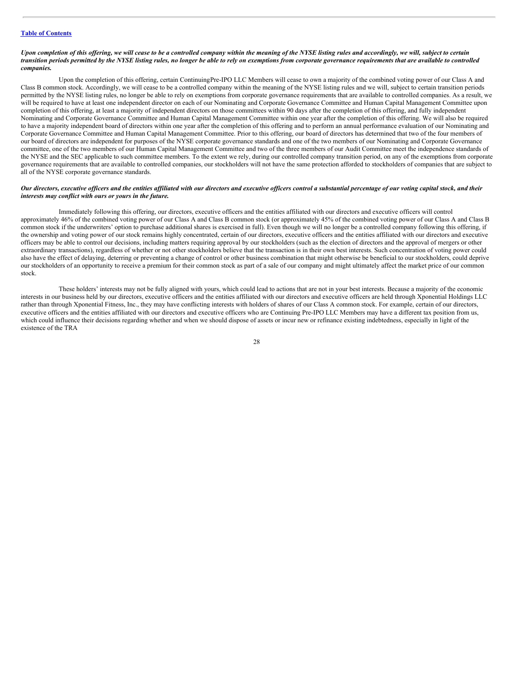# **Table of [Contents](#page-1-0)**

#### Upon completion of this offering, we will cease to be a controlled company within the meaning of the NYSE listing rules and accordingly, we will, subject to certain transition periods permitted by the NYSE listing rules, no longer be able to rely on exemptions from corporate governance requirements that are available to controlled *companies.*

Upon the completion of this offering, certain ContinuingPre-IPO LLC Members will cease to own a majority of the combined voting power of our Class A and Class B common stock. Accordingly, we will cease to be a controlled company within the meaning of the NYSE listing rules and we will, subject to certain transition periods permitted by the NYSE listing rules, no longer be able to rely on exemptions from corporate governance requirements that are available to controlled companies. As a result, we will be required to have at least one independent director on each of our Nominating and Corporate Governance Committee and Human Capital Management Committee upon completion of this offering, at least a majority of independent directors on those committees within 90 days after the completion of this offering, and fully independent Nominating and Corporate Governance Committee and Human Capital Management Committee within one year after the completion of this offering. We will also be required to have a majority independent board of directors within one year after the completion of this offering and to perform an annual performance evaluation of our Nominating and Corporate Governance Committee and Human Capital Management Committee. Prior to this offering, our board of directors has determined that two of the four members of our board of directors are independent for purposes of the NYSE corporate governance standards and one of the two members of our Nominating and Corporate Governance committee, one of the two members of our Human Capital Management Committee and two of the three members of our Audit Committee meet the independence standards of the NYSE and the SEC applicable to such committee members. To the extent we rely, during our controlled company transition period, on any of the exemptions from corporate governance requirements that are available to controlled companies, our stockholders will not have the same protection afforded to stockholders of companies that are subject to all of the NYSE corporate governance standards.

## Our directors, executive officers and the entities affiliated with our directors and executive officers control a substantial percentage of our voting capital stock, and their *interests may conflict with ours or yours in the future.*

Immediately following this offering, our directors, executive officers and the entities affiliated with our directors and executive officers will control approximately 46% of the combined voting power of our Class A and Class B common stock (or approximately 45% of the combined voting power of our Class A and Class B common stock if the underwriters' option to purchase additional shares is exercised in full). Even though we will no longer be a controlled company following this offering, if the ownership and voting power of our stock remains highly concentrated, certain of our directors, executive officers and the entities affiliated with our directors and executive officers may be able to control our decisions, including matters requiring approval by our stockholders (such as the election of directors and the approval of mergers or other extraordinary transactions), regardless of whether or not other stockholders believe that the transaction is in their own best interests. Such concentration of voting power could also have the effect of delaying, deterring or preventing a change of control or other business combination that might otherwise be beneficial to our stockholders, could deprive our stockholders of an opportunity to receive a premium for their common stock as part of a sale of our company and might ultimately affect the market price of our common stock.

These holders' interests may not be fully aligned with yours, which could lead to actions that are not in your best interests. Because a majority of the economic interests in our business held by our directors, executive officers and the entities affiliated with our directors and executive officers are held through Xponential Holdings LLC rather than through Xponential Fitness, Inc., they may have conflicting interests with holders of shares of our Class A common stock. For example, certain of our directors, executive officers and the entities affiliated with our directors and executive officers who are Continuing Pre-IPO LLC Members may have a different tax position from us, which could influence their decisions regarding whether and when we should dispose of assets or incur new or refinance existing indebtedness, especially in light of the existence of the TRA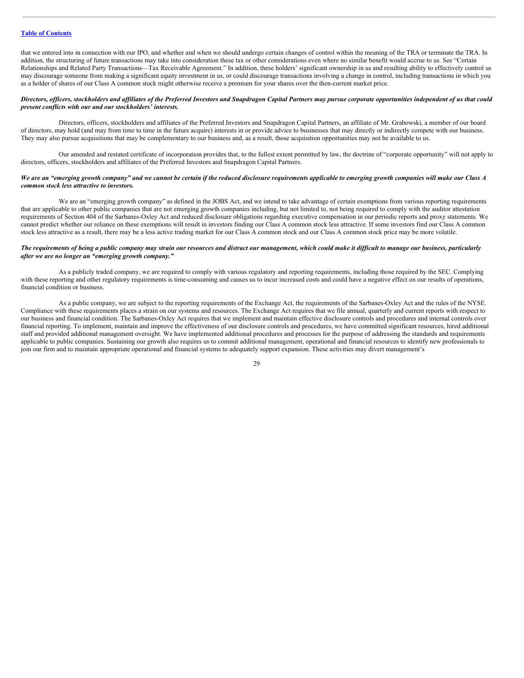# **Table of [Contents](#page-1-0)**

that we entered into in connection with our IPO, and whether and when we should undergo certain changes of control within the meaning of the TRA or terminate the TRA. In addition, the structuring of future transactions may take into consideration these tax or other considerations even where no similar benefit would accrue to us. See "Certain Relationships and Related Party Transactions—Tax Receivable Agreement." In addition, these holders' significant ownership in us and resulting ability to effectively control us may discourage someone from making a significant equity investment in us, or could discourage transactions involving a change in control, including transactions in which you as a holder of shares of our Class A common stock might otherwise receive a premium for your shares over the then-current market price.

# Directors, officers, stockholders and affiliates of the Preferred Investors and Snapdragon Capital Partners may pursue corporate opportunities independent of us that could *present conflicts with our and our stockholders' interests.*

Directors, officers, stockholders and affiliates of the Preferred Investors and Snapdragon Capital Partners, an affiliate of Mr. Grabowski, a member of our board of directors, may hold (and may from time to time in the future acquire) interests in or provide advice to businesses that may directly or indirectly compete with our business. They may also pursue acquisitions that may be complementary to our business and, as a result, those acquisition opportunities may not be available to us.

Our amended and restated certificate of incorporation provides that, to the fullest extent permitted by law, the doctrine of "corporate opportunity" will not apply to directors, officers, stockholders and affiliates of the Preferred Investors and Snapdragon Capital Partners.

# We are an "emerging growth company" and we cannot be certain if the reduced disclosure requirements applicable to emerging growth companies will make our Class A *common stock less attractive to investors.*

We are an "emerging growth company" as defined in the JOBS Act, and we intend to take advantage of certain exemptions from various reporting requirements that are applicable to other public companies that are not emerging growth companies including, but not limited to, not being required to comply with the auditor attestation requirements of Section 404 of the Sarbanes-Oxley Act and reduced disclosure obligations regarding executive compensation in our periodic reports and proxy statements. We cannot predict whether our reliance on these exemptions will result in investors finding our Class A common stock less attractive. If some investors find our Class A common stock less attractive as a result, there may be a less active trading market for our Class A common stock and our Class A common stock price may be more volatile.

# The requirements of being a public company may strain our resources and distract our management, which could make it difficult to manage our business, particularly *after we are no longer an "emerging growth company."*

As a publicly traded company, we are required to comply with various regulatory and reporting requirements, including those required by the SEC. Complying with these reporting and other regulatory requirements is time-consuming and causes us to incur increased costs and could have a negative effect on our results of operations, financial condition or business.

As a public company, we are subject to the reporting requirements of the Exchange Act, the requirements of the Sarbanes-Oxley Act and the rules of the NYSE. Compliance with these requirements places a strain on our systems and resources. The Exchange Act requires that we file annual, quarterly and current reports with respect to our business and financial condition. The Sarbanes-Oxley Act requires that we implement and maintain effective disclosure controls and procedures and internal controls over financial reporting. To implement, maintain and improve the effectiveness of our disclosure controls and procedures, we have committed significant resources, hired additional staff and provided additional management oversight. We have implemented additional procedures and processes for the purpose of addressing the standards and requirements applicable to public companies. Sustaining our growth also requires us to commit additional management, operational and financial resources to identify new professionals to join our firm and to maintain appropriate operational and financial systems to adequately support expansion. These activities may divert management's

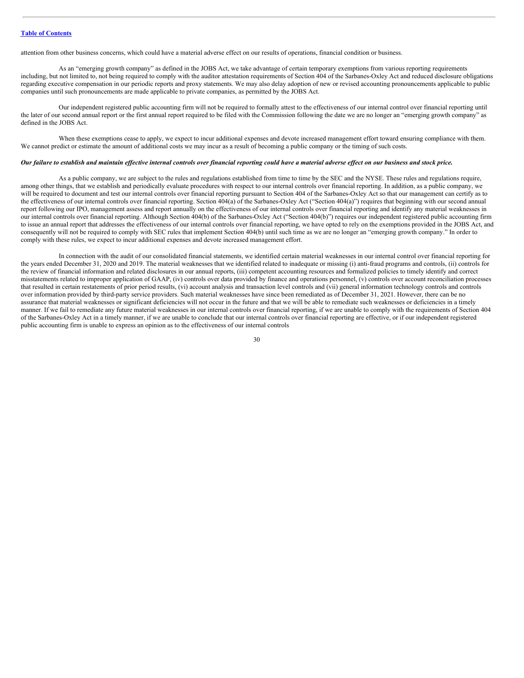attention from other business concerns, which could have a material adverse effect on our results of operations, financial condition or business.

As an "emerging growth company" as defined in the JOBS Act, we take advantage of certain temporary exemptions from various reporting requirements including, but not limited to, not being required to comply with the auditor attestation requirements of Section 404 of the Sarbanes-Oxley Act and reduced disclosure obligations regarding executive compensation in our periodic reports and proxy statements. We may also delay adoption of new or revised accounting pronouncements applicable to public companies until such pronouncements are made applicable to private companies, as permitted by the JOBS Act.

Our independent registered public accounting firm will not be required to formally attest to the effectiveness of our internal control over financial reporting until the later of our second annual report or the first annual report required to be filed with the Commission following the date we are no longer an "emerging growth company" as defined in the JOBS Act.

When these exemptions cease to apply, we expect to incur additional expenses and devote increased management effort toward ensuring compliance with them. We cannot predict or estimate the amount of additional costs we may incur as a result of becoming a public company or the timing of such costs.

#### Our failure to establish and maintain effective internal controls over financial reporting could have a material adverse effect on our business and stock price.

As a public company, we are subject to the rules and regulations established from time to time by the SEC and the NYSE. These rules and regulations require, among other things, that we establish and periodically evaluate procedures with respect to our internal controls over financial reporting. In addition, as a public company, we will be required to document and test our internal controls over financial reporting pursuant to Section 404 of the Sarbanes-Oxley Act so that our management can certify as to the effectiveness of our internal controls over financial reporting. Section 404(a) of the Sarbanes-Oxley Act ("Section 404(a)") requires that beginning with our second annual report following our IPO, management assess and report annually on the effectiveness of our internal controls over financial reporting and identify any material weaknesses in our internal controls over financial reporting. Although Section 404(b) of the Sarbanes-Oxley Act ("Section 404(b)") requires our independent registered public accounting firm to issue an annual report that addresses the effectiveness of our internal controls over financial reporting, we have opted to rely on the exemptions provided in the JOBS Act, and consequently will not be required to comply with SEC rules that implement Section 404(b) until such time as we are no longer an "emerging growth company." In order to comply with these rules, we expect to incur additional expenses and devote increased management effort.

In connection with the audit of our consolidated financial statements, we identified certain material weaknesses in our internal control over financial reporting for the years ended December 31, 2020 and 2019. The material weaknesses that we identified related to inadequate or missing (i) anti-fraud programs and controls, (ii) controls for the review of financial information and related disclosures in our annual reports, (iii) competent accounting resources and formalized policies to timely identify and correct misstatements related to improper application of GAAP, (iv) controls over data provided by finance and operations personnel, (v) controls over account reconciliation processes that resulted in certain restatements of prior period results, (vi) account analysis and transaction level controls and (vii) general information technology controls and controls over information provided by third-party service providers. Such material weaknesses have since been remediated as of December 31, 2021. However, there can be no assurance that material weaknesses or significant deficiencies will not occur in the future and that we will be able to remediate such weaknesses or deficiencies in a timely manner. If we fail to remediate any future material weaknesses in our internal controls over financial reporting, if we are unable to comply with the requirements of Section 404 of the Sarbanes-Oxley Act in a timely manner, if we are unable to conclude that our internal controls over financial reporting are effective, or if our independent registered public accounting firm is unable to express an opinion as to the effectiveness of our internal controls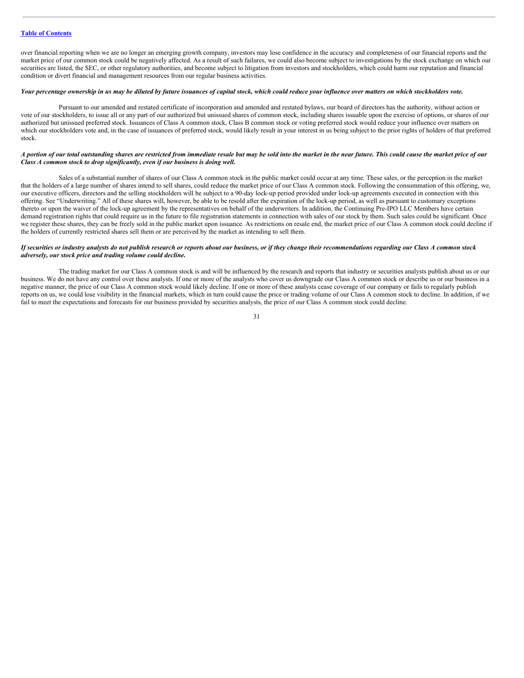over financial reporting when we are no longer an emerging growth company, investors may lose confidence in the accuracy and completeness of our financial reports and the market price of our common stock could be negatively affected. As a result of such failures, we could also become subject to investigations by the stock exchange on which our securities are listed, the SEC, or other regulatory authorities, and become subject to litigation from investors and stockholders, which could harm our reputation and financial condition or divert financial and management resources from our regular business activities.

#### Your percentage ownership in us may be diluted by future issuances of capital stock, which could reduce your influence over matters on which stockholders vote.

Pursuant to our amended and restated certificate of incorporation and amended and restated bylaws, our board of directors has the authority, without action or vote of our stockholders, to issue all or any part of our authorized but unissued shares of common stock, including shares issuable upon the exercise of options, or shares of our authorized but unissued preferred stock. Issuances of Class A common stock, Class B common stock or voting preferred stock would reduce your influence over matters on which our stockholders vote and, in the case of issuances of preferred stock, would likely result in your interest in us being subject to the prior rights of holders of that preferred stock.

# A portion of our total outstanding shares are restricted from immediate resale but may be sold into the market in the near future. This could cause the market price of our *Class A common stock to drop significantly, even if our business is doing well.*

Sales of a substantial number of shares of our Class A common stock in the public market could occur at any time. These sales, or the perception in the market that the holders of a large number of shares intend to sell shares, could reduce the market price of our Class A common stock. Following the consummation of this offering, we, our executive officers, directors and the selling stockholders will be subject to a 90-day lock-up period provided under lock-up agreements executed in connection with this offering. See "Underwriting." All of these shares will, however, be able to be resold after the expiration of the lock-up period, as well as pursuant to customary exceptions thereto or upon the waiver of the lock-up agreement by the representatives on behalf of the underwriters. In addition, the Continuing Pre-IPO LLC Members have certain demand registration rights that could require us in the future to file registration statements in connection with sales of our stock by them. Such sales could be significant. Once we register these shares, they can be freely sold in the public market upon issuance. As restrictions on resale end, the market price of our Class A common stock could decline if the holders of currently restricted shares sell them or are perceived by the market as intending to sell them.

### If securities or industry analysts do not publish research or reports about our business, or if they change their recommendations regarding our Class A common stock *adversely, our stock price and trading volume could decline.*

The trading market for our Class A common stock is and will be influenced by the research and reports that industry or securities analysts publish about us or our business. We do not have any control over these analysts. If one or more of the analysts who cover us downgrade our Class A common stock or describe us or our business in a negative manner, the price of our Class A common stock would likely decline. If one or more of these analysts cease coverage of our company or fails to regularly publish reports on us, we could lose visibility in the financial markets, which in turn could cause the price or trading volume of our Class A common stock to decline. In addition, if we fail to meet the expectations and forecasts for our business provided by securities analysts, the price of our Class A common stock could decline.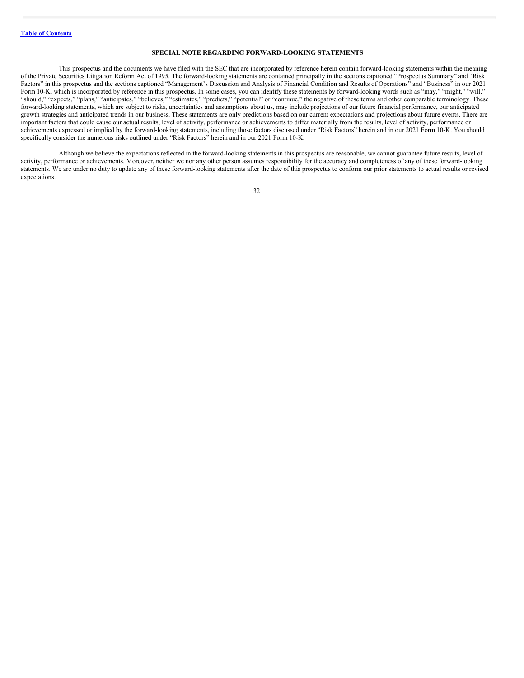# <span id="page-33-0"></span>**SPECIAL NOTE REGARDING FORWARD-LOOKING STATEMENTS**

This prospectus and the documents we have filed with the SEC that are incorporated by reference herein contain forward-looking statements within the meaning of the Private Securities Litigation Reform Act of 1995. The forward-looking statements are contained principally in the sections captioned "Prospectus Summary" and "Risk Factors" in this prospectus and the sections captioned "Management's Discussion and Analysis of Financial Condition and Results of Operations" and "Business" in our 2021 Form 10-K, which is incorporated by reference in this prospectus. In some cases, you can identify these statements by forward-looking words such as "may," "might," "will," "should," "expects," "plans," "anticipates," "believes," "estimates," "predicts," "potential" or "continue," the negative of these terms and other comparable terminology. These forward-looking statements, which are subject to risks, uncertainties and assumptions about us, may include projections of our future financial performance, our anticipated growth strategies and anticipated trends in our business. These statements are only predictions based on our current expectations and projections about future events. There are important factors that could cause our actual results, level of activity, performance or achievements to differ materially from the results, level of activity, performance or achievements expressed or implied by the forward-looking statements, including those factors discussed under "Risk Factors" herein and in our 2021 Form 10-K. You should specifically consider the numerous risks outlined under "Risk Factors" herein and in our 2021 Form 10-K.

Although we believe the expectations reflected in the forward-looking statements in this prospectus are reasonable, we cannot guarantee future results, level of activity, performance or achievements. Moreover, neither we nor any other person assumes responsibility for the accuracy and completeness of any of these forward-looking statements. We are under no duty to update any of these forward-looking statements after the date of this prospectus to conform our prior statements to actual results or revised expectations.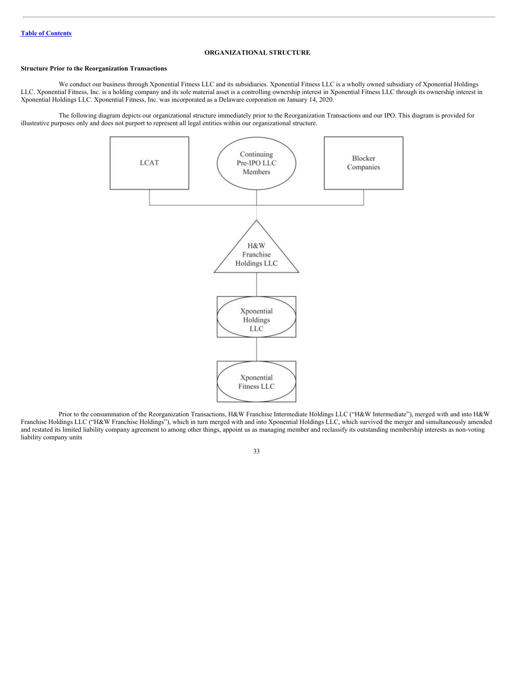# <span id="page-34-0"></span>**ORGANIZATIONAL STRUCTURE**

# **Structure Prior to the Reorganization Transactions**

We conduct our business through Xponential Fitness LLC and its subsidiaries. Xponential Fitness LLC is a wholly owned subsidiary of Xponential Holdings LLC. Xponential Fitness, Inc. is a holding company and its sole material asset is a controlling ownership interest in Xponential Fitness LLC through its ownership interest in Xponential Holdings LLC. Xponential Fitness, Inc. was incorporated as a Delaware corporation on January 14, 2020.

The following diagram depicts our organizational structure immediately prior to the Reorganization Transactions and our IPO. This diagram is provided for illustrative purposes only and does not purport to represent all legal entities within our organizational structure.



Prior to the consummation of the Reorganization Transactions, H&W Franchise Intermediate Holdings LLC ("H&W Intermediate"), merged with and into H&W Franchise Holdings LLC ("H&W Franchise Holdings"), which in turn merged with and into Xponential Holdings LLC, which survived the merger and simultaneously amended and restated its limited liability company agreement to among other things, appoint us as managing member and reclassify its outstanding membership interests as non-voting liability company units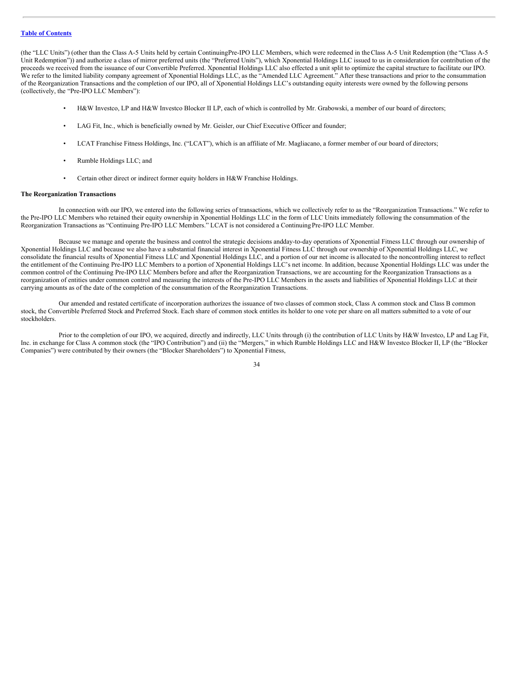(the "LLC Units") (other than the Class A-5 Units held by certain ContinuingPre-IPO LLC Members, which were redeemed in theClass A-5 Unit Redemption (the "Class A-5 Unit Redemption")) and authorize a class of mirror preferred units (the "Preferred Units"), which Xponential Holdings LLC issued to us in consideration for contribution of the proceeds we received from the issuance of our Convertible Preferred. Xponential Holdings LLC also effected a unit split to optimize the capital structure to facilitate our IPO. We refer to the limited liability company agreement of Xponential Holdings LLC, as the "Amended LLC Agreement." After these transactions and prior to the consummation of the Reorganization Transactions and the completion of our IPO, all of Xponential Holdings LLC's outstanding equity interests were owned by the following persons (collectively, the "Pre-IPO LLC Members"):

- H&W Investco, LP and H&W Investco Blocker II LP, each of which is controlled by Mr. Grabowski, a member of our board of directors;
- LAG Fit, Inc., which is beneficially owned by Mr. Geisler, our Chief Executive Officer and founder;
- LCAT Franchise Fitness Holdings, Inc. ("LCAT"), which is an affiliate of Mr. Magliacano, a former member of our board of directors;
- Rumble Holdings LLC; and
- Certain other direct or indirect former equity holders in H&W Franchise Holdings.

#### **The Reorganization Transactions**

In connection with our IPO, we entered into the following series of transactions, which we collectively refer to as the "Reorganization Transactions." We refer to the Pre-IPO LLC Members who retained their equity ownership in Xponential Holdings LLC in the form of LLC Units immediately following the consummation of the Reorganization Transactions as "Continuing Pre-IPO LLC Members." LCAT is not considered a ContinuingPre-IPO LLC Member.

Because we manage and operate the business and control the strategic decisions andday-to-day operations of Xponential Fitness LLC through our ownership of Xponential Holdings LLC and because we also have a substantial financial interest in Xponential Fitness LLC through our ownership of Xponential Holdings LLC, we consolidate the financial results of Xponential Fitness LLC and Xponential Holdings LLC, and a portion of our net income is allocated to the noncontrolling interest to reflect the entitlement of the Continuing Pre-IPO LLC Members to a portion of Xponential Holdings LLC's net income. In addition, because Xponential Holdings LLC was under the common control of the Continuing Pre-IPO LLC Members before and after the Reorganization Transactions, we are accounting for the Reorganization Transactions as a reorganization of entities under common control and measuring the interests of the Pre-IPO LLC Members in the assets and liabilities of Xponential Holdings LLC at their carrying amounts as of the date of the completion of the consummation of the Reorganization Transactions.

Our amended and restated certificate of incorporation authorizes the issuance of two classes of common stock, Class A common stock and Class B common stock, the Convertible Preferred Stock and Preferred Stock. Each share of common stock entitles its holder to one vote per share on all matters submitted to a vote of our stockholders.

Prior to the completion of our IPO, we acquired, directly and indirectly, LLC Units through (i) the contribution of LLC Units by H&W Investco, LP and Lag Fit, Inc. in exchange for Class A common stock (the "IPO Contribution") and (ii) the "Mergers," in which Rumble Holdings LLC and H&W Investco Blocker II, LP (the "Blocker Companies") were contributed by their owners (the "Blocker Shareholders") to Xponential Fitness,

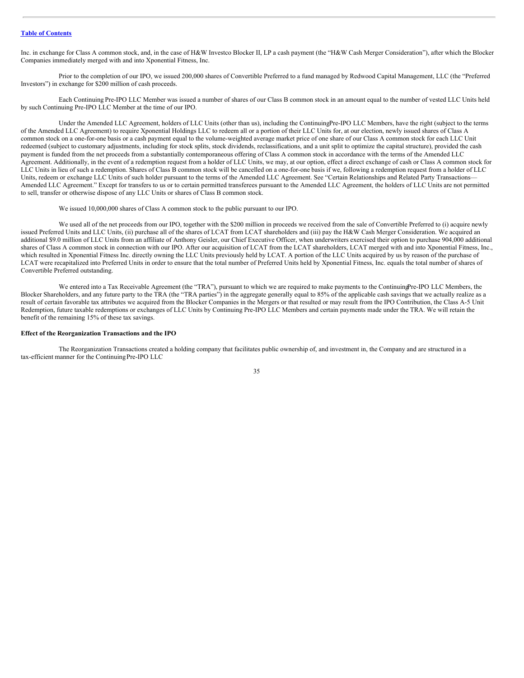Inc. in exchange for Class A common stock, and, in the case of H&W Investco Blocker II, LP a cash payment (the "H&W Cash Merger Consideration"), after which the Blocker Companies immediately merged with and into Xponential Fitness, Inc.

Prior to the completion of our IPO, we issued 200,000 shares of Convertible Preferred to a fund managed by Redwood Capital Management, LLC (the "Preferred Investors") in exchange for \$200 million of cash proceeds.

Each Continuing Pre-IPO LLC Member was issued a number of shares of our Class B common stock in an amount equal to the number of vested LLC Units held by such Continuing Pre-IPO LLC Member at the time of our IPO.

Under the Amended LLC Agreement, holders of LLC Units (other than us), including the ContinuingPre-IPO LLC Members, have the right (subject to the terms of the Amended LLC Agreement) to require Xponential Holdings LLC to redeem all or a portion of their LLC Units for, at our election, newly issued shares of Class A common stock on a one-for-one basis or a cash payment equal to the volume-weighted average market price of one share of our Class A common stock for each LLC Unit redeemed (subject to customary adjustments, including for stock splits, stock dividends, reclassifications, and a unit split to optimize the capital structure), provided the cash payment is funded from the net proceeds from a substantially contemporaneous offering of Class A common stock in accordance with the terms of the Amended LLC Agreement. Additionally, in the event of a redemption request from a holder of LLC Units, we may, at our option, effect a direct exchange of cash or Class A common stock for LLC Units in lieu of such a redemption. Shares of Class B common stock will be cancelled on a one-for-one basis if we, following a redemption request from a holder of LLC Units, redeem or exchange LLC Units of such holder pursuant to the terms of the Amended LLC Agreement. See "Certain Relationships and Related Party Transactions— Amended LLC Agreement." Except for transfers to us or to certain permitted transferees pursuant to the Amended LLC Agreement, the holders of LLC Units are not permitted to sell, transfer or otherwise dispose of any LLC Units or shares of Class B common stock.

We issued 10,000,000 shares of Class A common stock to the public pursuant to our IPO.

We used all of the net proceeds from our IPO, together with the \$200 million in proceeds we received from the sale of Convertible Preferred to (i) acquire newly issued Preferred Units and LLC Units, (ii) purchase all of the shares of LCAT from LCAT shareholders and (iii) pay the H&W Cash Merger Consideration. We acquired an additional \$9.0 million of LLC Units from an affiliate of Anthony Geisler, our Chief Executive Officer, when underwriters exercised their option to purchase 904,000 additional shares of Class A common stock in connection with our IPO. After our acquisition of LCAT from the LCAT shareholders, LCAT merged with and into Xponential Fitness, Inc., which resulted in Xponential Fitness Inc. directly owning the LLC Units previously held by LCAT. A portion of the LLC Units acquired by us by reason of the purchase of LCAT were recapitalized into Preferred Units in order to ensure that the total number of Preferred Units held by Xponential Fitness, Inc. equals the total number of shares of Convertible Preferred outstanding.

We entered into a Tax Receivable Agreement (the "TRA"), pursuant to which we are required to make payments to the ContinuingPre-IPO LLC Members, the Blocker Shareholders, and any future party to the TRA (the "TRA parties") in the aggregate generally equal to 85% of the applicable cash savings that we actually realize as a result of certain favorable tax attributes we acquired from the Blocker Companies in the Mergers or that resulted or may result from the IPO Contribution, the Class A-5 Unit Redemption, future taxable redemptions or exchanges of LLC Units by Continuing Pre-IPO LLC Members and certain payments made under the TRA. We will retain the benefit of the remaining 15% of these tax savings.

## **Effect of the Reorganization Transactions and the IPO**

The Reorganization Transactions created a holding company that facilitates public ownership of, and investment in, the Company and are structured in a tax-efficient manner for the Continuing Pre-IPO LLC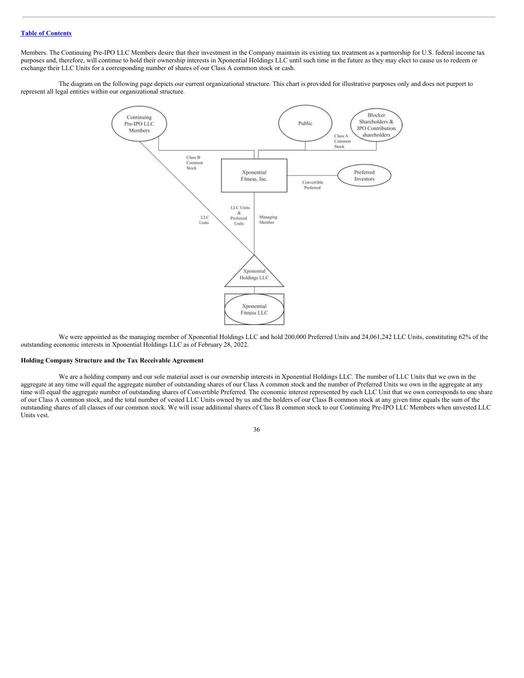Members. The Continuing Pre-IPO LLC Members desire that their investment in the Company maintain its existing tax treatment as a partnership for U.S. federal income tax purposes and, therefore, will continue to hold their ownership interests in Xponential Holdings LLC until such time in the future as they may elect to cause us to redeem or exchange their LLC Units for a corresponding number of shares of our Class A common stock or cash.

The diagram on the following page depicts our current organizational structure. This chart is provided for illustrative purposes only and does not purport to represent all legal entities within our organizational structure.



We were appointed as the managing member of Xponential Holdings LLC and hold 200,000 Preferred Units and 24,061,242 LLC Units, constituting 62% of the outstanding economic interests in Xponential Holdings LLC as of February 28, 2022.

## **Holding Company Structure and the Tax Receivable Agreement**

We are a holding company and our sole material asset is our ownership interests in Xponential Holdings LLC. The number of LLC Units that we own in the aggregate at any time will equal the aggregate number of outstanding shares of our Class A common stock and the number of Preferred Units we own in the aggregate at any time will equal the aggregate number of outstanding shares of Convertible Preferred. The economic interest represented by each LLC Unit that we own corresponds to one share of our Class A common stock, and the total number of vested LLC Units owned by us and the holders of our Class B common stock at any given time equals the sum of the outstanding shares of all classes of our common stock. We will issue additional shares of Class B common stock to our Continuing Pre-IPO LLC Members when unvested LLC Units vest.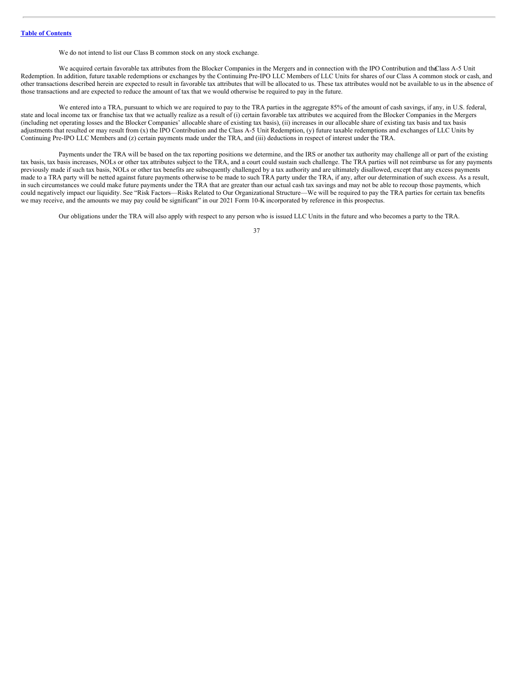We do not intend to list our Class B common stock on any stock exchange.

We acquired certain favorable tax attributes from the Blocker Companies in the Mergers and in connection with the IPO Contribution and the Lass A-5 Unit Redemption. In addition, future taxable redemptions or exchanges by the Continuing Pre-IPO LLC Members of LLC Units for shares of our Class A common stock or cash, and other transactions described herein are expected to result in favorable tax attributes that will be allocated to us. These tax attributes would not be available to us in the absence of those transactions and are expected to reduce the amount of tax that we would otherwise be required to pay in the future.

We entered into a TRA, pursuant to which we are required to pay to the TRA parties in the aggregate 85% of the amount of cash savings, if any, in U.S. federal, state and local income tax or franchise tax that we actually realize as a result of (i) certain favorable tax attributes we acquired from the Blocker Companies in the Mergers (including net operating losses and the Blocker Companies' allocable share of existing tax basis), (ii) increases in our allocable share of existing tax basis and tax basis adjustments that resulted or may result from (x) the IPO Contribution and the Class A-5 Unit Redemption, (y) future taxable redemptions and exchanges of LLC Units by Continuing Pre-IPO LLC Members and (z) certain payments made under the TRA, and (iii) deductions in respect of interest under the TRA.

Payments under the TRA will be based on the tax reporting positions we determine, and the IRS or another tax authority may challenge all or part of the existing tax basis, tax basis increases, NOLs or other tax attributes subject to the TRA, and a court could sustain such challenge. The TRA parties will not reimburse us for any payments previously made if such tax basis, NOLs or other tax benefits are subsequently challenged by a tax authority and are ultimately disallowed, except that any excess payments made to a TRA party will be netted against future payments otherwise to be made to such TRA party under the TRA, if any, after our determination of such excess. As a result, in such circumstances we could make future payments under the TRA that are greater than our actual cash tax savings and may not be able to recoup those payments, which could negatively impact our liquidity. See "Risk Factors—Risks Related to Our Organizational Structure—We will be required to pay the TRA parties for certain tax benefits we may receive, and the amounts we may pay could be significant" in our 2021 Form 10-K incorporated by reference in this prospectus.

Our obligations under the TRA will also apply with respect to any person who is issued LLC Units in the future and who becomes a party to the TRA.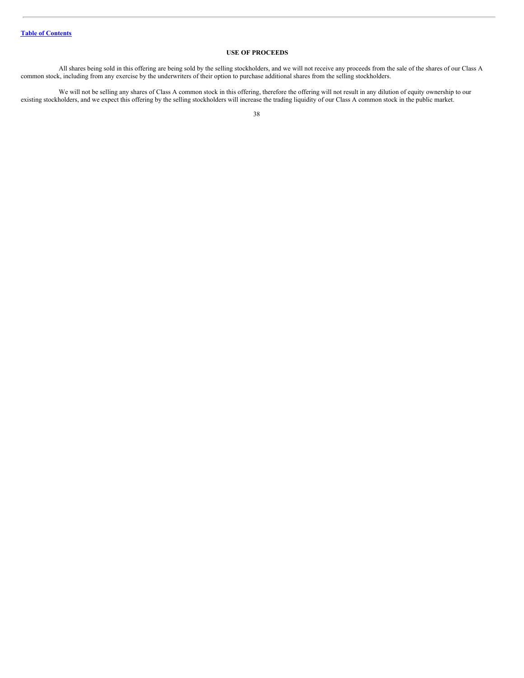# **USE OF PROCEEDS**

All shares being sold in this offering are being sold by the selling stockholders, and we will not receive any proceeds from the sale of the shares of our Class A common stock, including from any exercise by the underwriters of their option to purchase additional shares from the selling stockholders.

We will not be selling any shares of Class A common stock in this offering, therefore the offering will not result in any dilution of equity ownership to our existing stockholders, and we expect this offering by the selling stockholders will increase the trading liquidity of our Class A common stock in the public market.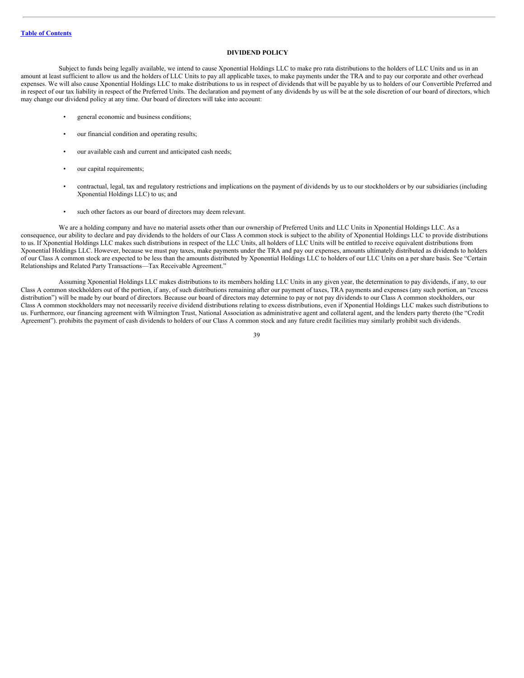# **DIVIDEND POLICY**

Subject to funds being legally available, we intend to cause Xponential Holdings LLC to make pro rata distributions to the holders of LLC Units and us in an amount at least sufficient to allow us and the holders of LLC Units to pay all applicable taxes, to make payments under the TRA and to pay our corporate and other overhead expenses. We will also cause Xponential Holdings LLC to make distributions to us in respect of dividends that will be payable by us to holders of our Convertible Preferred and in respect of our tax liability in respect of the Preferred Units. The declaration and payment of any dividends by us will be at the sole discretion of our board of directors, which may change our dividend policy at any time. Our board of directors will take into account:

- general economic and business conditions;
- our financial condition and operating results;
- our available cash and current and anticipated cash needs;
- our capital requirements;
- contractual, legal, tax and regulatory restrictions and implications on the payment of dividends by us to our stockholders or by our subsidiaries (including Xponential Holdings LLC) to us; and
- such other factors as our board of directors may deem relevant.

We are a holding company and have no material assets other than our ownership of Preferred Units and LLC Units in Xponential Holdings LLC. As a consequence, our ability to declare and pay dividends to the holders of our Class A common stock is subject to the ability of Xponential Holdings LLC to provide distributions to us. If Xponential Holdings LLC makes such distributions in respect of the LLC Units, all holders of LLC Units will be entitled to receive equivalent distributions from Xponential Holdings LLC. However, because we must pay taxes, make payments under the TRA and pay our expenses, amounts ultimately distributed as dividends to holders of our Class A common stock are expected to be less than the amounts distributed by Xponential Holdings LLC to holders of our LLC Units on a per share basis. See "Certain Relationships and Related Party Transactions—Tax Receivable Agreement."

Assuming Xponential Holdings LLC makes distributions to its members holding LLC Units in any given year, the determination to pay dividends, if any, to our Class A common stockholders out of the portion, if any, of such distributions remaining after our payment of taxes, TRA payments and expenses (any such portion, an "excess distribution") will be made by our board of directors. Because our board of directors may determine to pay or not pay dividends to our Class A common stockholders, our Class A common stockholders may not necessarily receive dividend distributions relating to excess distributions, even if Xponential Holdings LLC makes such distributions to us. Furthermore, our financing agreement with Wilmington Trust, National Association as administrative agent and collateral agent, and the lenders party thereto (the "Credit Agreement"). prohibits the payment of cash dividends to holders of our Class A common stock and any future credit facilities may similarly prohibit such dividends.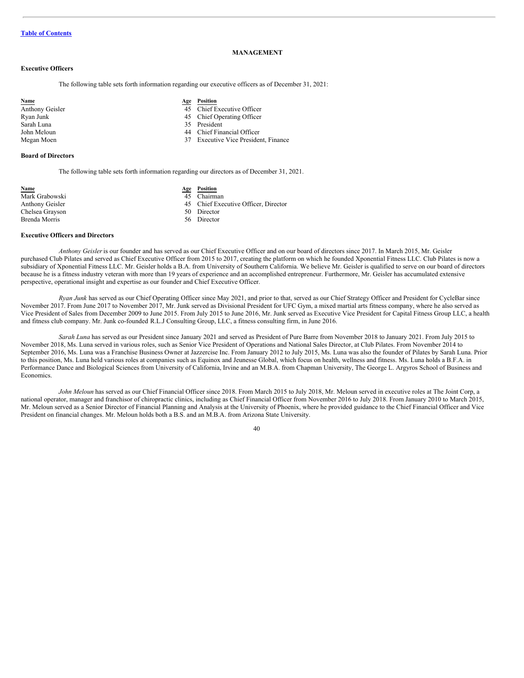# **MANAGEMENT**

## **Executive Officers**

The following table sets forth information regarding our executive officers as of December 31, 2021:

| <b>Name</b>     | Age | Position                                 |
|-----------------|-----|------------------------------------------|
| Anthony Geisler |     | 45 Chief Executive Officer               |
| Ryan Junk       |     | 45 Chief Operating Officer               |
| Sarah Luna      |     | 35 President                             |
| John Meloun     |     | 44 Chief Financial Officer               |
| Megan Moen      | 37  | <b>Executive Vice President, Finance</b> |
|                 |     |                                          |

## **Board of Directors**

The following table sets forth information regarding our directors as of December 31, 2021.

| Name            | Age | Position    |
|-----------------|-----|-------------|
| Mark Grabowski  |     | 45 Chairma  |
| Anthony Geisler |     | 45 Chief Ex |
| Chelsea Grayson |     | 50 Director |
| Brenda Morris   |     | 56 Director |

- **Name Age Position**
- $\overline{45}$  Chairman
- 45 Chief Executive Officer, Director

- 50 Director
- 

## **Executive Officers and Directors**

*Anthony Geisler*is our founder and has served as our Chief Executive Officer and on our board of directors since 2017. In March 2015, Mr. Geisler purchased Club Pilates and served as Chief Executive Officer from 2015 to 2017, creating the platform on which he founded Xponential Fitness LLC. Club Pilates is now a subsidiary of Xponential Fitness LLC. Mr. Geisler holds a B.A. from University of Southern California. We believe Mr. Geisler is qualified to serve on our board of directors because he is a fitness industry veteran with more than 19 years of experience and an accomplished entrepreneur. Furthermore, Mr. Geisler has accumulated extensive perspective, operational insight and expertise as our founder and Chief Executive Officer.

*Ryan Junk* has served as our Chief Operating Officer since May 2021, and prior to that, served as our Chief Strategy Officer and President for CycleBar since November 2017. From June 2017 to November 2017, Mr. Junk served as Divisional President for UFC Gym, a mixed martial arts fitness company, where he also served as Vice President of Sales from December 2009 to June 2015. From July 2015 to June 2016, Mr. Junk served as Executive Vice President for Capital Fitness Group LLC, a health and fitness club company. Mr. Junk co-founded R.L.J Consulting Group, LLC, a fitness consulting firm, in June 2016.

*Sarah Luna* has served as our President since January 2021 and served as President of Pure Barre from November 2018 to January 2021. From July 2015 to November 2018, Ms. Luna served in various roles, such as Senior Vice President of Operations and National Sales Director, at Club Pilates. From November 2014 to September 2016, Ms. Luna was a Franchise Business Owner at Jazzercise Inc. From January 2012 to July 2015, Ms. Luna was also the founder of Pilates by Sarah Luna. Prior to this position, Ms. Luna held various roles at companies such as Equinox and Jeunesse Global, which focus on health, wellness and fitness. Ms. Luna holds a B.F.A. in Performance Dance and Biological Sciences from University of California, Irvine and an M.B.A. from Chapman University, The George L. Argyros School of Business and Economics.

*John Meloun* has served as our Chief Financial Officer since 2018. From March 2015 to July 2018, Mr. Meloun served in executive roles at The Joint Corp, a national operator, manager and franchisor of chiropractic clinics, including as Chief Financial Officer from November 2016 to July 2018. From January 2010 to March 2015, Mr. Meloun served as a Senior Director of Financial Planning and Analysis at the University of Phoenix, where he provided guidance to the Chief Financial Officer and Vice President on financial changes. Mr. Meloun holds both a B.S. and an M.B.A. from Arizona State University.

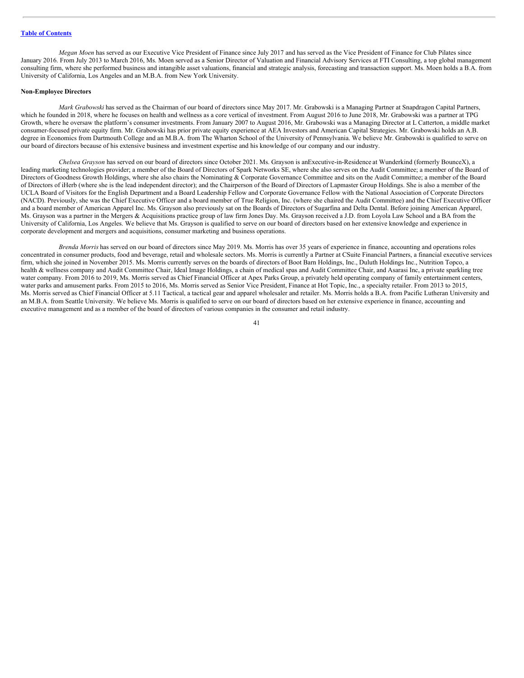*Megan Moen* has served as our Executive Vice President of Finance since July 2017 and has served as the Vice President of Finance for Club Pilates since January 2016. From July 2013 to March 2016, Ms. Moen served as a Senior Director of Valuation and Financial Advisory Services at FTI Consulting, a top global management consulting firm, where she performed business and intangible asset valuations, financial and strategic analysis, forecasting and transaction support. Ms. Moen holds a B.A. from University of California, Los Angeles and an M.B.A. from New York University.

#### **Non-Employee Directors**

*Mark Grabowski* has served as the Chairman of our board of directors since May 2017. Mr. Grabowski is a Managing Partner at Snapdragon Capital Partners, which he founded in 2018, where he focuses on health and wellness as a core vertical of investment. From August 2016 to June 2018, Mr. Grabowski was a partner at TPG Growth, where he oversaw the platform's consumer investments. From January 2007 to August 2016, Mr. Grabowski was a Managing Director at L Catterton, a middle market consumer-focused private equity firm. Mr. Grabowski has prior private equity experience at AEA Investors and American Capital Strategies. Mr. Grabowski holds an A.B. degree in Economics from Dartmouth College and an M.B.A. from The Wharton School of the University of Pennsylvania. We believe Mr. Grabowski is qualified to serve on our board of directors because of his extensive business and investment expertise and his knowledge of our company and our industry.

*Chelsea Grayson* has served on our board of directors since October 2021. Ms. Grayson is anExecutive-in-Residence at Wunderkind (formerly BounceX), a leading marketing technologies provider; a member of the Board of Directors of Spark Networks SE, where she also serves on the Audit Committee; a member of the Board of Directors of Goodness Growth Holdings, where she also chairs the Nominating & Corporate Governance Committee and sits on the Audit Committee; a member of the Board of Directors of iHerb (where she is the lead independent director); and the Chairperson of the Board of Directors of Lapmaster Group Holdings. She is also a member of the UCLA Board of Visitors for the English Department and a Board Leadership Fellow and Corporate Governance Fellow with the National Association of Corporate Directors (NACD). Previously, she was the Chief Executive Officer and a board member of True Religion, Inc. (where she chaired the Audit Committee) and the Chief Executive Officer and a board member of American Apparel Inc. Ms. Grayson also previously sat on the Boards of Directors of Sugarfina and Delta Dental. Before joining American Apparel, Ms. Grayson was a partner in the Mergers & Acquisitions practice group of law firm Jones Day. Ms. Grayson received a J.D. from Loyola Law School and a BA from the University of California, Los Angeles. We believe that Ms. Grayson is qualified to serve on our board of directors based on her extensive knowledge and experience in corporate development and mergers and acquisitions, consumer marketing and business operations.

*Brenda Morris* has served on our board of directors since May 2019. Ms. Morris has over 35 years of experience in finance, accounting and operations roles concentrated in consumer products, food and beverage, retail and wholesale sectors. Ms. Morris is currently a Partner at CSuite Financial Partners, a financial executive services firm, which she joined in November 2015. Ms. Morris currently serves on the boards of directors of Boot Barn Holdings, Inc., Duluth Holdings Inc., Nutrition Topco, a health & wellness company and Audit Committee Chair, Ideal Image Holdings, a chain of medical spas and Audit Committee Chair, and Asarasi Inc, a private sparkling tree water company. From 2016 to 2019, Ms. Morris served as Chief Financial Officer at Apex Parks Group, a privately held operating company of family entertainment centers, water parks and amusement parks. From 2015 to 2016, Ms. Morris served as Senior Vice President, Finance at Hot Topic, Inc., a specialty retailer. From 2013 to 2015, Ms. Morris served as Chief Financial Officer at 5.11 Tactical, a tactical gear and apparel wholesaler and retailer. Ms. Morris holds a B.A. from Pacific Lutheran University and an M.B.A. from Seattle University. We believe Ms. Morris is qualified to serve on our board of directors based on her extensive experience in finance, accounting and executive management and as a member of the board of directors of various companies in the consumer and retail industry.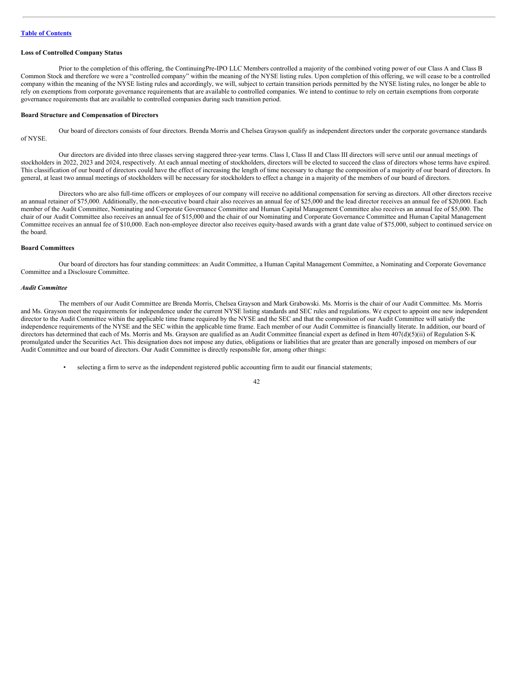## **Loss of Controlled Company Status**

Prior to the completion of this offering, the ContinuingPre-IPO LLC Members controlled a majority of the combined voting power of our Class A and Class B Common Stock and therefore we were a "controlled company" within the meaning of the NYSE listing rules. Upon completion of this offering, we will cease to be a controlled company within the meaning of the NYSE listing rules and accordingly, we will, subject to certain transition periods permitted by the NYSE listing rules, no longer be able to rely on exemptions from corporate governance requirements that are available to controlled companies. We intend to continue to rely on certain exemptions from corporate governance requirements that are available to controlled companies during such transition period.

### **Board Structure and Compensation of Directors**

Our board of directors consists of four directors. Brenda Morris and Chelsea Grayson qualify as independent directors under the corporate governance standards of NYSE.

Our directors are divided into three classes serving staggered three-year terms. Class I, Class II and Class III directors will serve until our annual meetings of stockholders in 2022, 2023 and 2024, respectively. At each annual meeting of stockholders, directors will be elected to succeed the class of directors whose terms have expired. This classification of our board of directors could have the effect of increasing the length of time necessary to change the composition of a majority of our board of directors. In general, at least two annual meetings of stockholders will be necessary for stockholders to effect a change in a majority of the members of our board of directors.

Directors who are also full-time officers or employees of our company will receive no additional compensation for serving as directors. All other directors receive an annual retainer of \$75,000. Additionally, the non-executive board chair also receives an annual fee of \$25,000 and the lead director receives an annual fee of \$20,000. Each member of the Audit Committee, Nominating and Corporate Governance Committee and Human Capital Management Committee also receives an annual fee of \$5,000. The chair of our Audit Committee also receives an annual fee of \$15,000 and the chair of our Nominating and Corporate Governance Committee and Human Capital Management Committee receives an annual fee of \$10,000. Each non-employee director also receives equity-based awards with a grant date value of \$75,000, subject to continued service on the board.

## **Board Committees**

Our board of directors has four standing committees: an Audit Committee, a Human Capital Management Committee, a Nominating and Corporate Governance Committee and a Disclosure Committee.

#### *Audit Committee*

The members of our Audit Committee are Brenda Morris, Chelsea Grayson and Mark Grabowski. Ms. Morris is the chair of our Audit Committee. Ms. Morris and Ms. Grayson meet the requirements for independence under the current NYSE listing standards and SEC rules and regulations. We expect to appoint one new independent director to the Audit Committee within the applicable time frame required by the NYSE and the SEC and that the composition of our Audit Committee will satisfy the independence requirements of the NYSE and the SEC within the applicable time frame. Each member of our Audit Committee is financially literate. In addition, our board of directors has determined that each of Ms. Morris and Ms. Grayson are qualified as an Audit Committee financial expert as defined in Item 407(d)(5)(ii) of Regulation S-K promulgated under the Securities Act. This designation does not impose any duties, obligations or liabilities that are greater than are generally imposed on members of our Audit Committee and our board of directors. Our Audit Committee is directly responsible for, among other things:

• selecting a firm to serve as the independent registered public accounting firm to audit our financial statements;

$$
^{42}
$$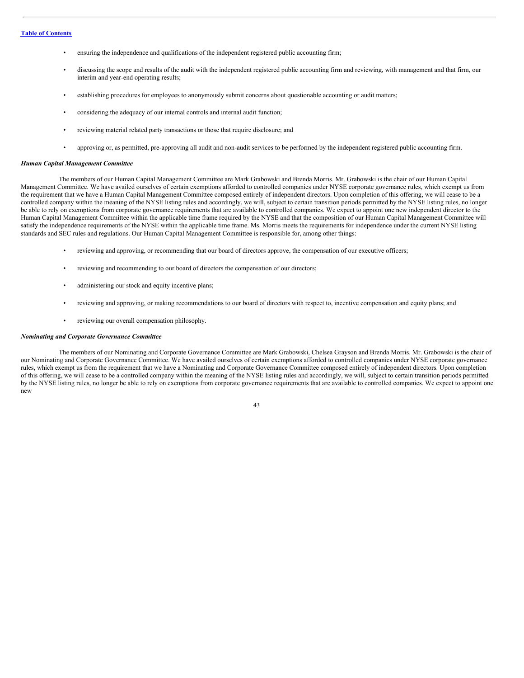- ensuring the independence and qualifications of the independent registered public accounting firm;
- discussing the scope and results of the audit with the independent registered public accounting firm and reviewing, with management and that firm, our interim and year-end operating results;
- establishing procedures for employees to anonymously submit concerns about questionable accounting or audit matters;
- considering the adequacy of our internal controls and internal audit function;
- reviewing material related party transactions or those that require disclosure; and
- approving or, as permitted, pre-approving all audit and non-audit services to be performed by the independent registered public accounting firm.

### *Human Capital Management Committee*

The members of our Human Capital Management Committee are Mark Grabowski and Brenda Morris. Mr. Grabowski is the chair of our Human Capital Management Committee. We have availed ourselves of certain exemptions afforded to controlled companies under NYSE corporate governance rules, which exempt us from the requirement that we have a Human Capital Management Committee composed entirely of independent directors. Upon completion of this offering, we will cease to be a controlled company within the meaning of the NYSE listing rules and accordingly, we will, subject to certain transition periods permitted by the NYSE listing rules, no longer be able to rely on exemptions from corporate governance requirements that are available to controlled companies. We expect to appoint one new independent director to the Human Capital Management Committee within the applicable time frame required by the NYSE and that the composition of our Human Capital Management Committee will satisfy the independence requirements of the NYSE within the applicable time frame. Ms. Morris meets the requirements for independence under the current NYSE listing standards and SEC rules and regulations. Our Human Capital Management Committee is responsible for, among other things:

- reviewing and approving, or recommending that our board of directors approve, the compensation of our executive officers;
- reviewing and recommending to our board of directors the compensation of our directors;
- administering our stock and equity incentive plans;
- reviewing and approving, or making recommendations to our board of directors with respect to, incentive compensation and equity plans; and
- reviewing our overall compensation philosophy.

#### *Nominating and Corporate Governance Committee*

The members of our Nominating and Corporate Governance Committee are Mark Grabowski, Chelsea Grayson and Brenda Morris. Mr. Grabowski is the chair of our Nominating and Corporate Governance Committee. We have availed ourselves of certain exemptions afforded to controlled companies under NYSE corporate governance rules, which exempt us from the requirement that we have a Nominating and Corporate Governance Committee composed entirely of independent directors. Upon completion of this offering, we will cease to be a controlled company within the meaning of the NYSE listing rules and accordingly, we will, subject to certain transition periods permitted by the NYSE listing rules, no longer be able to rely on exemptions from corporate governance requirements that are available to controlled companies. We expect to appoint one new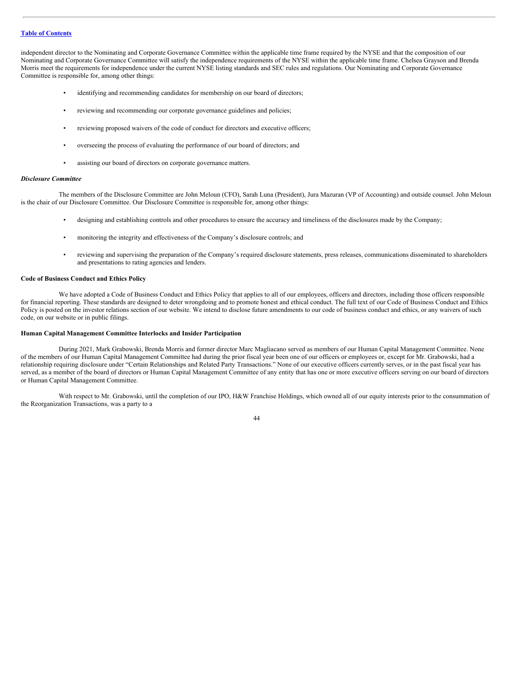independent director to the Nominating and Corporate Governance Committee within the applicable time frame required by the NYSE and that the composition of our Nominating and Corporate Governance Committee will satisfy the independence requirements of the NYSE within the applicable time frame. Chelsea Grayson and Brenda Morris meet the requirements for independence under the current NYSE listing standards and SEC rules and regulations. Our Nominating and Corporate Governance Committee is responsible for, among other things:

- identifying and recommending candidates for membership on our board of directors;
- reviewing and recommending our corporate governance guidelines and policies;
- reviewing proposed waivers of the code of conduct for directors and executive officers;
- overseeing the process of evaluating the performance of our board of directors; and
- assisting our board of directors on corporate governance matters.

### *Disclosure Committee*

The members of the Disclosure Committee are John Meloun (CFO), Sarah Luna (President), Jura Mazuran (VP of Accounting) and outside counsel. John Meloun is the chair of our Disclosure Committee. Our Disclosure Committee is responsible for, among other things:

- designing and establishing controls and other procedures to ensure the accuracy and timeliness of the disclosures made by the Company;
- monitoring the integrity and effectiveness of the Company's disclosure controls; and
- reviewing and supervising the preparation of the Company's required disclosure statements, press releases, communications disseminated to shareholders and presentations to rating agencies and lenders.

## **Code of Business Conduct and Ethics Policy**

We have adopted a Code of Business Conduct and Ethics Policy that applies to all of our employees, officers and directors, including those officers responsible for financial reporting. These standards are designed to deter wrongdoing and to promote honest and ethical conduct. The full text of our Code of Business Conduct and Ethics Policy is posted on the investor relations section of our website. We intend to disclose future amendments to our code of business conduct and ethics, or any waivers of such code, on our website or in public filings.

## **Human Capital Management Committee Interlocks and Insider Participation**

During 2021, Mark Grabowski, Brenda Morris and former director Marc Magliacano served as members of our Human Capital Management Committee. None of the members of our Human Capital Management Committee had during the prior fiscal year been one of our officers or employees or, except for Mr. Grabowski, had a relationship requiring disclosure under "Certain Relationships and Related Party Transactions." None of our executive officers currently serves, or in the past fiscal year has served, as a member of the board of directors or Human Capital Management Committee of any entity that has one or more executive officers serving on our board of directors or Human Capital Management Committee.

With respect to Mr. Grabowski, until the completion of our IPO, H&W Franchise Holdings, which owned all of our equity interests prior to the consummation of the Reorganization Transactions, was a party to a

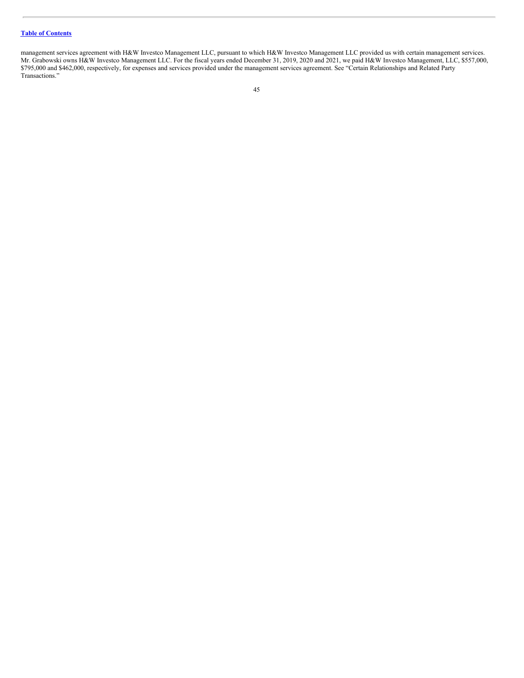management services agreement with H&W Investco Management LLC, pursuant to which H&W Investco Management LLC provided us with certain management services. Mr. Grabowski owns H&W Investco Management LLC. For the fiscal years ended December 31, 2019, 2020 and 2021, we paid H&W Investco Management, LLC, \$557,000, \$795,000 and \$462,000, respectively, for expenses and services provided under the management services agreement. See "Certain Relationships and Related Party Transactions."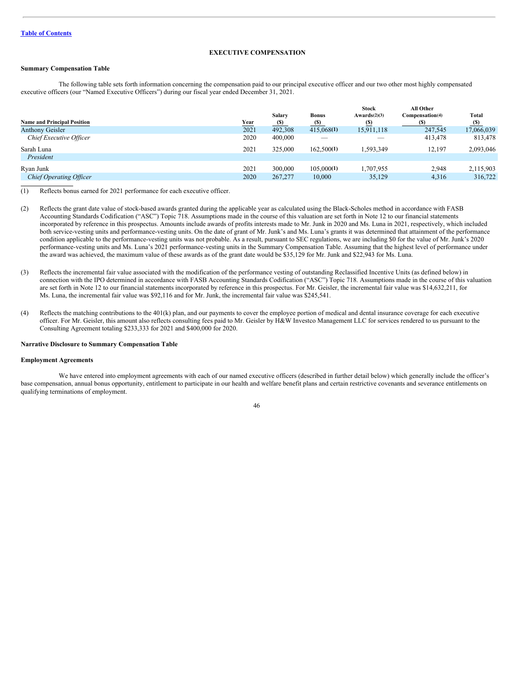# **EXECUTIVE COMPENSATION**

## **Summary Compensation Table**

The following table sets forth information concerning the compensation paid to our principal executive officer and our two other most highly compensated executive officers (our "Named Executive Officers") during our fiscal year ended December 31, 2021.

| <b>Name and Principal Position</b> | Year | Salary<br><b>(S)</b> | <b>Bonus</b><br>(S) | <b>Stock</b><br>Awards(2)(3)<br>$\left( \mathbf{S}\right)$ | All Other<br>Compensation(4) | Total<br>$(S)$ |
|------------------------------------|------|----------------------|---------------------|------------------------------------------------------------|------------------------------|----------------|
| <b>Anthony Geisler</b>             | 2021 | 492.308              | 415,068(1)          | 15,911,118                                                 | 247,545                      | 17,066,039     |
| Chief Executive Officer            | 2020 | 400,000              | _                   | $\overline{\phantom{a}}$                                   | 413,478                      | 813,478        |
| Sarah Luna                         | 2021 | 325,000              | 162,500(1)          | 1,593,349                                                  | 12.197                       | 2,093,046      |
| President                          |      |                      |                     |                                                            |                              |                |
| Ryan Junk                          | 2021 | 300,000              | 105,000(1)          | 1.707.955                                                  | 2.948                        | 2,115,903      |
| <b>Chief Operating Officer</b>     | 2020 | 267,277              | 10.000              | 35,129                                                     | 4,316                        | 316,722        |

(1) Reflects bonus earned for 2021 performance for each executive officer.

- (2) Reflects the grant date value of stock-based awards granted during the applicable year as calculated using the Black-Scholes method in accordance with FASB Accounting Standards Codification ("ASC") Topic 718. Assumptions made in the course of this valuation are set forth in Note 12 to our financial statements incorporated by reference in this prospectus. Amounts include awards of profits interests made to Mr. Junk in 2020 and Ms. Luna in 2021, respectively, which included both service-vesting units and performance-vesting units. On the date of grant of Mr. Junk's and Ms. Luna's grants it was determined that attainment of the performance condition applicable to the performance-vesting units was not probable. As a result, pursuant to SEC regulations, we are including \$0 for the value of Mr. Junk's 2020 performance-vesting units and Ms. Luna's 2021 performance-vesting units in the Summary Compensation Table. Assuming that the highest level of performance under the award was achieved, the maximum value of these awards as of the grant date would be \$35,129 for Mr. Junk and \$22,943 for Ms. Luna.
- (3) Reflects the incremental fair value associated with the modification of the performance vesting of outstanding Reclassified Incentive Units (as defined below) in connection with the IPO determined in accordance with FASB Accounting Standards Codification ("ASC") Topic 718. Assumptions made in the course of this valuation are set forth in Note 12 to our financial statements incorporated by reference in this prospectus. For Mr. Geisler, the incremental fair value was \$14,632,211, for Ms. Luna, the incremental fair value was \$92,116 and for Mr. Junk, the incremental fair value was \$245,541.
- (4) Reflects the matching contributions to the 401(k) plan, and our payments to cover the employee portion of medical and dental insurance coverage for each executive officer. For Mr. Geisler, this amount also reflects consulting fees paid to Mr. Geisler by H&W Investco Management LLC for services rendered to us pursuant to the Consulting Agreement totaling \$233,333 for 2021 and \$400,000 for 2020.

#### **Narrative Disclosure to Summary Compensation Table**

#### **Employment Agreements**

We have entered into employment agreements with each of our named executive officers (described in further detail below) which generally include the officer's base compensation, annual bonus opportunity, entitlement to participate in our health and welfare benefit plans and certain restrictive covenants and severance entitlements on qualifying terminations of employment.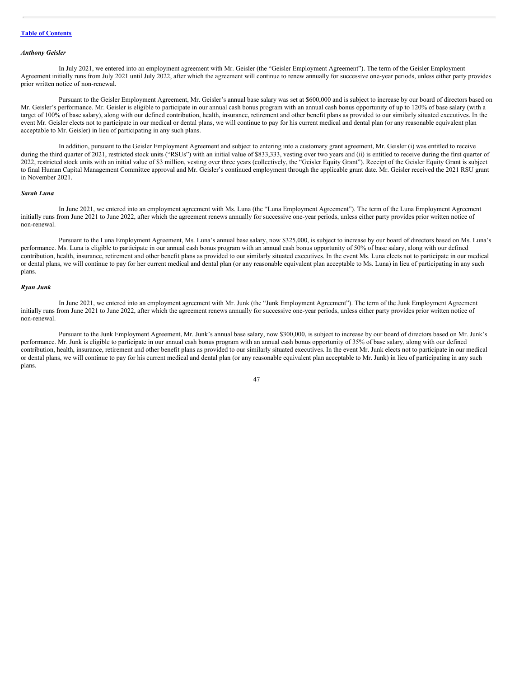## *Anthony Geisler*

In July 2021, we entered into an employment agreement with Mr. Geisler (the "Geisler Employment Agreement"). The term of the Geisler Employment Agreement initially runs from July 2021 until July 2022, after which the agreement will continue to renew annually for successive one-year periods, unless either party provides prior written notice of non-renewal.

Pursuant to the Geisler Employment Agreement, Mr. Geisler's annual base salary was set at \$600,000 and is subject to increase by our board of directors based on Mr. Geisler's performance. Mr. Geisler is eligible to participate in our annual cash bonus program with an annual cash bonus opportunity of up to 120% of base salary (with a target of 100% of base salary), along with our defined contribution, health, insurance, retirement and other benefit plans as provided to our similarly situated executives. In the event Mr. Geisler elects not to participate in our medical or dental plans, we will continue to pay for his current medical and dental plan (or any reasonable equivalent plan acceptable to Mr. Geisler) in lieu of participating in any such plans.

In addition, pursuant to the Geisler Employment Agreement and subject to entering into a customary grant agreement, Mr. Geisler (i) was entitled to receive during the third quarter of 2021, restricted stock units ("RSUs") with an initial value of \$833,333, vesting over two years and (ii) is entitled to receive during the first quarter of 2022, restricted stock units with an initial value of \$3 million, vesting over three years (collectively, the "Geisler Equity Grant"). Receipt of the Geisler Equity Grant is subject to final Human Capital Management Committee approval and Mr. Geisler's continued employment through the applicable grant date. Mr. Geisler received the 2021 RSU grant in November 2021.

### *Sarah Luna*

In June 2021, we entered into an employment agreement with Ms. Luna (the "Luna Employment Agreement"). The term of the Luna Employment Agreement initially runs from June 2021 to June 2022, after which the agreement renews annually for successive one-year periods, unless either party provides prior written notice of non-renewal.

Pursuant to the Luna Employment Agreement, Ms. Luna's annual base salary, now \$325,000, is subject to increase by our board of directors based on Ms. Luna's performance. Ms. Luna is eligible to participate in our annual cash bonus program with an annual cash bonus opportunity of 50% of base salary, along with our defined contribution, health, insurance, retirement and other benefit plans as provided to our similarly situated executives. In the event Ms. Luna elects not to participate in our medical or dental plans, we will continue to pay for her current medical and dental plan (or any reasonable equivalent plan acceptable to Ms. Luna) in lieu of participating in any such plans.

### *Ryan Junk*

In June 2021, we entered into an employment agreement with Mr. Junk (the "Junk Employment Agreement"). The term of the Junk Employment Agreement initially runs from June 2021 to June 2022, after which the agreement renews annually for successive one-year periods, unless either party provides prior written notice of non-renewal.

Pursuant to the Junk Employment Agreement, Mr. Junk's annual base salary, now \$300,000, is subject to increase by our board of directors based on Mr. Junk's performance. Mr. Junk is eligible to participate in our annual cash bonus program with an annual cash bonus opportunity of 35% of base salary, along with our defined contribution, health, insurance, retirement and other benefit plans as provided to our similarly situated executives. In the event Mr. Junk elects not to participate in our medical or dental plans, we will continue to pay for his current medical and dental plan (or any reasonable equivalent plan acceptable to Mr. Junk) in lieu of participating in any such plans.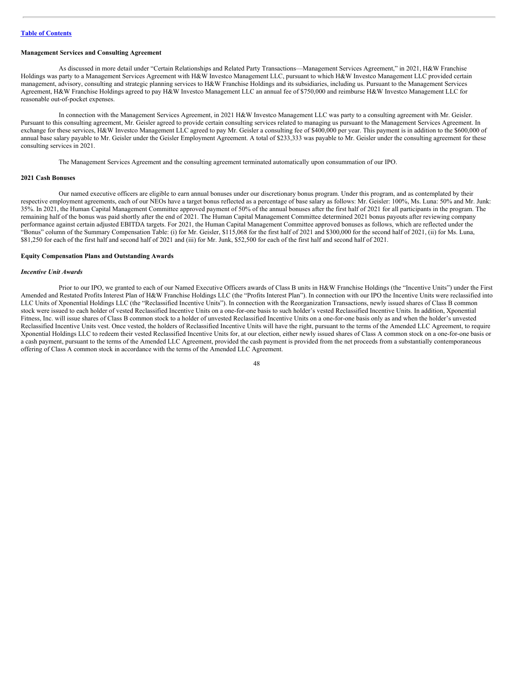## **Management Services and Consulting Agreement**

As discussed in more detail under "Certain Relationships and Related Party Transactions—Management Services Agreement," in 2021, H&W Franchise Holdings was party to a Management Services Agreement with H&W Investco Management LLC, pursuant to which H&W Investco Management LLC provided certain management, advisory, consulting and strategic planning services to H&W Franchise Holdings and its subsidiaries, including us. Pursuant to the Management Services Agreement, H&W Franchise Holdings agreed to pay H&W Investco Management LLC an annual fee of \$750,000 and reimburse H&W Investco Management LLC for reasonable out-of-pocket expenses.

In connection with the Management Services Agreement, in 2021 H&W Investco Management LLC was party to a consulting agreement with Mr. Geisler. Pursuant to this consulting agreement, Mr. Geisler agreed to provide certain consulting services related to managing us pursuant to the Management Services Agreement. In exchange for these services, H&W Investco Management LLC agreed to pay Mr. Geisler a consulting fee of \$400,000 per year. This payment is in addition to the \$600,000 of annual base salary payable to Mr. Geisler under the Geisler Employment Agreement. A total of \$233,333 was payable to Mr. Geisler under the consulting agreement for these consulting services in 2021.

The Management Services Agreement and the consulting agreement terminated automatically upon consummation of our IPO.

### **2021 Cash Bonuses**

Our named executive officers are eligible to earn annual bonuses under our discretionary bonus program. Under this program, and as contemplated by their respective employment agreements, each of our NEOs have a target bonus reflected as a percentage of base salary as follows: Mr. Geisler: 100%, Ms. Luna: 50% and Mr. Junk: 35%. In 2021, the Human Capital Management Committee approved payment of 50% of the annual bonuses after the first half of 2021 for all participants in the program. The remaining half of the bonus was paid shortly after the end of 2021. The Human Capital Management Committee determined 2021 bonus payouts after reviewing company performance against certain adjusted EBITDA targets. For 2021, the Human Capital Management Committee approved bonuses as follows, which are reflected under the "Bonus" column of the Summary Compensation Table: (i) for Mr. Geisler, \$115,068 for the first half of 2021 and \$300,000 for the second half of 2021, (ii) for Ms. Luna, \$81,250 for each of the first half and second half of 2021 and (iii) for Mr. Junk, \$52,500 for each of the first half and second half of 2021.

## **Equity Compensation Plans and Outstanding Awards**

## *Incentive Unit Awards*

Prior to our IPO, we granted to each of our Named Executive Officers awards of Class B units in H&W Franchise Holdings (the "Incentive Units") under the First Amended and Restated Profits Interest Plan of H&W Franchise Holdings LLC (the "Profits Interest Plan"). In connection with our IPO the Incentive Units were reclassified into LLC Units of Xponential Holdings LLC (the "Reclassified Incentive Units"). In connection with the Reorganization Transactions, newly issued shares of Class B common stock were issued to each holder of vested Reclassified Incentive Units on a one-for-one basis to such holder's vested Reclassified Incentive Units. In addition, Xponential Fitness, Inc. will issue shares of Class B common stock to a holder of unvested Reclassified Incentive Units on a one-for-one basis only as and when the holder's unvested Reclassified Incentive Units vest. Once vested, the holders of Reclassified Incentive Units will have the right, pursuant to the terms of the Amended LLC Agreement, to require Xponential Holdings LLC to redeem their vested Reclassified Incentive Units for, at our election, either newly issued shares of Class A common stock on a one-for-one basis or a cash payment, pursuant to the terms of the Amended LLC Agreement, provided the cash payment is provided from the net proceeds from a substantially contemporaneous offering of Class A common stock in accordance with the terms of the Amended LLC Agreement.

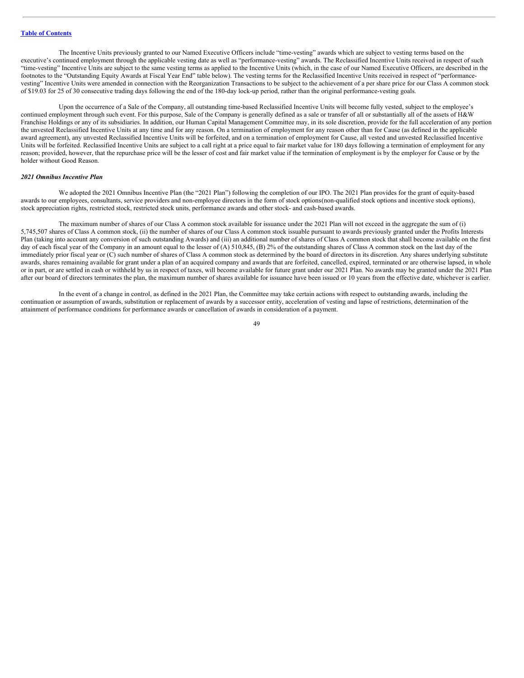The Incentive Units previously granted to our Named Executive Officers include "time-vesting" awards which are subject to vesting terms based on the executive's continued employment through the applicable vesting date as well as "performance-vesting" awards. The Reclassified Incentive Units received in respect of such "time-vesting" Incentive Units are subject to the same vesting terms as applied to the Incentive Units (which, in the case of our Named Executive Officers, are described in the footnotes to the "Outstanding Equity Awards at Fiscal Year End" table below). The vesting terms for the Reclassified Incentive Units received in respect of "performancevesting" Incentive Units were amended in connection with the Reorganization Transactions to be subject to the achievement of a per share price for our Class A common stock of \$19.03 for 25 of 30 consecutive trading days following the end of the 180-day lock-up period, rather than the original performance-vesting goals.

Upon the occurrence of a Sale of the Company, all outstanding time-based Reclassified Incentive Units will become fully vested, subject to the employee's continued employment through such event. For this purpose, Sale of the Company is generally defined as a sale or transfer of all or substantially all of the assets of H&W Franchise Holdings or any of its subsidiaries. In addition, our Human Capital Management Committee may, in its sole discretion, provide for the full acceleration of any portion the unvested Reclassified Incentive Units at any time and for any reason. On a termination of employment for any reason other than for Cause (as defined in the applicable award agreement), any unvested Reclassified Incentive Units will be forfeited, and on a termination of employment for Cause, all vested and unvested Reclassified Incentive Units will be forfeited. Reclassified Incentive Units are subject to a call right at a price equal to fair market value for 180 days following a termination of employment for any reason; provided, however, that the repurchase price will be the lesser of cost and fair market value if the termination of employment is by the employer for Cause or by the holder without Good Reason.

### *2021 Omnibus Incentive Plan*

We adopted the 2021 Omnibus Incentive Plan (the "2021 Plan") following the completion of our IPO. The 2021 Plan provides for the grant of equity-based awards to our employees, consultants, service providers and non-employee directors in the form of stock options(non-qualified stock options and incentive stock options), stock appreciation rights, restricted stock, restricted stock units, performance awards and other stock- and cash-based awards.

The maximum number of shares of our Class A common stock available for issuance under the 2021 Plan will not exceed in the aggregate the sum of (i) 5,745,507 shares of Class A common stock, (ii) the number of shares of our Class A common stock issuable pursuant to awards previously granted under the Profits Interests Plan (taking into account any conversion of such outstanding Awards) and (iii) an additional number of shares of Class A common stock that shall become available on the first day of each fiscal year of the Company in an amount equal to the lesser of (A) 510,845, (B) 2% of the outstanding shares of Class A common stock on the last day of the immediately prior fiscal year or (C) such number of shares of Class A common stock as determined by the board of directors in its discretion. Any shares underlying substitute awards, shares remaining available for grant under a plan of an acquired company and awards that are forfeited, cancelled, expired, terminated or are otherwise lapsed, in whole or in part, or are settled in cash or withheld by us in respect of taxes, will become available for future grant under our 2021 Plan. No awards may be granted under the 2021 Plan after our board of directors terminates the plan, the maximum number of shares available for issuance have been issued or 10 years from the effective date, whichever is earlier.

In the event of a change in control, as defined in the 2021 Plan, the Committee may take certain actions with respect to outstanding awards, including the continuation or assumption of awards, substitution or replacement of awards by a successor entity, acceleration of vesting and lapse of restrictions, determination of the attainment of performance conditions for performance awards or cancellation of awards in consideration of a payment.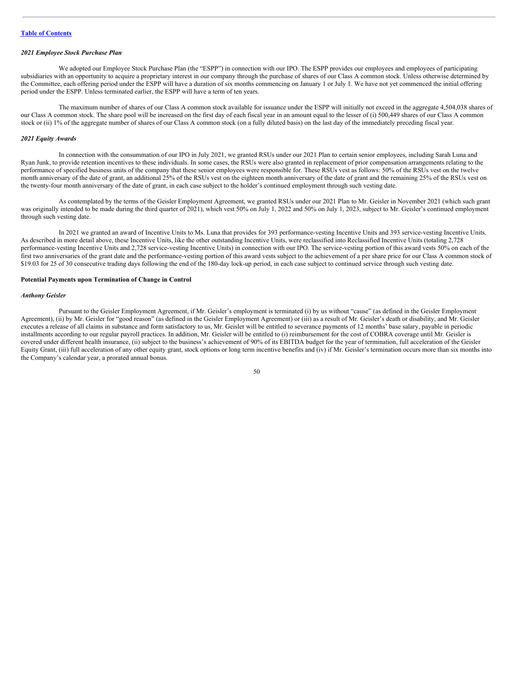## *2021 Employee Stock Purchase Plan*

We adopted our Employee Stock Purchase Plan (the "ESPP") in connection with our IPO. The ESPP provides our employees and employees of participating subsidiaries with an opportunity to acquire a proprietary interest in our company through the purchase of shares of our Class A common stock. Unless otherwise determined by the Committee, each offering period under the ESPP will have a duration of six months commencing on January 1 or July 1. We have not yet commenced the initial offering period under the ESPP. Unless terminated earlier, the ESPP will have a term of ten years.

The maximum number of shares of our Class A common stock available for issuance under the ESPP will initially not exceed in the aggregate 4,504,038 shares of our Class A common stock. The share pool will be increased on the first day of each fiscal year in an amount equal to the lesser of (i) 500,449 shares of our Class A common stock or (ii) 1% of the aggregate number of shares of our Class A common stock (on a fully diluted basis) on the last day of the immediately preceding fiscal year.

### *2021 Equity Awards*

In connection with the consummation of our IPO in July 2021, we granted RSUs under our 2021 Plan to certain senior employees, including Sarah Luna and Ryan Junk, to provide retention incentives to these individuals. In some cases, the RSUs were also granted in replacement of prior compensation arrangements relating to the performance of specified business units of the company that these senior employees were responsible for. These RSUs vest as follows: 50% of the RSUs vest on the twelve month anniversary of the date of grant, an additional 25% of the RSUs vest on the eighteen month anniversary of the date of grant and the remaining 25% of the RSUs vest on the twenty-four month anniversary of the date of grant, in each case subject to the holder's continued employment through such vesting date.

As contemplated by the terms of the Geisler Employment Agreement, we granted RSUs under our 2021 Plan to Mr. Geisler in November 2021 (which such grant was originally intended to be made during the third quarter of 2021), which vest 50% on July 1, 2022 and 50% on July 1, 2023, subject to Mr. Geisler's continued employment through such vesting date.

In 2021 we granted an award of Incentive Units to Ms. Luna that provides for 393 performance-vesting Incentive Units and 393 service-vesting Incentive Units. As described in more detail above, these Incentive Units, like the other outstanding Incentive Units, were reclassified into Reclassified Incentive Units (totaling 2,728 performance-vesting Incentive Units and 2,728 service-vesting Incentive Units) in connection with our IPO. The service-vesting portion of this award vests 50% on each of the first two anniversaries of the grant date and the performance-vesting portion of this award vests subject to the achievement of a per share price for our Class A common stock of \$19.03 for 25 of 30 consecutive trading days following the end of the 180-day lock-up period, in each case subject to continued service through such vesting date.

#### **Potential Payments upon Termination of Change in Control**

## *Anthony Geisler*

Pursuant to the Geisler Employment Agreement, if Mr. Geisler's employment is terminated (i) by us without "cause" (as defined in the Geisler Employment Agreement), (ii) by Mr. Geisler for "good reason" (as defined in the Geisler Employment Agreement) or (iii) as a result of Mr. Geisler's death or disability, and Mr. Geisler executes a release of all claims in substance and form satisfactory to us, Mr. Geisler will be entitled to severance payments of 12 months' base salary, payable in periodic installments according to our regular payroll practices. In addition, Mr. Geisler will be entitled to (i) reimbursement for the cost of COBRA coverage until Mr. Geisler is covered under different health insurance, (ii) subject to the business's achievement of 90% of its EBITDA budget for the year of termination, full acceleration of the Geisler Equity Grant, (iii) full acceleration of any other equity grant, stock options or long term incentive benefits and (iv) if Mr. Geisler's termination occurs more than six months into the Company's calendar year, a prorated annual bonus.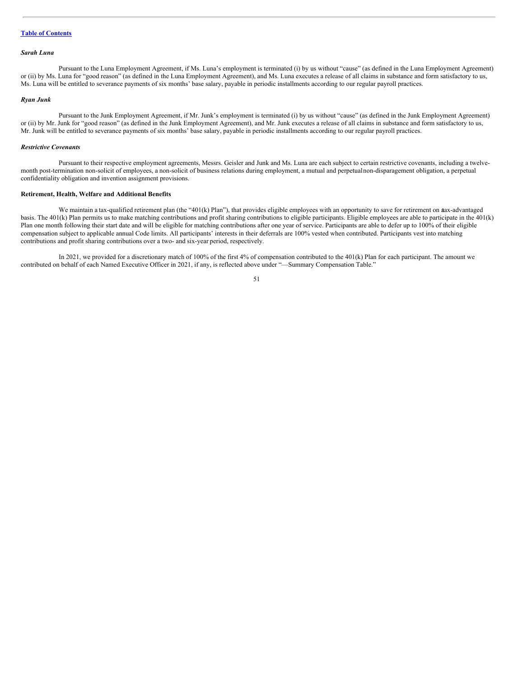## *Sarah Luna*

Pursuant to the Luna Employment Agreement, if Ms. Luna's employment is terminated (i) by us without "cause" (as defined in the Luna Employment Agreement) or (ii) by Ms. Luna for "good reason" (as defined in the Luna Employment Agreement), and Ms. Luna executes a release of all claims in substance and form satisfactory to us, Ms. Luna will be entitled to severance payments of six months' base salary, payable in periodic installments according to our regular payroll practices.

## *Ryan Junk*

Pursuant to the Junk Employment Agreement, if Mr. Junk's employment is terminated (i) by us without "cause" (as defined in the Junk Employment Agreement) or (ii) by Mr. Junk for "good reason" (as defined in the Junk Employment Agreement), and Mr. Junk executes a release of all claims in substance and form satisfactory to us, Mr. Junk will be entitled to severance payments of six months' base salary, payable in periodic installments according to our regular payroll practices.

## *Restrictive Covenants*

Pursuant to their respective employment agreements, Messrs. Geisler and Junk and Ms. Luna are each subject to certain restrictive covenants, including a twelvemonth post-termination non-solicit of employees, a non-solicit of business relations during employment, a mutual and perpetualnon-disparagement obligation, a perpetual confidentiality obligation and invention assignment provisions.

## **Retirement, Health, Welfare and Additional Benefits**

We maintain a tax-qualified retirement plan (the "401(k) Plan"), that provides eligible employees with an opportunity to save for retirement on atax-advantaged basis. The 401(k) Plan permits us to make matching contributions and profit sharing contributions to eligible participants. Eligible employees are able to participate in the 401(k) Plan one month following their start date and will be eligible for matching contributions after one year of service. Participants are able to defer up to 100% of their eligible compensation subject to applicable annual Code limits. All participants' interests in their deferrals are 100% vested when contributed. Participants vest into matching contributions and profit sharing contributions over a two- and six-year period, respectively.

In 2021, we provided for a discretionary match of 100% of the first 4% of compensation contributed to the 401(k) Plan for each participant. The amount we contributed on behalf of each Named Executive Officer in 2021, if any, is reflected above under "—Summary Compensation Table."

<sup>51</sup>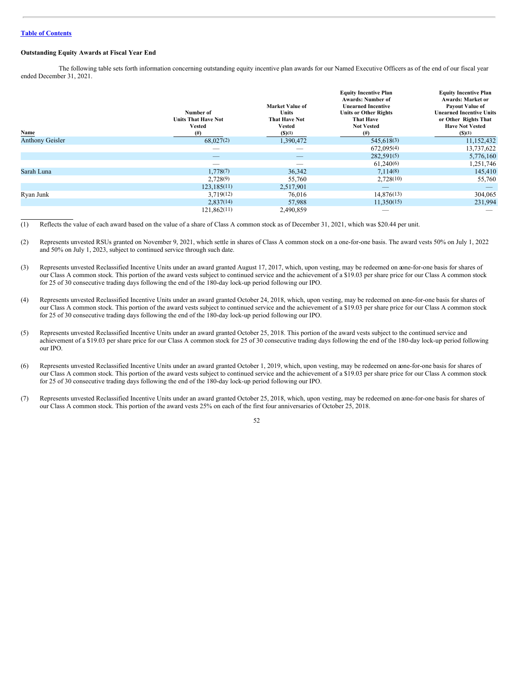## **Outstanding Equity Awards at Fiscal Year End**

The following table sets forth information concerning outstanding equity incentive plan awards for our Named Executive Officers as of the end of our fiscal year ended December 31, 2021.

| Name                   | Number of<br><b>Units That Have Not</b><br><b>Vested</b><br>(#) | <b>Market Value of</b><br><b>Units</b><br><b>That Have Not</b><br>Vested<br>(S)(1) | <b>Equity Incentive Plan</b><br><b>Awards: Number of</b><br><b>Unearned Incentive</b><br><b>Units or Other Rights</b><br><b>That Have</b><br><b>Not Vested</b><br>$^{(#)}$ | <b>Equity Incentive Plan</b><br><b>Awards: Market or</b><br>Payout Value of<br><b>Unearned Incentive Units</b><br>or Other Rights That<br><b>Have Not Vested</b><br>(S)(1) |
|------------------------|-----------------------------------------------------------------|------------------------------------------------------------------------------------|----------------------------------------------------------------------------------------------------------------------------------------------------------------------------|----------------------------------------------------------------------------------------------------------------------------------------------------------------------------|
| <b>Anthony Geisler</b> | 68,027(2)                                                       | 1,390,472                                                                          | 545,618(3)                                                                                                                                                                 | 11,152,432                                                                                                                                                                 |
|                        | $\overline{\phantom{a}}$                                        | $\overline{\phantom{a}}$                                                           | 672,095(4)                                                                                                                                                                 | 13,737,622                                                                                                                                                                 |
|                        | _                                                               | $\overline{\phantom{a}}$                                                           | 282,591(5)                                                                                                                                                                 | 5,776,160                                                                                                                                                                  |
|                        |                                                                 |                                                                                    | 61,240(6)                                                                                                                                                                  | 1,251,746                                                                                                                                                                  |
| Sarah Luna             | 1,778(7)                                                        | 36,342                                                                             | 7,114(8)                                                                                                                                                                   | 145,410                                                                                                                                                                    |
|                        | 2,728(9)                                                        | 55,760                                                                             | 2,728(10)                                                                                                                                                                  | 55,760                                                                                                                                                                     |
|                        | 123.185(11)                                                     | 2,517,901                                                                          |                                                                                                                                                                            |                                                                                                                                                                            |
| Ryan Junk              | 3,719(12)                                                       | 76,016                                                                             | 14,876(13)                                                                                                                                                                 | 304,065                                                                                                                                                                    |
|                        | 2,837(14)                                                       | 57,988                                                                             | 11,350(15)                                                                                                                                                                 | 231,994                                                                                                                                                                    |
|                        | 121,862(11)                                                     | 2,490,859                                                                          |                                                                                                                                                                            |                                                                                                                                                                            |

(1) Reflects the value of each award based on the value of a share of Class A common stock as of December 31, 2021, which was \$20.44 per unit.

(2) Represents unvested RSUs granted on November 9, 2021, which settle in shares of Class A common stock on a one-for-one basis. The award vests 50% on July 1, 2022 and 50% on July 1, 2023, subject to continued service through such date.

- (3) Represents unvested Reclassified Incentive Units under an award granted August 17, 2017, which, upon vesting, may be redeemed on aone-for-one basis for shares of our Class A common stock. This portion of the award vests subject to continued service and the achievement of a \$19.03 per share price for our Class A common stock for 25 of 30 consecutive trading days following the end of the 180-day lock-up period following our IPO.
- (4) Represents unvested Reclassified Incentive Units under an award granted October 24, 2018, which, upon vesting, may be redeemed on aone-for-one basis for shares of our Class A common stock. This portion of the award vests subject to continued service and the achievement of a \$19.03 per share price for our Class A common stock for 25 of 30 consecutive trading days following the end of the 180-day lock-up period following our IPO.
- (5) Represents unvested Reclassified Incentive Units under an award granted October 25, 2018. This portion of the award vests subject to the continued service and achievement of a \$19.03 per share price for our Class A common stock for 25 of 30 consecutive trading days following the end of the 180-day lock-up period following our IPO.
- (6) Represents unvested Reclassified Incentive Units under an award granted October 1, 2019, which, upon vesting, may be redeemed on aone-for-one basis for shares of our Class A common stock. This portion of the award vests subject to continued service and the achievement of a \$19.03 per share price for our Class A common stock for 25 of 30 consecutive trading days following the end of the 180-day lock-up period following our IPO.
- (7) Represents unvested Reclassified Incentive Units under an award granted October 25, 2018, which, upon vesting, may be redeemed on aone-for-one basis for shares of our Class A common stock. This portion of the award vests 25% on each of the first four anniversaries of October 25, 2018.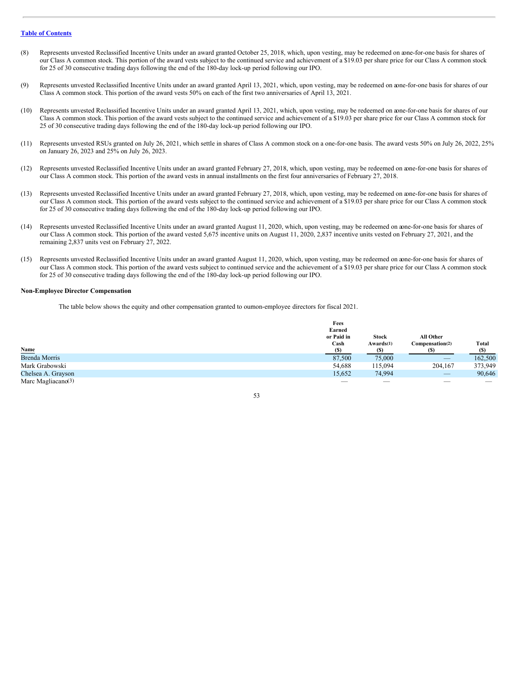- (8) Represents unvested Reclassified Incentive Units under an award granted October 25, 2018, which, upon vesting, may be redeemed on aone-for-one basis for shares of our Class A common stock. This portion of the award vests subject to the continued service and achievement of a \$19.03 per share price for our Class A common stock for 25 of 30 consecutive trading days following the end of the 180-day lock-up period following our IPO.
- (9) Represents unvested Reclassified Incentive Units under an award granted April 13, 2021, which, upon vesting, may be redeemed on aone-for-one basis for shares of our Class A common stock. This portion of the award vests 50% on each of the first two anniversaries of April 13, 2021.
- (10) Represents unvested Reclassified Incentive Units under an award granted April 13, 2021, which, upon vesting, may be redeemed on aone-for-one basis for shares of our Class A common stock. This portion of the award vests subject to the continued service and achievement of a \$19.03 per share price for our Class A common stock for 25 of 30 consecutive trading days following the end of the 180-day lock-up period following our IPO.
- (11) Represents unvested RSUs granted on July 26, 2021, which settle in shares of Class A common stock on a one-for-one basis. The award vests 50% on July 26, 2022, 25% on January 26, 2023 and 25% on July 26, 2023.
- (12) Represents unvested Reclassified Incentive Units under an award granted February 27, 2018, which, upon vesting, may be redeemed on aone-for-one basis for shares of our Class A common stock. This portion of the award vests in annual installments on the first four anniversaries of February 27, 2018.
- (13) Represents unvested Reclassified Incentive Units under an award granted February 27, 2018, which, upon vesting, may be redeemed on aone-for-one basis for shares of our Class A common stock. This portion of the award vests subject to the continued service and achievement of a \$19.03 per share price for our Class A common stock for 25 of 30 consecutive trading days following the end of the 180-day lock-up period following our IPO.
- (14) Represents unvested Reclassified Incentive Units under an award granted August 11, 2020, which, upon vesting, may be redeemed on aone-for-one basis for shares of our Class A common stock. This portion of the award vested 5,675 incentive units on August 11, 2020, 2,837 incentive units vested on February 27, 2021, and the remaining 2,837 units vest on February 27, 2022.
- (15) Represents unvested Reclassified Incentive Units under an award granted August 11, 2020, which, upon vesting, may be redeemed on aone-for-one basis for shares of our Class A common stock. This portion of the award vests subject to continued service and the achievement of a \$19.03 per share price for our Class A common stock for 25 of 30 consecutive trading days following the end of the 180-day lock-up period following our IPO.

## **Non-Employee Director Compensation**

The table below shows the equity and other compensation granted to ournon-employee directors for fiscal 2021.

|                                | Fees       |              |                                 |         |
|--------------------------------|------------|--------------|---------------------------------|---------|
|                                | Earned     |              |                                 |         |
|                                | or Paid in | <b>Stock</b> | All Other                       |         |
|                                | Cash       | Awards(1)    | Compensation(2)                 | Total   |
|                                | (S)        | <b>S</b>     |                                 | (S)     |
| Name<br>Brenda Morris          | 87,500     | 75,000       |                                 | 162,500 |
| Mark Grabowski                 | 54,688     | 115,094      | 204,167                         | 373,949 |
| Chelsea A. Grayson             | 15,652     | 74,994       | $\hspace{0.1mm}-\hspace{0.1mm}$ | 90,646  |
| Marc Magliacano <sup>(3)</sup> |            | $\sim$       |                                 |         |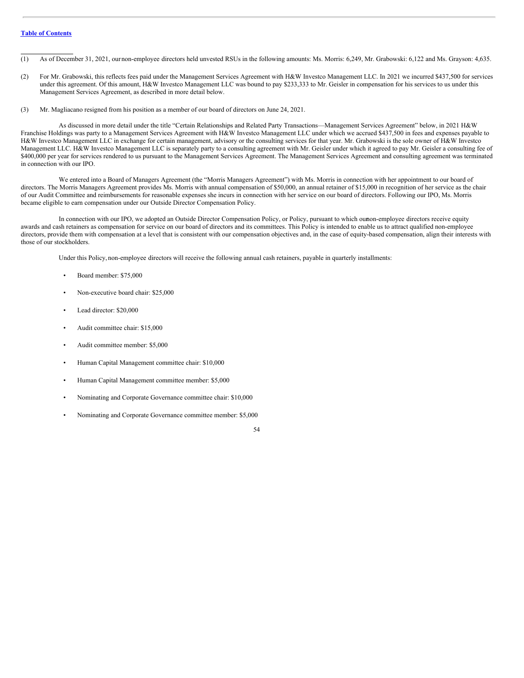(1) As of December 31, 2021, ournon-employee directors held unvested RSUs in the following amounts: Ms. Morris: 6,249, Mr. Grabowski: 6,122 and Ms. Grayson: 4,635.

- (2) For Mr. Grabowski, this reflects fees paid under the Management Services Agreement with H&W Investco Management LLC. In 2021 we incurred \$437,500 for services under this agreement. Of this amount, H&W Investco Management LLC was bound to pay \$233,333 to Mr. Geisler in compensation for his services to us under this Management Services Agreement, as described in more detail below.
- (3) Mr. Magliacano resigned from his position as a member of our board of directors on June 24, 2021.

As discussed in more detail under the title "Certain Relationships and Related Party Transactions—Management Services Agreement" below, in 2021 H&W Franchise Holdings was party to a Management Services Agreement with H&W Investco Management LLC under which we accrued \$437,500 in fees and expenses payable to H&W Investco Management LLC in exchange for certain management, advisory or the consulting services for that year. Mr. Grabowski is the sole owner of H&W Investco Management LLC. H&W Investco Management LLC is separately party to a consulting agreement with Mr. Geisler under which it agreed to pay Mr. Geisler a consulting fee of \$400,000 per year for services rendered to us pursuant to the Management Services Agreement. The Management Services Agreement and consulting agreement was terminated in connection with our IPO.

We entered into a Board of Managers Agreement (the "Morris Managers Agreement") with Ms. Morris in connection with her appointment to our board of directors. The Morris Managers Agreement provides Ms. Morris with annual compensation of \$50,000, an annual retainer of \$15,000 in recognition of her service as the chair of our Audit Committee and reimbursements for reasonable expenses she incurs in connection with her service on our board of directors. Following our IPO, Ms. Morris became eligible to earn compensation under our Outside Director Compensation Policy.

In connection with our IPO, we adopted an Outside Director Compensation Policy, or Policy, pursuant to which ournon-employee directors receive equity awards and cash retainers as compensation for service on our board of directors and its committees. This Policy is intended to enable us to attract qualified non-employee directors, provide them with compensation at a level that is consistent with our compensation objectives and, in the case of equity-based compensation, align their interests with those of our stockholders.

Under this Policy, non-employee directors will receive the following annual cash retainers, payable in quarterly installments:

- Board member: \$75,000
- Non-executive board chair: \$25,000
- Lead director: \$20,000
- Audit committee chair: \$15,000
- Audit committee member: \$5,000
- Human Capital Management committee chair: \$10,000
- Human Capital Management committee member: \$5,000
- Nominating and Corporate Governance committee chair: \$10,000
- Nominating and Corporate Governance committee member: \$5,000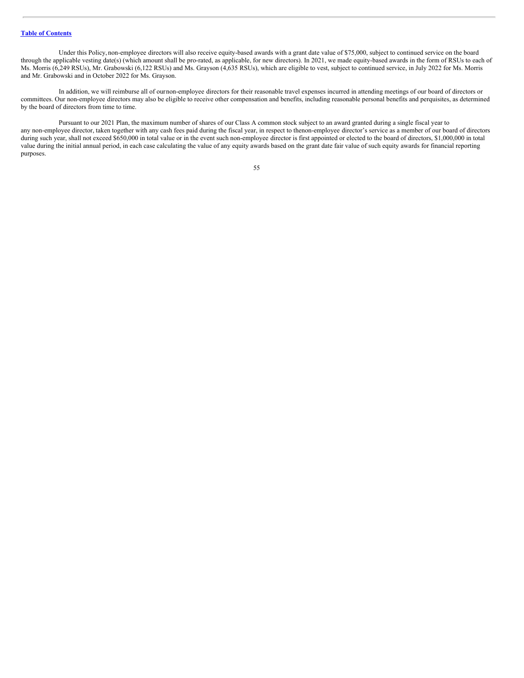Under this Policy, non-employee directors will also receive equity-based awards with a grant date value of \$75,000, subject to continued service on the board through the applicable vesting date(s) (which amount shall be pro-rated, as applicable, for new directors). In 2021, we made equity-based awards in the form of RSUs to each of Ms. Morris (6,249 RSUs), Mr. Grabowski (6,122 RSUs) and Ms. Grayson (4,635 RSUs), which are eligible to vest, subject to continued service, in July 2022 for Ms. Morris and Mr. Grabowski and in October 2022 for Ms. Grayson.

In addition, we will reimburse all of ournon-employee directors for their reasonable travel expenses incurred in attending meetings of our board of directors or committees. Our non-employee directors may also be eligible to receive other compensation and benefits, including reasonable personal benefits and perquisites, as determined by the board of directors from time to time.

Pursuant to our 2021 Plan, the maximum number of shares of our Class A common stock subject to an award granted during a single fiscal year to any non-employee director, taken together with any cash fees paid during the fiscal year, in respect to thenon-employee director's service as a member of our board of directors during such year, shall not exceed \$650,000 in total value or in the event such non-employee director is first appointed or elected to the board of directors, \$1,000,000 in total value during the initial annual period, in each case calculating the value of any equity awards based on the grant date fair value of such equity awards for financial reporting purposes.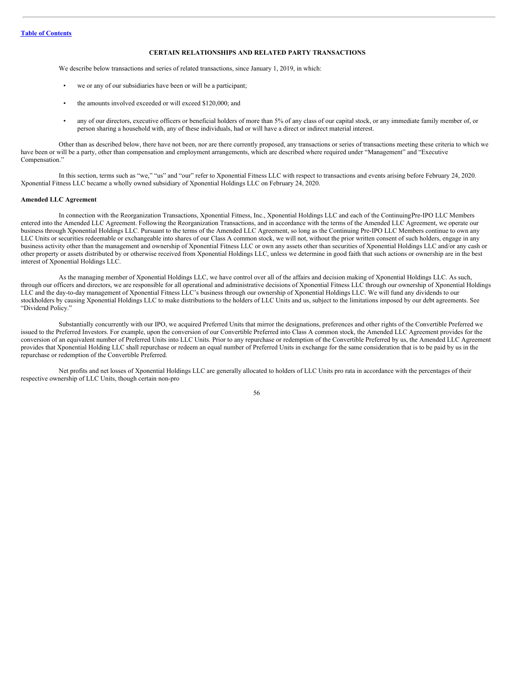## **CERTAIN RELATIONSHIPS AND RELATED PARTY TRANSACTIONS**

We describe below transactions and series of related transactions, since January 1, 2019, in which:

- we or any of our subsidiaries have been or will be a participant;
- the amounts involved exceeded or will exceed \$120,000; and
- any of our directors, executive officers or beneficial holders of more than 5% of any class of our capital stock, or any immediate family member of, or person sharing a household with, any of these individuals, had or will have a direct or indirect material interest.

Other than as described below, there have not been, nor are there currently proposed, any transactions or series of transactions meeting these criteria to which we have been or will be a party, other than compensation and employment arrangements, which are described where required under "Management" and "Executive Compensation."

In this section, terms such as "we," "us" and "our" refer to Xponential Fitness LLC with respect to transactions and events arising before February 24, 2020. Xponential Fitness LLC became a wholly owned subsidiary of Xponential Holdings LLC on February 24, 2020.

## **Amended LLC Agreement**

In connection with the Reorganization Transactions, Xponential Fitness, Inc., Xponential Holdings LLC and each of the ContinuingPre-IPO LLC Members entered into the Amended LLC Agreement. Following the Reorganization Transactions, and in accordance with the terms of the Amended LLC Agreement, we operate our business through Xponential Holdings LLC. Pursuant to the terms of the Amended LLC Agreement, so long as the Continuing Pre-IPO LLC Members continue to own any LLC Units or securities redeemable or exchangeable into shares of our Class A common stock, we will not, without the prior written consent of such holders, engage in any business activity other than the management and ownership of Xponential Fitness LLC or own any assets other than securities of Xponential Holdings LLC and/or any cash or other property or assets distributed by or otherwise received from Xponential Holdings LLC, unless we determine in good faith that such actions or ownership are in the best interest of Xponential Holdings LLC.

As the managing member of Xponential Holdings LLC, we have control over all of the affairs and decision making of Xponential Holdings LLC. As such, through our officers and directors, we are responsible for all operational and administrative decisions of Xponential Fitness LLC through our ownership of Xponential Holdings LLC and the day-to-day management of Xponential Fitness LLC's business through our ownership of Xponential Holdings LLC. We will fund any dividends to our stockholders by causing Xponential Holdings LLC to make distributions to the holders of LLC Units and us, subject to the limitations imposed by our debt agreements. See "Dividend Policy."

Substantially concurrently with our IPO, we acquired Preferred Units that mirror the designations, preferences and other rights of the Convertible Preferred we issued to the Preferred Investors. For example, upon the conversion of our Convertible Preferred into Class A common stock, the Amended LLC Agreement provides for the conversion of an equivalent number of Preferred Units into LLC Units. Prior to any repurchase or redemption of the Convertible Preferred by us, the Amended LLC Agreement provides that Xponential Holding LLC shall repurchase or redeem an equal number of Preferred Units in exchange for the same consideration that is to be paid by us in the repurchase or redemption of the Convertible Preferred.

Net profits and net losses of Xponential Holdings LLC are generally allocated to holders of LLC Units pro rata in accordance with the percentages of their respective ownership of LLC Units, though certain non-pro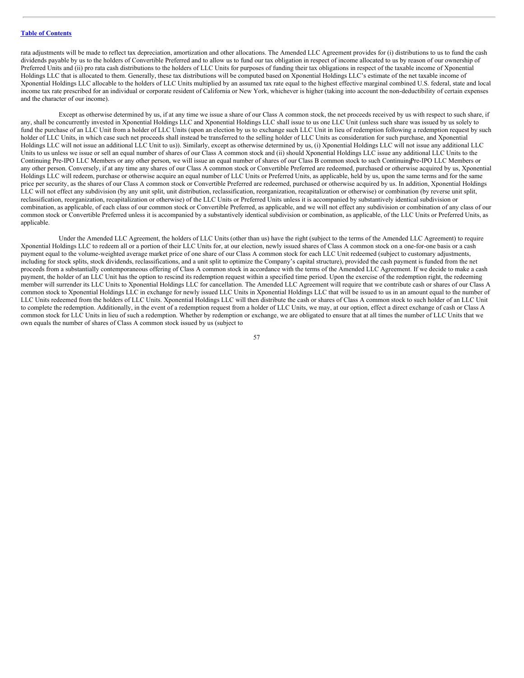rata adjustments will be made to reflect tax depreciation, amortization and other allocations. The Amended LLC Agreement provides for (i) distributions to us to fund the cash dividends payable by us to the holders of Convertible Preferred and to allow us to fund our tax obligation in respect of income allocated to us by reason of our ownership of Preferred Units and (ii) pro rata cash distributions to the holders of LLC Units for purposes of funding their tax obligations in respect of the taxable income of Xponential Holdings LLC that is allocated to them. Generally, these tax distributions will be computed based on Xponential Holdings LLC's estimate of the net taxable income of Xponential Holdings LLC allocable to the holders of LLC Units multiplied by an assumed tax rate equal to the highest effective marginal combined U.S. federal, state and local income tax rate prescribed for an individual or corporate resident of California or New York, whichever is higher (taking into account the non-deductibility of certain expenses and the character of our income).

Except as otherwise determined by us, if at any time we issue a share of our Class A common stock, the net proceeds received by us with respect to such share, if any, shall be concurrently invested in Xponential Holdings LLC and Xponential Holdings LLC shall issue to us one LLC Unit (unless such share was issued by us solely to fund the purchase of an LLC Unit from a holder of LLC Units (upon an election by us to exchange such LLC Unit in lieu of redemption following a redemption request by such holder of LLC Units, in which case such net proceeds shall instead be transferred to the selling holder of LLC Units as consideration for such purchase, and Xponential Holdings LLC will not issue an additional LLC Unit to us)). Similarly, except as otherwise determined by us, (i) Xponential Holdings LLC will not issue any additional LLC Units to us unless we issue or sell an equal number of shares of our Class A common stock and (ii) should Xponential Holdings LLC issue any additional LLC Units to the Continuing Pre-IPO LLC Members or any other person, we will issue an equal number of shares of our Class B common stock to such ContinuingPre-IPO LLC Members or any other person. Conversely, if at any time any shares of our Class A common stock or Convertible Preferred are redeemed, purchased or otherwise acquired by us, Xponential Holdings LLC will redeem, purchase or otherwise acquire an equal number of LLC Units or Preferred Units, as applicable, held by us, upon the same terms and for the same price per security, as the shares of our Class A common stock or Convertible Preferred are redeemed, purchased or otherwise acquired by us. In addition, Xponential Holdings LLC will not effect any subdivision (by any unit split, unit distribution, reclassification, reorganization, recapitalization or otherwise) or combination (by reverse unit split, reclassification, reorganization, recapitalization or otherwise) of the LLC Units or Preferred Units unless it is accompanied by substantively identical subdivision or combination, as applicable, of each class of our common stock or Convertible Preferred, as applicable, and we will not effect any subdivision or combination of any class of our common stock or Convertible Preferred unless it is accompanied by a substantively identical subdivision or combination, as applicable, of the LLC Units or Preferred Units, as applicable.

Under the Amended LLC Agreement, the holders of LLC Units (other than us) have the right (subject to the terms of the Amended LLC Agreement) to require Xponential Holdings LLC to redeem all or a portion of their LLC Units for, at our election, newly issued shares of Class A common stock on a one-for-one basis or a cash payment equal to the volume-weighted average market price of one share of our Class A common stock for each LLC Unit redeemed (subject to customary adjustments, including for stock splits, stock dividends, reclassifications, and a unit split to optimize the Company's capital structure), provided the cash payment is funded from the net proceeds from a substantially contemporaneous offering of Class A common stock in accordance with the terms of the Amended LLC Agreement. If we decide to make a cash payment, the holder of an LLC Unit has the option to rescind its redemption request within a specified time period. Upon the exercise of the redemption right, the redeeming member will surrender its LLC Units to Xponential Holdings LLC for cancellation. The Amended LLC Agreement will require that we contribute cash or shares of our Class A common stock to Xponential Holdings LLC in exchange for newly issued LLC Units in Xponential Holdings LLC that will be issued to us in an amount equal to the number of LLC Units redeemed from the holders of LLC Units. Xponential Holdings LLC will then distribute the cash or shares of Class A common stock to such holder of an LLC Unit to complete the redemption. Additionally, in the event of a redemption request from a holder of LLC Units, we may, at our option, effect a direct exchange of cash or Class A common stock for LLC Units in lieu of such a redemption. Whether by redemption or exchange, we are obligated to ensure that at all times the number of LLC Units that we own equals the number of shares of Class A common stock issued by us (subject to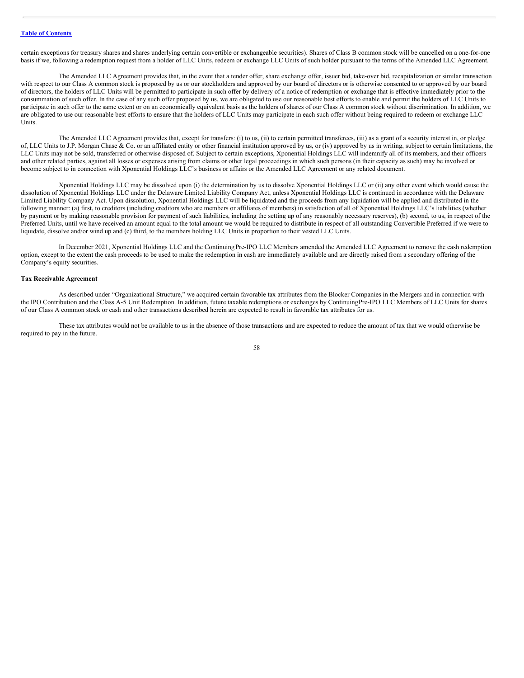certain exceptions for treasury shares and shares underlying certain convertible or exchangeable securities). Shares of Class B common stock will be cancelled on a one-for-one basis if we, following a redemption request from a holder of LLC Units, redeem or exchange LLC Units of such holder pursuant to the terms of the Amended LLC Agreement.

The Amended LLC Agreement provides that, in the event that a tender offer, share exchange offer, issuer bid, take-over bid, recapitalization or similar transaction with respect to our Class A common stock is proposed by us or our stockholders and approved by our board of directors or is otherwise consented to or approved by our board of directors, the holders of LLC Units will be permitted to participate in such offer by delivery of a notice of redemption or exchange that is effective immediately prior to the consummation of such offer. In the case of any such offer proposed by us, we are obligated to use our reasonable best efforts to enable and permit the holders of LLC Units to participate in such offer to the same extent or on an economically equivalent basis as the holders of shares of our Class A common stock without discrimination. In addition, we are obligated to use our reasonable best efforts to ensure that the holders of LLC Units may participate in each such offer without being required to redeem or exchange LLC Units.

The Amended LLC Agreement provides that, except for transfers: (i) to us, (ii) to certain permitted transferees, (iii) as a grant of a security interest in, or pledge of, LLC Units to J.P. Morgan Chase & Co. or an affiliated entity or other financial institution approved by us, or (iv) approved by us in writing, subject to certain limitations, the LLC Units may not be sold, transferred or otherwise disposed of. Subject to certain exceptions, Xponential Holdings LLC will indemnify all of its members, and their officers and other related parties, against all losses or expenses arising from claims or other legal proceedings in which such persons (in their capacity as such) may be involved or become subject to in connection with Xponential Holdings LLC's business or affairs or the Amended LLC Agreement or any related document.

Xponential Holdings LLC may be dissolved upon (i) the determination by us to dissolve Xponential Holdings LLC or (ii) any other event which would cause the dissolution of Xponential Holdings LLC under the Delaware Limited Liability Company Act, unless Xponential Holdings LLC is continued in accordance with the Delaware Limited Liability Company Act. Upon dissolution, Xponential Holdings LLC will be liquidated and the proceeds from any liquidation will be applied and distributed in the following manner: (a) first, to creditors (including creditors who are members or affiliates of members) in satisfaction of all of Xponential Holdings LLC's liabilities (whether by payment or by making reasonable provision for payment of such liabilities, including the setting up of any reasonably necessary reserves), (b) second, to us, in respect of the Preferred Units, until we have received an amount equal to the total amount we would be required to distribute in respect of all outstanding Convertible Preferred if we were to liquidate, dissolve and/or wind up and (c) third, to the members holding LLC Units in proportion to their vested LLC Units.

In December 2021, Xponential Holdings LLC and the Continuing Pre-IPO LLC Members amended the Amended LLC Agreement to remove the cash redemption option, except to the extent the cash proceeds to be used to make the redemption in cash are immediately available and are directly raised from a secondary offering of the Company's equity securities.

## **Tax Receivable Agreement**

As described under "Organizational Structure," we acquired certain favorable tax attributes from the Blocker Companies in the Mergers and in connection with the IPO Contribution and the Class A-5 Unit Redemption. In addition, future taxable redemptions or exchanges by ContinuingPre-IPO LLC Members of LLC Units for shares of our Class A common stock or cash and other transactions described herein are expected to result in favorable tax attributes for us.

These tax attributes would not be available to us in the absence of those transactions and are expected to reduce the amount of tax that we would otherwise be required to pay in the future.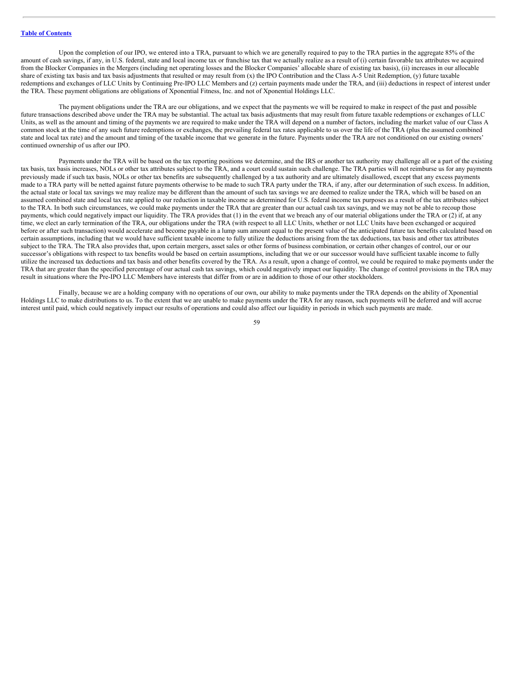Upon the completion of our IPO, we entered into a TRA, pursuant to which we are generally required to pay to the TRA parties in the aggregate 85% of the amount of cash savings, if any, in U.S. federal, state and local income tax or franchise tax that we actually realize as a result of (i) certain favorable tax attributes we acquired from the Blocker Companies in the Mergers (including net operating losses and the Blocker Companies' allocable share of existing tax basis), (ii) increases in our allocable share of existing tax basis and tax basis adjustments that resulted or may result from  $(x)$  the IPO Contribution and the Class A-5 Unit Redemption,  $(y)$  future taxable redemptions and exchanges of LLC Units by Continuing Pre-IPO LLC Members and (z) certain payments made under the TRA, and (iii) deductions in respect of interest under the TRA. These payment obligations are obligations of Xponential Fitness, Inc. and not of Xponential Holdings LLC.

The payment obligations under the TRA are our obligations, and we expect that the payments we will be required to make in respect of the past and possible future transactions described above under the TRA may be substantial. The actual tax basis adjustments that may result from future taxable redemptions or exchanges of LLC Units, as well as the amount and timing of the payments we are required to make under the TRA will depend on a number of factors, including the market value of our Class A common stock at the time of any such future redemptions or exchanges, the prevailing federal tax rates applicable to us over the life of the TRA (plus the assumed combined state and local tax rate) and the amount and timing of the taxable income that we generate in the future. Payments under the TRA are not conditioned on our existing owners' continued ownership of us after our IPO.

Payments under the TRA will be based on the tax reporting positions we determine, and the IRS or another tax authority may challenge all or a part of the existing tax basis, tax basis increases, NOLs or other tax attributes subject to the TRA, and a court could sustain such challenge. The TRA parties will not reimburse us for any payments previously made if such tax basis, NOLs or other tax benefits are subsequently challenged by a tax authority and are ultimately disallowed, except that any excess payments made to a TRA party will be netted against future payments otherwise to be made to such TRA party under the TRA, if any, after our determination of such excess. In addition, the actual state or local tax savings we may realize may be different than the amount of such tax savings we are deemed to realize under the TRA, which will be based on an assumed combined state and local tax rate applied to our reduction in taxable income as determined for U.S. federal income tax purposes as a result of the tax attributes subject to the TRA. In both such circumstances, we could make payments under the TRA that are greater than our actual cash tax savings, and we may not be able to recoup those payments, which could negatively impact our liquidity. The TRA provides that (1) in the event that we breach any of our material obligations under the TRA or (2) if, at any time, we elect an early termination of the TRA, our obligations under the TRA (with respect to all LLC Units, whether or not LLC Units have been exchanged or acquired before or after such transaction) would accelerate and become payable in a lump sum amount equal to the present value of the anticipated future tax benefits calculated based on certain assumptions, including that we would have sufficient taxable income to fully utilize the deductions arising from the tax deductions, tax basis and other tax attributes subject to the TRA. The TRA also provides that, upon certain mergers, asset sales or other forms of business combination, or certain other changes of control, our or our successor's obligations with respect to tax benefits would be based on certain assumptions, including that we or our successor would have sufficient taxable income to fully utilize the increased tax deductions and tax basis and other benefits covered by the TRA. As a result, upon a change of control, we could be required to make payments under the TRA that are greater than the specified percentage of our actual cash tax savings, which could negatively impact our liquidity. The change of control provisions in the TRA may result in situations where the Pre-IPO LLC Members have interests that differ from or are in addition to those of our other stockholders.

Finally, because we are a holding company with no operations of our own, our ability to make payments under the TRA depends on the ability of Xponential Holdings LLC to make distributions to us. To the extent that we are unable to make payments under the TRA for any reason, such payments will be deferred and will accrue interest until paid, which could negatively impact our results of operations and could also affect our liquidity in periods in which such payments are made.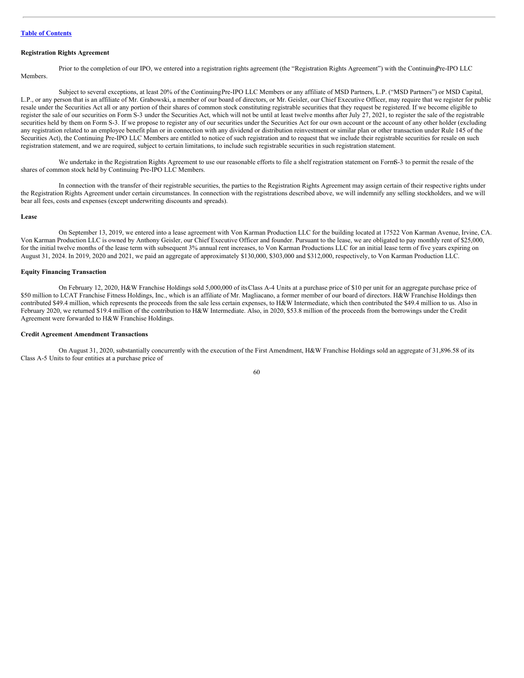## **Registration Rights Agreement**

Prior to the completion of our IPO, we entered into a registration rights agreement (the "Registration Rights Agreement") with the ContinuingPre-IPO LLC Members.

Subject to several exceptions, at least 20% of the Continuing Pre-IPO LLC Members or any affiliate of MSD Partners, L.P. ("MSD Partners") or MSD Capital, L.P., or any person that is an affiliate of Mr. Grabowski, a member of our board of directors, or Mr. Geisler, our Chief Executive Officer, may require that we register for public resale under the Securities Act all or any portion of their shares of common stock constituting registrable securities that they request be registered. If we become eligible to register the sale of our securities on Form S-3 under the Securities Act, which will not be until at least twelve months after July 27, 2021, to register the sale of the registrable securities held by them on Form S-3. If we propose to register any of our securities under the Securities Act for our own account or the account of any other holder (excluding any registration related to an employee benefit plan or in connection with any dividend or distribution reinvestment or similar plan or other transaction under Rule 145 of the Securities Act), the Continuing Pre-IPO LLC Members are entitled to notice of such registration and to request that we include their registrable securities for resale on such registration statement, and we are required, subject to certain limitations, to include such registrable securities in such registration statement.

We undertake in the Registration Rights Agreement to use our reasonable efforts to file a shelf registration statement on FormS-3 to permit the resale of the shares of common stock held by Continuing Pre-IPO LLC Members.

In connection with the transfer of their registrable securities, the parties to the Registration Rights Agreement may assign certain of their respective rights under the Registration Rights Agreement under certain circumstances. In connection with the registrations described above, we will indemnify any selling stockholders, and we will bear all fees, costs and expenses (except underwriting discounts and spreads).

#### **Lease**

On September 13, 2019, we entered into a lease agreement with Von Karman Production LLC for the building located at 17522 Von Karman Avenue, Irvine, CA. Von Karman Production LLC is owned by Anthony Geisler, our Chief Executive Officer and founder. Pursuant to the lease, we are obligated to pay monthly rent of \$25,000, for the initial twelve months of the lease term with subsequent 3% annual rent increases, to Von Karman Productions LLC for an initial lease term of five years expiring on August 31, 2024. In 2019, 2020 and 2021, we paid an aggregate of approximately \$130,000, \$303,000 and \$312,000, respectively, to Von Karman Production LLC.

## **Equity Financing Transaction**

On February 12, 2020, H&W Franchise Holdings sold 5,000,000 of itsClass A-4 Units at a purchase price of \$10 per unit for an aggregate purchase price of \$50 million to LCAT Franchise Fitness Holdings, Inc., which is an affiliate of Mr. Magliacano, a former member of our board of directors. H&W Franchise Holdings then contributed \$49.4 million, which represents the proceeds from the sale less certain expenses, to H&W Intermediate, which then contributed the \$49.4 million to us. Also in February 2020, we returned \$19.4 million of the contribution to H&W Intermediate. Also, in 2020, \$53.8 million of the proceeds from the borrowings under the Credit Agreement were forwarded to H&W Franchise Holdings.

## **Credit Agreement Amendment Transactions**

On August 31, 2020, substantially concurrently with the execution of the First Amendment, H&W Franchise Holdings sold an aggregate of 31,896.58 of its Class A-5 Units to four entities at a purchase price of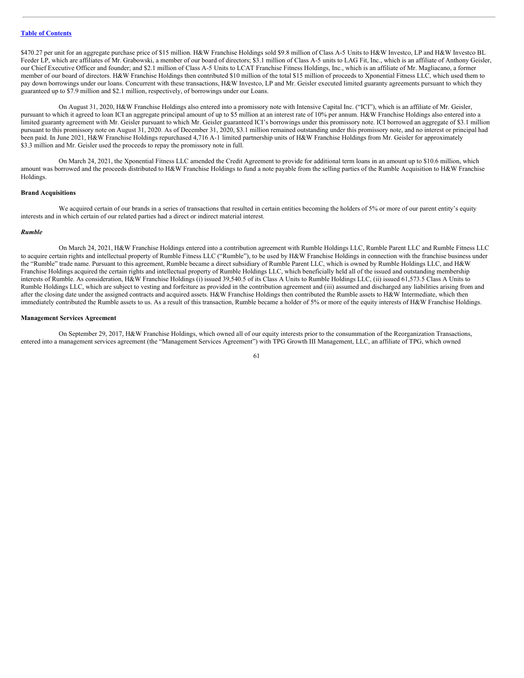\$470.27 per unit for an aggregate purchase price of \$15 million. H&W Franchise Holdings sold \$9.8 million of Class A-5 Units to H&W Investco, LP and H&W Investco BL Feeder LP, which are affiliates of Mr. Grabowski, a member of our board of directors; \$3.1 million of Class A-5 units to LAG Fit, Inc., which is an affiliate of Anthony Geisler, our Chief Executive Officer and founder; and \$2.1 million of Class A-5 Units to LCAT Franchise Fitness Holdings, Inc., which is an affiliate of Mr. Magliacano, a former member of our board of directors. H&W Franchise Holdings then contributed \$10 million of the total \$15 million of proceeds to Xponential Fitness LLC, which used them to pay down borrowings under our loans. Concurrent with these transactions, H&W Investco, LP and Mr. Geisler executed limited guaranty agreements pursuant to which they guaranteed up to \$7.9 million and \$2.1 million, respectively, of borrowings under our Loans.

On August 31, 2020, H&W Franchise Holdings also entered into a promissory note with Intensive Capital Inc. ("ICI"), which is an affiliate of Mr. Geisler, pursuant to which it agreed to loan ICI an aggregate principal amount of up to \$5 million at an interest rate of 10% per annum. H&W Franchise Holdings also entered into a limited guaranty agreement with Mr. Geisler pursuant to which Mr. Geisler guaranteed ICI's borrowings under this promissory note. ICI borrowed an aggregate of \$3.1 million pursuant to this promissory note on August 31, 2020. As of December 31, 2020, \$3.1 million remained outstanding under this promissory note, and no interest or principal had been paid. In June 2021, H&W Franchise Holdings repurchased 4,716 A-1 limited partnership units of H&W Franchise Holdings from Mr. Geisler for approximately \$3.3 million and Mr. Geisler used the proceeds to repay the promissory note in full.

On March 24, 2021, the Xponential Fitness LLC amended the Credit Agreement to provide for additional term loans in an amount up to \$10.6 million, which amount was borrowed and the proceeds distributed to H&W Franchise Holdings to fund a note payable from the selling parties of the Rumble Acquisition to H&W Franchise Holdings.

## **Brand Acquisitions**

We acquired certain of our brands in a series of transactions that resulted in certain entities becoming the holders of 5% or more of our parent entity's equity interests and in which certain of our related parties had a direct or indirect material interest.

#### *Rumble*

On March 24, 2021, H&W Franchise Holdings entered into a contribution agreement with Rumble Holdings LLC, Rumble Parent LLC and Rumble Fitness LLC to acquire certain rights and intellectual property of Rumble Fitness LLC ("Rumble"), to be used by H&W Franchise Holdings in connection with the franchise business under the "Rumble" trade name. Pursuant to this agreement, Rumble became a direct subsidiary of Rumble Parent LLC, which is owned by Rumble Holdings LLC, and H&W Franchise Holdings acquired the certain rights and intellectual property of Rumble Holdings LLC, which beneficially held all of the issued and outstanding membership interests of Rumble. As consideration, H&W Franchise Holdings (i) issued 39,540.5 of its Class A Units to Rumble Holdings LLC, (ii) issued 61,573.5 Class A Units to Rumble Holdings LLC, which are subject to vesting and forfeiture as provided in the contribution agreement and (iii) assumed and discharged any liabilities arising from and after the closing date under the assigned contracts and acquired assets. H&W Franchise Holdings then contributed the Rumble assets to H&W Intermediate, which then immediately contributed the Rumble assets to us. As a result of this transaction, Rumble became a holder of 5% or more of the equity interests of H&W Franchise Holdings.

#### **Management Services Agreement**

On September 29, 2017, H&W Franchise Holdings, which owned all of our equity interests prior to the consummation of the Reorganization Transactions, entered into a management services agreement (the "Management Services Agreement") with TPG Growth III Management, LLC, an affiliate of TPG, which owned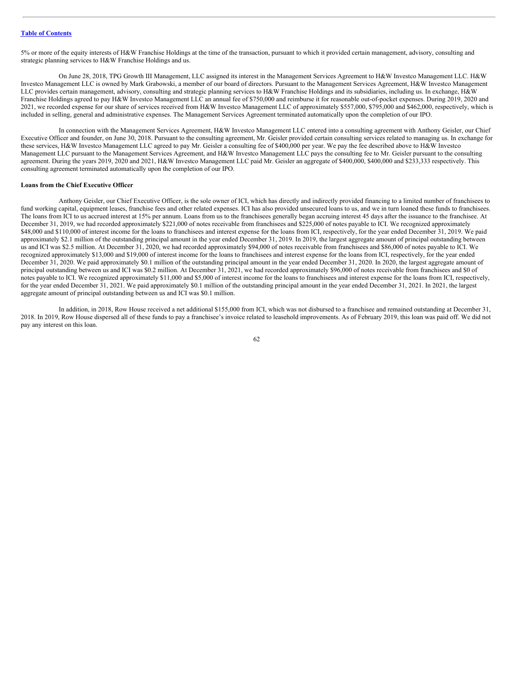5% or more of the equity interests of H&W Franchise Holdings at the time of the transaction, pursuant to which it provided certain management, advisory, consulting and strategic planning services to H&W Franchise Holdings and us.

On June 28, 2018, TPG Growth III Management, LLC assigned its interest in the Management Services Agreement to H&W Investco Management LLC. H&W Investco Management LLC is owned by Mark Grabowski, a member of our board of directors. Pursuant to the Management Services Agreement, H&W Investco Management LLC provides certain management, advisory, consulting and strategic planning services to H&W Franchise Holdings and its subsidiaries, including us. In exchange, H&W Franchise Holdings agreed to pay H&W Investco Management LLC an annual fee of \$750,000 and reimburse it for reasonable out-of-pocket expenses. During 2019, 2020 and 2021, we recorded expense for our share of services received from H&W Investco Management LLC of approximately \$557,000, \$795,000 and \$462,000, respectively, which is included in selling, general and administrative expenses. The Management Services Agreement terminated automatically upon the completion of our IPO.

In connection with the Management Services Agreement, H&W Investco Management LLC entered into a consulting agreement with Anthony Geisler, our Chief Executive Officer and founder, on June 30, 2018. Pursuant to the consulting agreement, Mr. Geisler provided certain consulting services related to managing us. In exchange for these services, H&W Investco Management LLC agreed to pay Mr. Geisler a consulting fee of \$400,000 per year. We pay the fee described above to H&W Investco Management LLC pursuant to the Management Services Agreement, and H&W Investco Management LLC pays the consulting fee to Mr. Geisler pursuant to the consulting agreement. During the years 2019, 2020 and 2021, H&W Investco Management LLC paid Mr. Geisler an aggregate of \$400,000, \$400,000 and \$233,333 respectively. This consulting agreement terminated automatically upon the completion of our IPO.

## **Loans from the Chief Executive Officer**

Anthony Geisler, our Chief Executive Officer, is the sole owner of ICI, which has directly and indirectly provided financing to a limited number of franchisees to fund working capital, equipment leases, franchise fees and other related expenses. ICI has also provided unsecured loans to us, and we in turn loaned these funds to franchisees. The loans from ICI to us accrued interest at 15% per annum. Loans from us to the franchisees generally began accruing interest 45 days after the issuance to the franchisee. At December 31, 2019, we had recorded approximately \$221,000 of notes receivable from franchisees and \$225,000 of notes payable to ICI. We recognized approximately \$48,000 and \$110,000 of interest income for the loans to franchisees and interest expense for the loans from ICI, respectively, for the year ended December 31, 2019. We paid approximately \$2.1 million of the outstanding principal amount in the year ended December 31, 2019. In 2019, the largest aggregate amount of principal outstanding between us and ICI was \$2.5 million. At December 31, 2020, we had recorded approximately \$94,000 of notes receivable from franchisees and \$86,000 of notes payable to ICI. We recognized approximately \$13,000 and \$19,000 of interest income for the loans to franchisees and interest expense for the loans from ICI, respectively, for the year ended December 31, 2020. We paid approximately \$0.1 million of the outstanding principal amount in the year ended December 31, 2020. In 2020, the largest aggregate amount of principal outstanding between us and ICI was \$0.2 million. At December 31, 2021, we had recorded approximately \$96,000 of notes receivable from franchisees and \$0 of notes payable to ICI. We recognized approximately \$11,000 and \$5,000 of interest income for the loans to franchisees and interest expense for the loans from ICI, respectively, for the year ended December 31, 2021. We paid approximately \$0.1 million of the outstanding principal amount in the year ended December 31, 2021. In 2021, the largest aggregate amount of principal outstanding between us and ICI was \$0.1 million.

In addition, in 2018, Row House received a net additional \$155,000 from ICI, which was not disbursed to a franchisee and remained outstanding at December 31, 2018. In 2019, Row House dispersed all of these funds to pay a franchisee's invoice related to leasehold improvements. As of February 2019, this loan was paid off. We did not pay any interest on this loan.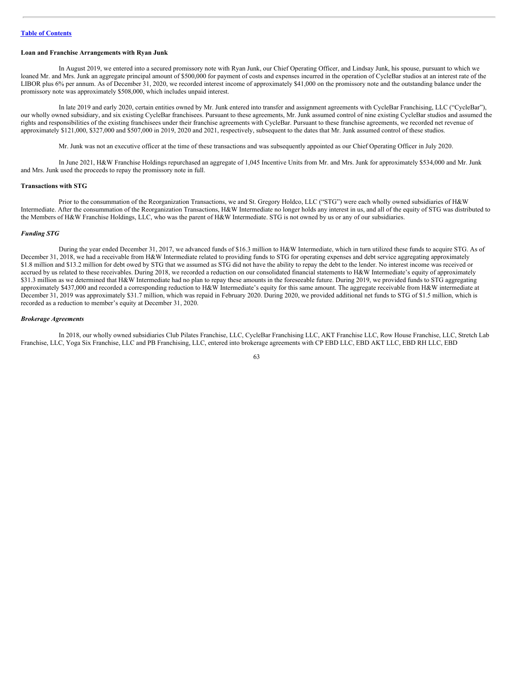## **Loan and Franchise Arrangements with Ryan Junk**

In August 2019, we entered into a secured promissory note with Ryan Junk, our Chief Operating Officer, and Lindsay Junk, his spouse, pursuant to which we loaned Mr. and Mrs. Junk an aggregate principal amount of \$500,000 for payment of costs and expenses incurred in the operation of CycleBar studios at an interest rate of the LIBOR plus 6% per annum. As of December 31, 2020, we recorded interest income of approximately \$41,000 on the promissory note and the outstanding balance under the promissory note was approximately \$508,000, which includes unpaid interest.

In late 2019 and early 2020, certain entities owned by Mr. Junk entered into transfer and assignment agreements with CycleBar Franchising, LLC ("CycleBar"), our wholly owned subsidiary, and six existing CycleBar franchisees. Pursuant to these agreements, Mr. Junk assumed control of nine existing CycleBar studios and assumed the rights and responsibilities of the existing franchisees under their franchise agreements with CycleBar. Pursuant to these franchise agreements, we recorded net revenue of approximately \$121,000, \$327,000 and \$507,000 in 2019, 2020 and 2021, respectively, subsequent to the dates that Mr. Junk assumed control of these studios.

Mr. Junk was not an executive officer at the time of these transactions and was subsequently appointed as our Chief Operating Officer in July 2020.

In June 2021, H&W Franchise Holdings repurchased an aggregate of 1,045 Incentive Units from Mr. and Mrs. Junk for approximately \$534,000 and Mr. Junk and Mrs. Junk used the proceeds to repay the promissory note in full.

## **Transactions with STG**

Prior to the consummation of the Reorganization Transactions, we and St. Gregory Holdco, LLC ("STG") were each wholly owned subsidiaries of H&W Intermediate. After the consummation of the Reorganization Transactions, H&W Intermediate no longer holds any interest in us, and all of the equity of STG was distributed to the Members of H&W Franchise Holdings, LLC, who was the parent of H&W Intermediate. STG is not owned by us or any of our subsidiaries.

#### *Funding STG*

During the year ended December 31, 2017, we advanced funds of \$16.3 million to H&W Intermediate, which in turn utilized these funds to acquire STG. As of December 31, 2018, we had a receivable from H&W Intermediate related to providing funds to STG for operating expenses and debt service aggregating approximately \$1.8 million and \$13.2 million for debt owed by STG that we assumed as STG did not have the ability to repay the debt to the lender. No interest income was received or accrued by us related to these receivables. During 2018, we recorded a reduction on our consolidated financial statements to H&W Intermediate's equity of approximately \$31.3 million as we determined that H&W Intermediate had no plan to repay these amounts in the foreseeable future. During 2019, we provided funds to STG aggregating approximately \$437,000 and recorded a corresponding reduction to H&W Intermediate's equity for this same amount. The aggregate receivable from H&W intermediate at December 31, 2019 was approximately \$31.7 million, which was repaid in February 2020. During 2020, we provided additional net funds to STG of \$1.5 million, which is recorded as a reduction to member's equity at December 31, 2020.

## *Brokerage Agreements*

In 2018, our wholly owned subsidiaries Club Pilates Franchise, LLC, CycleBar Franchising LLC, AKT Franchise LLC, Row House Franchise, LLC, Stretch Lab Franchise, LLC, Yoga Six Franchise, LLC and PB Franchising, LLC, entered into brokerage agreements with CP EBD LLC, EBD AKT LLC, EBD RH LLC, EBD

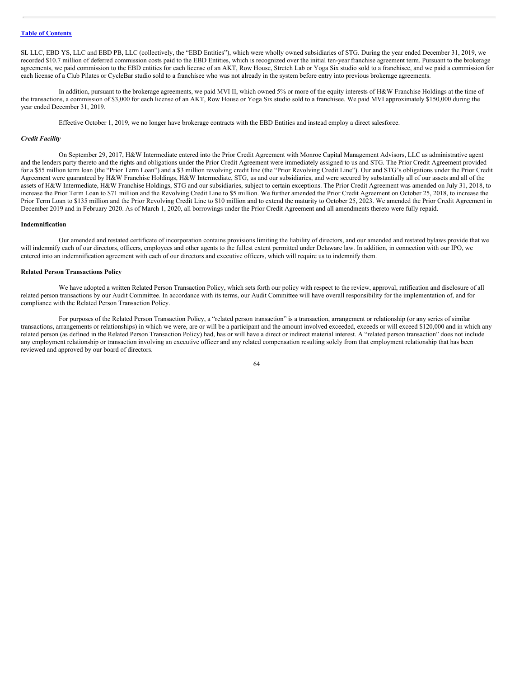SL LLC, EBD YS, LLC and EBD PB, LLC (collectively, the "EBD Entities"), which were wholly owned subsidiaries of STG. During the year ended December 31, 2019, we recorded \$10.7 million of deferred commission costs paid to the EBD Entities, which is recognized over the initial ten-year franchise agreement term. Pursuant to the brokerage agreements, we paid commission to the EBD entities for each license of an AKT, Row House, Stretch Lab or Yoga Six studio sold to a franchisee, and we paid a commission for each license of a Club Pilates or CycleBar studio sold to a franchisee who was not already in the system before entry into previous brokerage agreements.

In addition, pursuant to the brokerage agreements, we paid MVI II, which owned 5% or more of the equity interests of H&W Franchise Holdings at the time of the transactions, a commission of \$3,000 for each license of an AKT, Row House or Yoga Six studio sold to a franchisee. We paid MVI approximately \$150,000 during the year ended December 31, 2019.

Effective October 1, 2019, we no longer have brokerage contracts with the EBD Entities and instead employ a direct salesforce.

#### *Credit Facility*

On September 29, 2017, H&W Intermediate entered into the Prior Credit Agreement with Monroe Capital Management Advisors, LLC as administrative agent and the lenders party thereto and the rights and obligations under the Prior Credit Agreement were immediately assigned to us and STG. The Prior Credit Agreement provided for a \$55 million term loan (the "Prior Term Loan") and a \$3 million revolving credit line (the "Prior Revolving Credit Line"). Our and STG's obligations under the Prior Credit Agreement were guaranteed by H&W Franchise Holdings, H&W Intermediate, STG, us and our subsidiaries, and were secured by substantially all of our assets and all of the assets of H&W Intermediate, H&W Franchise Holdings, STG and our subsidiaries, subject to certain exceptions. The Prior Credit Agreement was amended on July 31, 2018, to increase the Prior Term Loan to \$71 million and the Revolving Credit Line to \$5 million. We further amended the Prior Credit Agreement on October 25, 2018, to increase the Prior Term Loan to \$135 million and the Prior Revolving Credit Line to \$10 million and to extend the maturity to October 25, 2023. We amended the Prior Credit Agreement in December 2019 and in February 2020. As of March 1, 2020, all borrowings under the Prior Credit Agreement and all amendments thereto were fully repaid.

## **Indemnification**

Our amended and restated certificate of incorporation contains provisions limiting the liability of directors, and our amended and restated bylaws provide that we will indemnify each of our directors, officers, employees and other agents to the fullest extent permitted under Delaware law. In addition, in connection with our IPO, we entered into an indemnification agreement with each of our directors and executive officers, which will require us to indemnify them.

## **Related Person Transactions Policy**

We have adopted a written Related Person Transaction Policy, which sets forth our policy with respect to the review, approval, ratification and disclosure of all related person transactions by our Audit Committee. In accordance with its terms, our Audit Committee will have overall responsibility for the implementation of, and for compliance with the Related Person Transaction Policy.

For purposes of the Related Person Transaction Policy, a "related person transaction" is a transaction, arrangement or relationship (or any series of similar transactions, arrangements or relationships) in which we were, are or will be a participant and the amount involved exceeded, exceeds or will exceed \$120,000 and in which any related person (as defined in the Related Person Transaction Policy) had, has or will have a direct or indirect material interest. A "related person transaction" does not include any employment relationship or transaction involving an executive officer and any related compensation resulting solely from that employment relationship that has been reviewed and approved by our board of directors.

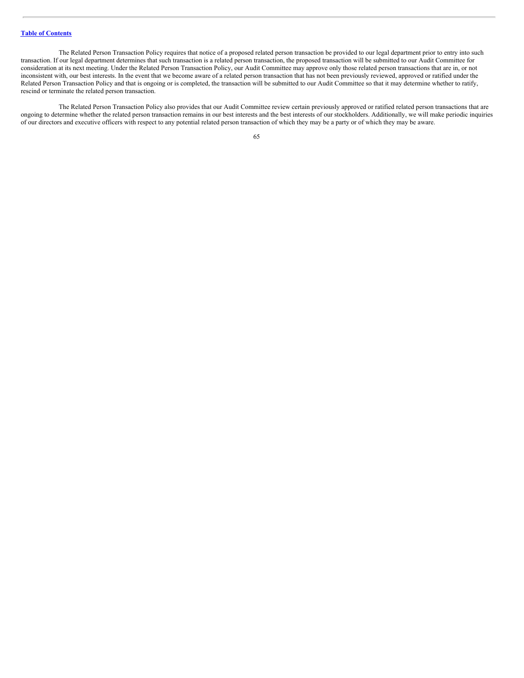The Related Person Transaction Policy requires that notice of a proposed related person transaction be provided to our legal department prior to entry into such transaction. If our legal department determines that such transaction is a related person transaction, the proposed transaction will be submitted to our Audit Committee for consideration at its next meeting. Under the Related Person Transaction Policy, our Audit Committee may approve only those related person transactions that are in, or not inconsistent with, our best interests. In the event that we become aware of a related person transaction that has not been previously reviewed, approved or ratified under the Related Person Transaction Policy and that is ongoing or is completed, the transaction will be submitted to our Audit Committee so that it may determine whether to ratify, rescind or terminate the related person transaction.

The Related Person Transaction Policy also provides that our Audit Committee review certain previously approved or ratified related person transactions that are ongoing to determine whether the related person transaction remains in our best interests and the best interests of our stockholders. Additionally, we will make periodic inquiries of our directors and executive officers with respect to any potential related person transaction of which they may be a party or of which they may be aware.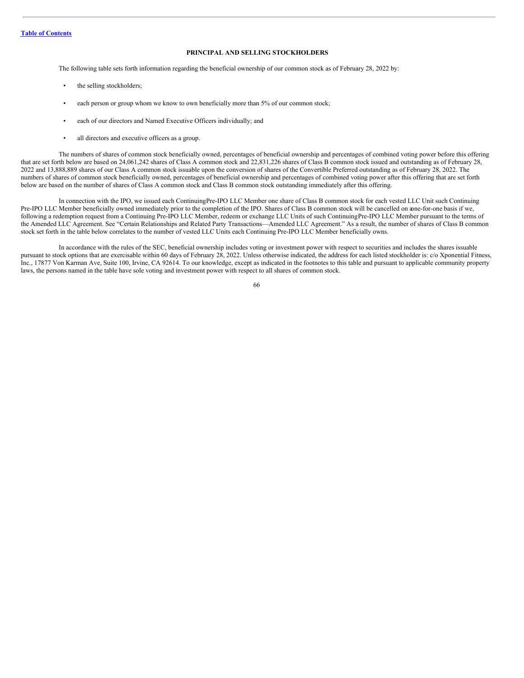# **PRINCIPAL AND SELLING STOCKHOLDERS**

The following table sets forth information regarding the beneficial ownership of our common stock as of February 28, 2022 by:

- the selling stockholders;
- each person or group whom we know to own beneficially more than 5% of our common stock;
- each of our directors and Named Executive Officers individually; and
- all directors and executive officers as a group.

The numbers of shares of common stock beneficially owned, percentages of beneficial ownership and percentages of combined voting power before this offering that are set forth below are based on 24,061,242 shares of Class A common stock and 22,831,226 shares of Class B common stock issued and outstanding as of February 28, 2022 and 13,888,889 shares of our Class A common stock issuable upon the conversion of shares of the Convertible Preferred outstanding as of February 28, 2022. The numbers of shares of common stock beneficially owned, percentages of beneficial ownership and percentages of combined voting power after this offering that are set forth below are based on the number of shares of Class A common stock and Class B common stock outstanding immediately after this offering.

In connection with the IPO, we issued each ContinuingPre-IPO LLC Member one share of Class B common stock for each vested LLC Unit such Continuing Pre-IPO LLC Member beneficially owned immediately prior to the completion of the IPO. Shares of Class B common stock will be cancelled on aone-for-one basis if we, following a redemption request from a Continuing Pre-IPO LLC Member, redeem or exchange LLC Units of such ContinuingPre-IPO LLC Member pursuant to the terms of the Amended LLC Agreement. See "Certain Relationships and Related Party Transactions—Amended LLC Agreement." As a result, the number of shares of Class B common stock set forth in the table below correlates to the number of vested LLC Units each Continuing Pre-IPO LLC Member beneficially owns.

In accordance with the rules of the SEC, beneficial ownership includes voting or investment power with respect to securities and includes the shares issuable pursuant to stock options that are exercisable within 60 days of February 28, 2022. Unless otherwise indicated, the address for each listed stockholder is: c/o Xponential Fitness, Inc., 17877 Von Karman Ave, Suite 100, Irvine, CA 92614. To our knowledge, except as indicated in the footnotes to this table and pursuant to applicable community property laws, the persons named in the table have sole voting and investment power with respect to all shares of common stock.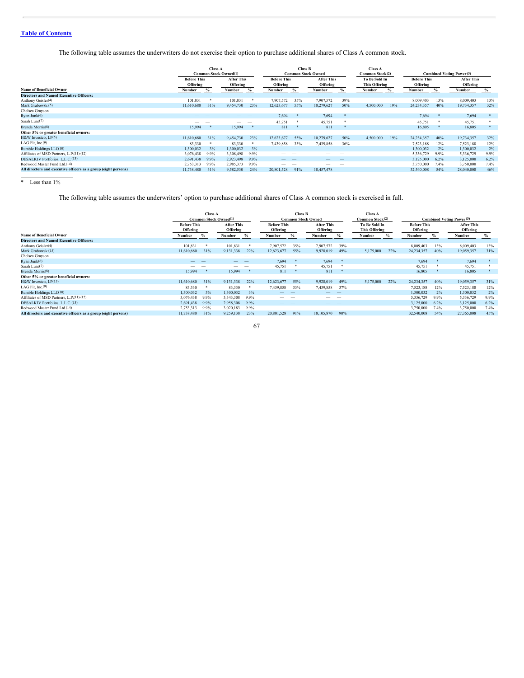The following table assumes the underwriters do not exercise their option to purchase additional shares of Class A common stock.

|                                                                 | <b>Class A</b><br><b>Common Stock Owned(1)</b> |                                                                 |                          |                                                                 | <b>Class B</b>           | <b>Common Stock Owned</b> |                                       | <b>Class A</b><br>Common Stock(2) |           | <b>Combined Voting Power(3)</b> |                               |      |            |      |
|-----------------------------------------------------------------|------------------------------------------------|-----------------------------------------------------------------|--------------------------|-----------------------------------------------------------------|--------------------------|---------------------------|---------------------------------------|-----------------------------------|-----------|---------------------------------|-------------------------------|------|------------|------|
|                                                                 |                                                | <b>After This</b><br><b>Before This</b><br>Offering<br>Offering |                          | <b>After This</b><br><b>Before This</b><br>Offering<br>Offering |                          |                           | To Be Sold In<br><b>This Offering</b> | <b>Before This</b><br>Offering    |           |                                 | <b>After This</b><br>Offering |      |            |      |
| <b>Name of Beneficial Owner</b>                                 | Number                                         |                                                                 | Number                   | $\%$                                                            | Number                   | %                         | Number                                | $\%$                              | Number    | %                               | Number                        |      | Number     | %    |
| <b>Directors and Named Executive Officers:</b>                  |                                                |                                                                 |                          |                                                                 |                          |                           |                                       |                                   |           |                                 |                               |      |            |      |
| Anthony Geisler(4)                                              | 101,831                                        |                                                                 | 101,831                  |                                                                 | 7,907,572                | 35%                       | 7,907,572                             | 39%                               |           |                                 | 8,009,403                     | 13%  | 8,009,403  | 13%  |
| Mark Grabowski <sup>(5)</sup>                                   | 11,610,680                                     | 31%                                                             | 9,454,730                | 23%                                                             | 12,623,677               | 55%                       | 10,279,627                            | 50%                               | 4,500,000 | 19%                             | 24,234,357                    | 40%  | 19,734,357 | 32%  |
| Chelsea Grayson                                                 |                                                |                                                                 |                          |                                                                 |                          |                           |                                       |                                   |           |                                 |                               |      |            |      |
| Ryan Junk(6)                                                    |                                                |                                                                 | $-$                      | $\sim$                                                          | 7.694                    |                           | 7,694                                 |                                   |           |                                 | 7.694                         | - *  | 7.694      |      |
| Sarah Luna(7)                                                   | -                                              | $\sim$                                                          | $\overline{\phantom{a}}$ | $\sim$                                                          | 45,751                   |                           | 45,751                                |                                   |           |                                 | 45,751                        | 一本   | 45,751     |      |
| Brenda Morris <sup>(8)</sup>                                    | 15.994                                         |                                                                 | 15,994                   |                                                                 | 811                      |                           | 811                                   |                                   |           |                                 | 16.805                        |      | 16,805     |      |
| Other 5% or greater beneficial owners:                          |                                                |                                                                 |                          |                                                                 |                          |                           |                                       |                                   |           |                                 |                               |      |            |      |
| H&W Investco, LP(5)                                             | 11,610,680                                     | 31%                                                             | 9,454,730                | 23%                                                             | 12,623,677               | 55%                       | 10,279,627                            | 50%                               | 4,500,000 | 19%                             | 24,234,357                    | 40%  | 19,734,357 | 32%  |
| LAG Fit. Inc.(9)                                                | 83,330                                         |                                                                 | 83,330                   |                                                                 | 7,439,858                | 33%                       | 7,439,858                             | 36%                               |           |                                 | 7,523,188                     | 12%  | 7,523,188  | 12%  |
| Rumble Holdings LLC(10)                                         | 1,300,032                                      | 3%                                                              | 1,300,032                | 3%                                                              |                          |                           |                                       |                                   |           |                                 | 1,300,032                     | 2%   | 1,300,032  | 2%   |
| Affiliates of MSD Partners, L.P.(11) (12)                       | 3,076,438                                      | 9.9%                                                            | 3,308,498                | 9.9%                                                            | $\overline{\phantom{a}}$ | $\overline{\phantom{a}}$  | $\overline{\phantom{a}}$              | $\overline{\phantom{a}}$          |           |                                 | 5,336,729                     | 9.9% | 5,336,729  | 9.9% |
| DESALKIV Portfolios, L.L.C.(13)                                 | 2,691,438                                      | 9.9%                                                            | 2,923,498                | 9.9%                                                            | $-$                      | __                        | $-$                                   | $\overline{\phantom{a}}$          |           |                                 | 3,125,000                     | 6.2% | 3,125,000  | 6.2% |
| Redwood Master Fund Ltd.(14)                                    | 2,753,313                                      | 9.9%                                                            | 2,985,373                | 9.9%                                                            | $\overline{\phantom{a}}$ | $\overline{\phantom{a}}$  | $-$                                   | $\overline{\phantom{a}}$          |           |                                 | 3,750,000                     | 7.4% | 3,750,000  | 7.4% |
| All directors and executive officers as a group (eight persons) | 11,738,480                                     | 31%                                                             | 9,582,530                | 24%                                                             | 20,801,528               | 91%                       | 18,457,478                            |                                   |           |                                 | 32,540,008                    | 54%  | 28,040,008 | 46%  |
|                                                                 |                                                |                                                                 |                          |                                                                 |                          |                           |                                       |                                   |           |                                 |                               |      |            |      |

\* Less than 1%

The following table assumes the underwriters' option to purchase additional shares of Class A common stock is exercised in full.

|                                                                 | <b>Class A</b><br><b>Common Stock Owned(1)</b> |                               |           |                          | <b>Class B</b><br><b>Common Stock Owned</b> |                          |                               |                          | <b>Class A</b><br><b>Common Stock(2)</b> |      | <b>Combined Voting Power(3)</b> |                          |            |      |
|-----------------------------------------------------------------|------------------------------------------------|-------------------------------|-----------|--------------------------|---------------------------------------------|--------------------------|-------------------------------|--------------------------|------------------------------------------|------|---------------------------------|--------------------------|------------|------|
|                                                                 | <b>Before This</b><br>Offering                 | <b>After This</b><br>Offering |           | Offering                 | <b>Before This</b>                          |                          | <b>After This</b><br>Offering |                          | To Be Sold In<br><b>This Offering</b>    |      | <b>Before This</b><br>Offering  |                          |            |      |
| <b>Name of Beneficial Owner</b>                                 | Number                                         |                               | Number    | $\frac{6}{6}$            | Number                                      |                          | Number                        | $\%$                     | Number                                   | $\%$ | Number                          | $\%$                     | Number     | $\%$ |
| <b>Directors and Named Executive Officers:</b>                  |                                                |                               |           |                          |                                             |                          |                               |                          |                                          |      |                                 |                          |            |      |
| Anthony Geisler(4)                                              | 101,831                                        | -8                            | 101,831   |                          | 7,907,572                                   | 35%                      | 7,907,572                     | 39%                      |                                          |      | 8,009,403                       | 13%                      | 8,009,403  | 13%  |
| Mark Grabowski(15)                                              | 11,610,680                                     | 31%                           | 9,131,338 | 22%                      | 12,623,677                                  | 55%                      | 9,928,019                     | 49%                      | 5.175.000                                | 22%  | 24, 234, 357                    | 40%                      | 19,059,357 | 31%  |
| Chelsea Grayson                                                 | $-$                                            |                               |           | $\overline{\phantom{a}}$ | $\overline{\phantom{a}}$                    |                          |                               |                          |                                          |      | $-$                             | $\overline{\phantom{a}}$ |            |      |
| Ryan Junk(6)                                                    |                                                |                               | $-$       | $\overline{\phantom{a}}$ | 7.694                                       | 净                        | 7,694                         |                          |                                          |      | 7.694                           |                          | 7,694      | *    |
| Sarah Luna(7)                                                   | $-$                                            |                               | _         | $\overline{\phantom{a}}$ | 45,751                                      | - 18                     | 45,751                        | 净                        |                                          |      | 45,751                          | *                        | 45,751     | *    |
| Brenda Morris(8)                                                | 15,994                                         |                               | 15,994    |                          | 811                                         |                          | 811                           |                          |                                          |      | 16,805                          |                          | 16,805     |      |
| Other 5% or greater beneficial owners:                          |                                                |                               |           |                          |                                             |                          |                               |                          |                                          |      |                                 |                          |            |      |
| H&W Investco, LP(15)                                            | 11,610,680                                     | 31%                           | 9.131.338 | 22%                      | 12,623,677                                  | 55%                      | 9.928.019                     | 49%                      | 5.175.000                                | 22%  | 24, 234, 357                    | 40%                      | 19,059,357 | 31%  |
| LAG Fit, Inc.(9)                                                | 83,330                                         | $\ast$                        | 83,330    |                          | 7,439,858                                   | 33%                      | 7,439,858                     | 37%                      |                                          |      | 7.523.188                       | 12%                      | 7,523,188  | 12%  |
| Rumble Holdings LLC(10)                                         | 1,300,032                                      | 3%                            | 1,300,032 | 3%                       | $\overline{\phantom{a}}$                    | $\sim$                   | _                             | $\overline{\phantom{a}}$ |                                          |      | 1,300,032                       | 2%                       | 1,300,032  | 2%   |
| Affiliates of MSD Partners, L.P.(11) (12)                       | 3,076,438                                      | 9.9%                          | 3.343.308 | 9.9%                     | $\overline{\phantom{a}}$                    |                          | $\overline{\phantom{a}}$      | $\overline{\phantom{a}}$ |                                          |      | 5,336,729                       | 9.9%                     | 5,336,729  | 9.9% |
| DESALKIV Portfolios, L.L.C.(13)                                 | 2,691,438                                      | 9.9%                          | 2,958,308 | 9.9%                     | $\overline{\phantom{a}}$                    | $\overline{\phantom{a}}$ | $\overline{\phantom{a}}$      | $\overline{\phantom{a}}$ |                                          |      | 3,125,000                       | 6.2%                     | 3,125,000  | 6.2% |
| Redwood Master Fund Ltd.(14)                                    | 2,753,313                                      | 9.9%                          | 3,020,183 | 9.9%                     | $\overline{\phantom{a}}$                    | $\overline{\phantom{a}}$ | $\overline{\phantom{a}}$      | $\overline{\phantom{a}}$ |                                          |      | 3,750,000                       | 7.4%                     | 3,750,000  | 7.4% |
| All directors and executive officers as a group (eight persons) | 11,738,480                                     | 31%                           | 9.259.138 | 23%                      | 20,801,528                                  | 91%                      | 18,105,870                    | 90%                      |                                          |      | 32,540,008                      | 54%                      | 27,365,008 | 45%  |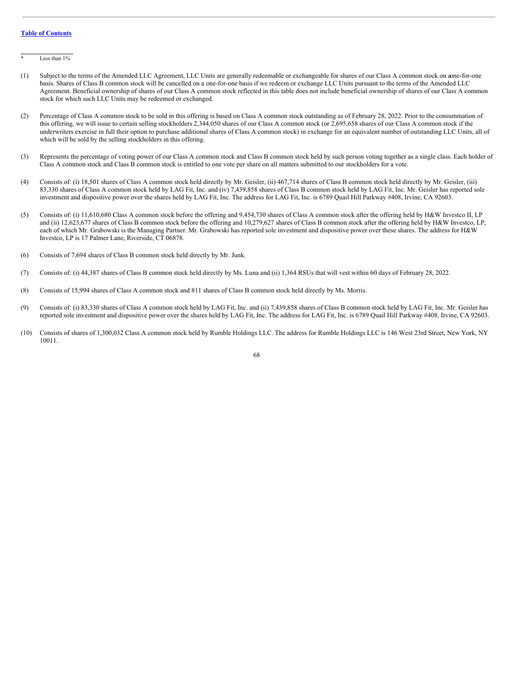Less than  $1\%$ 

- (1) Subject to the terms of the Amended LLC Agreement, LLC Units are generally redeemable or exchangeable for shares of our Class A common stock on aone-for-one basis. Shares of Class B common stock will be cancelled on a one-for-one basis if we redeem or exchange LLC Units pursuant to the terms of the Amended LLC Agreement. Beneficial ownership of shares of our Class A common stock reflected in this table does not include beneficial ownership of shares of our Class A common stock for which such LLC Units may be redeemed or exchanged.
- (2) Percentage of Class A common stock to be sold in this offering is based on Class A common stock outstanding as of February 28, 2022. Prior to the consummation of this offering, we will issue to certain selling stockholders 2,344,050 shares of our Class A common stock (or 2,695,658 shares of our Class A common stock if the underwriters exercise in full their option to purchase additional shares of Class A common stock) in exchange for an equivalent number of outstanding LLC Units, all of which will be sold by the selling stockholders in this offering.
- (3) Represents the percentage of voting power of our Class A common stock and Class B common stock held by such person voting together as a single class. Each holder of Class A common stock and Class B common stock is entitled to one vote per share on all matters submitted to our stockholders for a vote.
- (4) Consists of: (i) 18,501 shares of Class A common stock held directly by Mr. Geisler, (ii) 467,714 shares of Class B common stock held directly by Mr. Geisler, (iii) 83,330 shares of Class A common stock held by LAG Fit, Inc. and (iv) 7,439,858 shares of Class B common stock held by LAG Fit, Inc. Mr. Geisler has reported sole investment and dispositive power over the shares held by LAG Fit, Inc. The address for LAG Fit, Inc. is 6789 Quail Hill Parkway #408, Irvine, CA 92603.
- (5) Consists of: (i) 11,610,680 Class A common stock before the offering and 9,454,730 shares of Class A common stock after the offering held by H&W Investco II, LP and (ii) 12,623,677 shares of Class B common stock before the offering and 10,279,627 shares of Class B common stock after the offering held by H&W Investco, LP, each of which Mr. Grabowski is the Managing Partner. Mr. Grabowski has reported sole investment and dispositive power over these shares. The address for H&W Investco, LP is 17 Palmer Lane, Riverside, CT 06878.
- (6) Consists of 7,694 shares of Class B common stock held directly by Mr. Junk.
- (7) Consists of: (i) 44,387 shares of Class B common stock held directly by Ms. Luna and (ii) 1,364 RSUs that will vest within 60 days of February 28, 2022.
- (8) Consists of 15,994 shares of Class A common stock and 811 shares of Class B common stock held directly by Ms. Morris.
- (9) Consists of: (i) 83,330 shares of Class A common stock held by LAG Fit, Inc. and (ii) 7,439,858 shares of Class B common stock held by LAG Fit, Inc. Mr. Geisler has reported sole investment and dispositive power over the shares held by LAG Fit, Inc. The address for LAG Fit, Inc. is 6789 Quail Hill Parkway #408, Irvine, CA 92603.
- (10) Consists of shares of 1,300,032 Class A common stock held by Rumble Holdings LLC. The address for Rumble Holdings LLC is 146 West 23rd Street, New York, NY 10011.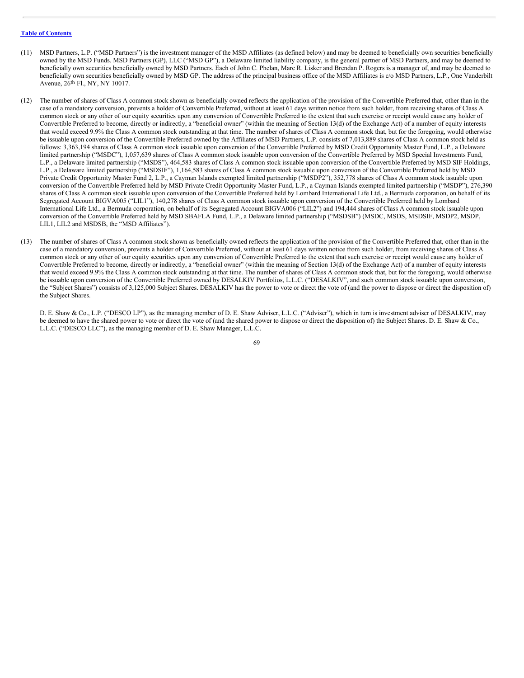- (11) MSD Partners, L.P. ("MSD Partners") is the investment manager of the MSD Affiliates (as defined below) and may be deemed to beneficially own securities beneficially owned by the MSD Funds. MSD Partners (GP), LLC ("MSD GP"), a Delaware limited liability company, is the general partner of MSD Partners, and may be deemed to beneficially own securities beneficially owned by MSD Partners. Each of John C. Phelan, Marc R. Lisker and Brendan P. Rogers is a manager of, and may be deemed to beneficially own securities beneficially owned by MSD GP. The address of the principal business office of the MSD Affiliates is c/o MSD Partners, L.P., One Vanderbilt Avenue, 26th Fl., NY, NY 10017.
- (12) The number of shares of Class A common stock shown as beneficially owned reflects the application of the provision of the Convertible Preferred that, other than in the case of a mandatory conversion, prevents a holder of Convertible Preferred, without at least 61 days written notice from such holder, from receiving shares of Class A common stock or any other of our equity securities upon any conversion of Convertible Preferred to the extent that such exercise or receipt would cause any holder of Convertible Preferred to become, directly or indirectly, a "beneficial owner" (within the meaning of Section 13(d) of the Exchange Act) of a number of equity interests that would exceed 9.9% the Class A common stock outstanding at that time. The number of shares of Class A common stock that, but for the foregoing, would otherwise be issuable upon conversion of the Convertible Preferred owned by the Affiliates of MSD Partners, L.P. consists of 7,013,889 shares of Class A common stock held as follows: 3,363,194 shares of Class A common stock issuable upon conversion of the Convertible Preferred by MSD Credit Opportunity Master Fund, L.P., a Delaware limited partnership ("MSDC"), 1,057,639 shares of Class A common stock issuable upon conversion of the Convertible Preferred by MSD Special Investments Fund, L.P., a Delaware limited partnership ("MSDS"), 464,583 shares of Class A common stock issuable upon conversion of the Convertible Preferred by MSD SIF Holdings, L.P., a Delaware limited partnership ("MSDSIF"), 1,164,583 shares of Class A common stock issuable upon conversion of the Convertible Preferred held by MSD Private Credit Opportunity Master Fund 2, L.P., a Cayman Islands exempted limited partnership ("MSDP2"), 352,778 shares of Class A common stock issuable upon conversion of the Convertible Preferred held by MSD Private Credit Opportunity Master Fund, L.P., a Cayman Islands exempted limited partnership ("MSDP"), 276,390 shares of Class A common stock issuable upon conversion of the Convertible Preferred held by Lombard International Life Ltd., a Bermuda corporation, on behalf of its Segregated Account BIGVA005 ("LIL1"), 140,278 shares of Class A common stock issuable upon conversion of the Convertible Preferred held by Lombard International Life Ltd., a Bermuda corporation, on behalf of its Segregated Account BIGVA006 ("LIL2") and 194,444 shares of Class A common stock issuable upon conversion of the Convertible Preferred held by MSD SBAFLA Fund, L.P., a Delaware limited partnership ("MSDSB") (MSDC, MSDS, MSDSIF, MSDP2, MSDP, LIL1, LIL2 and MSDSB, the "MSD Affiliates").
- (13) The number of shares of Class A common stock shown as beneficially owned reflects the application of the provision of the Convertible Preferred that, other than in the case of a mandatory conversion, prevents a holder of Convertible Preferred, without at least 61 days written notice from such holder, from receiving shares of Class A common stock or any other of our equity securities upon any conversion of Convertible Preferred to the extent that such exercise or receipt would cause any holder of Convertible Preferred to become, directly or indirectly, a "beneficial owner" (within the meaning of Section 13(d) of the Exchange Act) of a number of equity interests that would exceed 9.9% the Class A common stock outstanding at that time. The number of shares of Class A common stock that, but for the foregoing, would otherwise be issuable upon conversion of the Convertible Preferred owned by DESALKIV Portfolios, L.L.C. ("DESALKIV", and such common stock issuable upon conversion, the "Subject Shares") consists of 3,125,000 Subject Shares. DESALKIV has the power to vote or direct the vote of (and the power to dispose or direct the disposition of) the Subject Shares.

D. E. Shaw & Co., L.P. ("DESCO LP"), as the managing member of D. E. Shaw Adviser, L.L.C. ("Adviser"), which in turn is investment adviser of DESALKIV, may be deemed to have the shared power to vote or direct the vote of (and the shared power to dispose or direct the disposition of) the Subject Shares. D. E. Shaw & Co., L.L.C. ("DESCO LLC"), as the managing member of D. E. Shaw Manager, L.L.C.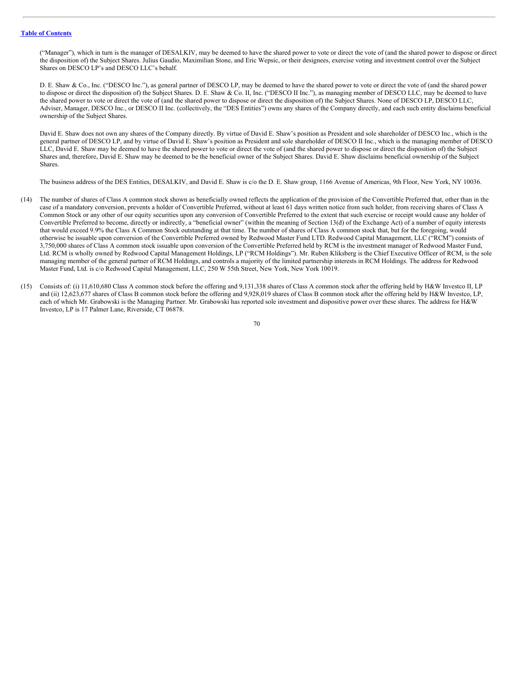("Manager"), which in turn is the manager of DESALKIV, may be deemed to have the shared power to vote or direct the vote of (and the shared power to dispose or direct the disposition of) the Subject Shares. Julius Gaudio, Maximilian Stone, and Eric Wepsic, or their designees, exercise voting and investment control over the Subject Shares on DESCO LP's and DESCO LLC's behalf.

D. E. Shaw & Co., Inc. ("DESCO Inc."), as general partner of DESCO LP, may be deemed to have the shared power to vote or direct the vote of (and the shared power to dispose or direct the disposition of) the Subject Shares. D. E. Shaw & Co. II, Inc. ("DESCO II Inc."), as managing member of DESCO LLC, may be deemed to have the shared power to vote or direct the vote of (and the shared power to dispose or direct the disposition of) the Subject Shares. None of DESCO LP, DESCO LLC, Adviser, Manager, DESCO Inc., or DESCO II Inc. (collectively, the "DES Entities") owns any shares of the Company directly, and each such entity disclaims beneficial ownership of the Subject Shares.

David E. Shaw does not own any shares of the Company directly. By virtue of David E. Shaw's position as President and sole shareholder of DESCO Inc., which is the general partner of DESCO LP, and by virtue of David E. Shaw's position as President and sole shareholder of DESCO II Inc., which is the managing member of DESCO LLC, David E. Shaw may be deemed to have the shared power to vote or direct the vote of (and the shared power to dispose or direct the disposition of) the Subject Shares and, therefore, David E. Shaw may be deemed to be the beneficial owner of the Subject Shares. David E. Shaw disclaims beneficial ownership of the Subject Shares.

The business address of the DES Entities, DESALKIV, and David E. Shaw is c/o the D. E. Shaw group, 1166 Avenue of Americas, 9th Floor, New York, NY 10036.

- (14) The number of shares of Class A common stock shown as beneficially owned reflects the application of the provision of the Convertible Preferred that, other than in the case of a mandatory conversion, prevents a holder of Convertible Preferred, without at least 61 days written notice from such holder, from receiving shares of Class A Common Stock or any other of our equity securities upon any conversion of Convertible Preferred to the extent that such exercise or receipt would cause any holder of Convertible Preferred to become, directly or indirectly, a "beneficial owner" (within the meaning of Section 13(d) of the Exchange Act) of a number of equity interests that would exceed 9.9% the Class A Common Stock outstanding at that time. The number of shares of Class A common stock that, but for the foregoing, would otherwise be issuable upon conversion of the Convertible Preferred owned by Redwood Master Fund LTD. Redwood Capital Management, LLC ("RCM") consists of 3,750,000 shares of Class A common stock issuable upon conversion of the Convertible Preferred held by RCM is the investment manager of Redwood Master Fund, Ltd. RCM is wholly owned by Redwood Capital Management Holdings, LP ("RCM Holdings"). Mr. Ruben Kliksberg is the Chief Executive Officer of RCM, is the sole managing member of the general partner of RCM Holdings, and controls a majority of the limited partnership interests in RCM Holdings. The address for Redwood Master Fund, Ltd. is c/o Redwood Capital Management, LLC, 250 W 55th Street, New York, New York 10019.
- (15) Consists of: (i) 11,610,680 Class A common stock before the offering and 9,131,338 shares of Class A common stock after the offering held by H&W Investco II, LP and (ii) 12,623,677 shares of Class B common stock before the offering and 9,928,019 shares of Class B common stock after the offering held by H&W Investco, LP, each of which Mr. Grabowski is the Managing Partner. Mr. Grabowski has reported sole investment and dispositive power over these shares. The address for H&W Investco, LP is 17 Palmer Lane, Riverside, CT 06878.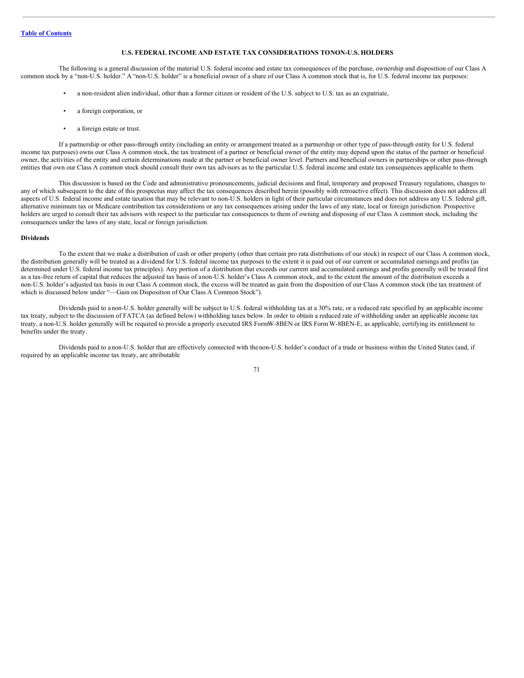## **U.S. FEDERAL INCOME AND ESTATE TAX CONSIDERATIONS TONON-U.S. HOLDERS**

The following is a general discussion of the material U.S. federal income and estate tax consequences of the purchase, ownership and disposition of our Class A common stock by a "non-U.S. holder." A "non-U.S. holder" is a beneficial owner of a share of our Class A common stock that is, for U.S. federal income tax purposes:

- a non-resident alien individual, other than a former citizen or resident of the U.S. subject to U.S. tax as an expatriate,
- a foreign corporation, or
- a foreign estate or trust.

If a partnership or other pass-through entity (including an entity or arrangement treated as a partnership or other type of pass-through entity for U.S. federal income tax purposes) owns our Class A common stock, the tax treatment of a partner or beneficial owner of the entity may depend upon the status of the partner or beneficial owner, the activities of the entity and certain determinations made at the partner or beneficial owner level. Partners and beneficial owners in partnerships or other pass-through entities that own our Class A common stock should consult their own tax advisors as to the particular U.S. federal income and estate tax consequences applicable to them.

This discussion is based on the Code and administrative pronouncements, judicial decisions and final, temporary and proposed Treasury regulations, changes to any of which subsequent to the date of this prospectus may affect the tax consequences described herein (possibly with retroactive effect). This discussion does not address all aspects of U.S. federal income and estate taxation that may be relevant to non-U.S. holders in light of their particular circumstances and does not address any U.S. federal gift, alternative minimum tax or Medicare contribution tax considerations or any tax consequences arising under the laws of any state, local or foreign jurisdiction. Prospective holders are urged to consult their tax advisors with respect to the particular tax consequences to them of owning and disposing of our Class A common stock, including the consequences under the laws of any state, local or foreign jurisdiction.

#### **Dividends**

To the extent that we make a distribution of cash or other property (other than certain pro rata distributions of our stock) in respect of our Class A common stock, the distribution generally will be treated as a dividend for U.S. federal income tax purposes to the extent it is paid out of our current or accumulated earnings and profits (as determined under U.S. federal income tax principles). Any portion of a distribution that exceeds our current and accumulated earnings and profits generally will be treated first as a tax-free return of capital that reduces the adjusted tax basis of anon-U.S. holder's Class A common stock, and to the extent the amount of the distribution exceeds a non-U.S. holder's adjusted tax basis in our Class A common stock, the excess will be treated as gain from the disposition of our Class A common stock (the tax treatment of which is discussed below under "-Gain on Disposition of Our Class A Common Stock").

Dividends paid to a non-U.S. holder generally will be subject to U.S. federal withholding tax at a 30% rate, or a reduced rate specified by an applicable income tax treaty, subject to the discussion of FATCA (as defined below) withholding taxes below. In order to obtain a reduced rate of withholding under an applicable income tax treaty, a non-U.S. holder generally will be required to provide a properly executed IRS FormW-8BEN or IRS Form W-8BEN-E, as applicable, certifying its entitlement to benefits under the treaty.

Dividends paid to a non-U.S. holder that are effectively connected with thenon-U.S. holder's conduct of a trade or business within the United States (and, if required by an applicable income tax treaty, are attributable

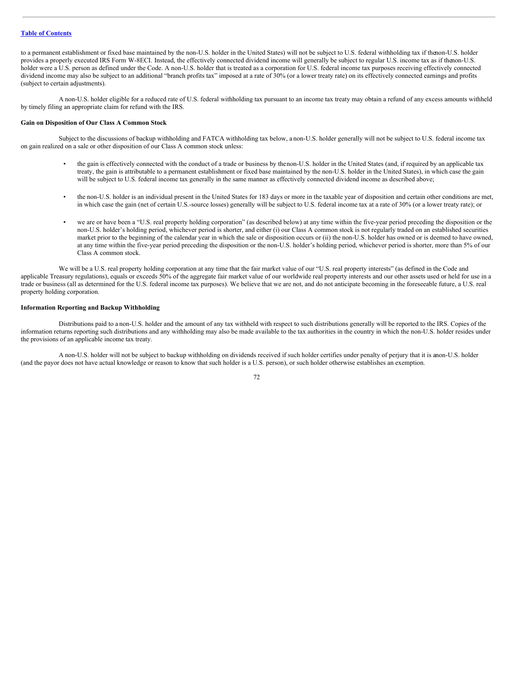## **Table of [Contents](#page-1-0)**

to a permanent establishment or fixed base maintained by the non-U.S. holder in the United States) will not be subject to U.S. federal withholding tax if thenon-U.S. holder provides a properly executed IRS Form W-8ECI. Instead, the effectively connected dividend income will generally be subject to regular U.S. income tax as if thenon-U.S. holder were a U.S. person as defined under the Code. A non-U.S. holder that is treated as a corporation for U.S. federal income tax purposes receiving effectively connected dividend income may also be subject to an additional "branch profits tax" imposed at a rate of 30% (or a lower treaty rate) on its effectively connected earnings and profits (subject to certain adjustments).

A non-U.S. holder eligible for a reduced rate of U.S. federal withholding tax pursuant to an income tax treaty may obtain a refund of any excess amounts withheld by timely filing an appropriate claim for refund with the IRS.

#### **Gain on Disposition of Our Class A Common Stock**

Subject to the discussions of backup withholding and FATCA withholding tax below, a non-U.S. holder generally will not be subject to U.S. federal income tax on gain realized on a sale or other disposition of our Class A common stock unless:

- the gain is effectively connected with the conduct of a trade or business by thenon-U.S. holder in the United States (and, if required by an applicable tax treaty, the gain is attributable to a permanent establishment or fixed base maintained by the non-U.S. holder in the United States), in which case the gain will be subject to U.S. federal income tax generally in the same manner as effectively connected dividend income as described above;
- the non-U.S. holder is an individual present in the United States for 183 days or more in the taxable year of disposition and certain other conditions are met, in which case the gain (net of certain U.S.-source losses) generally will be subject to U.S. federal income tax at a rate of 30% (or a lower treaty rate); or
- we are or have been a "U.S. real property holding corporation" (as described below) at any time within the five-year period preceding the disposition or the non-U.S. holder's holding period, whichever period is shorter, and either (i) our Class A common stock is not regularly traded on an established securities market prior to the beginning of the calendar year in which the sale or disposition occurs or (ii) the non-U.S. holder has owned or is deemed to have owned, at any time within the five-year period preceding the disposition or the non-U.S. holder's holding period, whichever period is shorter, more than 5% of our Class A common stock.

We will be a U.S. real property holding corporation at any time that the fair market value of our "U.S. real property interests" (as defined in the Code and applicable Treasury regulations), equals or exceeds 50% of the aggregate fair market value of our worldwide real property interests and our other assets used or held for use in a trade or business (all as determined for the U.S. federal income tax purposes). We believe that we are not, and do not anticipate becoming in the foreseeable future, a U.S. real property holding corporation.

## **Information Reporting and Backup Withholding**

Distributions paid to a non-U.S. holder and the amount of any tax withheld with respect to such distributions generally will be reported to the IRS. Copies of the information returns reporting such distributions and any withholding may also be made available to the tax authorities in the country in which the non-U.S. holder resides under the provisions of an applicable income tax treaty.

A non-U.S. holder will not be subject to backup withholding on dividends received if such holder certifies under penalty of perjury that it is anon-U.S. holder (and the payor does not have actual knowledge or reason to know that such holder is a U.S. person), or such holder otherwise establishes an exemption.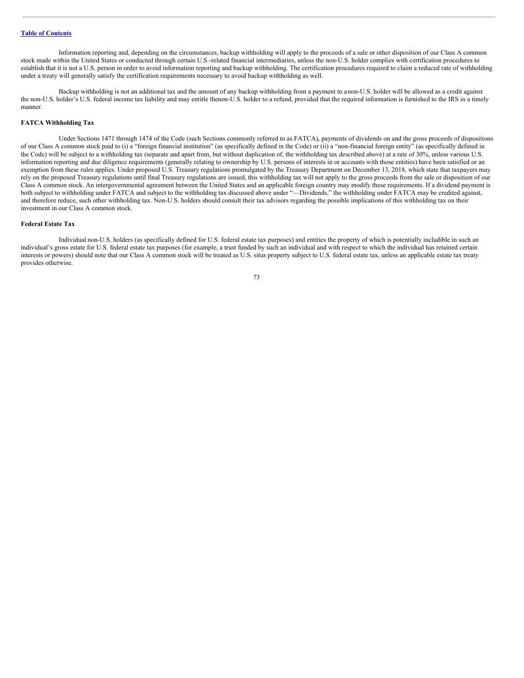Information reporting and, depending on the circumstances, backup withholding will apply to the proceeds of a sale or other disposition of our Class A common stock made within the United States or conducted through certain U.S.-related financial intermediaries, unless the non-U.S. holder complies with certification procedures to establish that it is not a U.S. person in order to avoid information reporting and backup withholding. The certification procedures required to claim a reduced rate of withholding under a treaty will generally satisfy the certification requirements necessary to avoid backup withholding as well.

Backup withholding is not an additional tax and the amount of any backup withholding from a payment to anon-U.S. holder will be allowed as a credit against the non-U.S. holder's U.S. federal income tax liability and may entitle thenon-U.S. holder to a refund, provided that the required information is furnished to the IRS in a timely manner.

## **FATCA Withholding Tax**

Under Sections 1471 through 1474 of the Code (such Sections commonly referred to as FATCA), payments of dividends on and the gross proceeds of dispositions of our Class A common stock paid to (i) a "foreign financial institution" (as specifically defined in the Code) or (ii) a "non-financial foreign entity" (as specifically defined in the Code) will be subject to a withholding tax (separate and apart from, but without duplication of, the withholding tax described above) at a rate of 30%, unless various U.S. information reporting and due diligence requirements (generally relating to ownership by U.S. persons of interests in or accounts with those entities) have been satisfied or an exemption from these rules applies. Under proposed U.S. Treasury regulations promulgated by the Treasury Department on December 13, 2018, which state that taxpayers may rely on the proposed Treasury regulations until final Treasury regulations are issued, this withholding tax will not apply to the gross proceeds from the sale or disposition of our Class A common stock. An intergovernmental agreement between the United States and an applicable foreign country may modify these requirements. If a dividend payment is both subject to withholding under FATCA and subject to the withholding tax discussed above under "—Dividends," the withholding under FATCA may be credited against, and therefore reduce, such other withholding tax. Non-U.S. holders should consult their tax advisors regarding the possible implications of this withholding tax on their investment in our Class A common stock.

## **Federal Estate Tax**

Individual non-U.S. holders (as specifically defined for U.S. federal estate tax purposes) and entities the property of which is potentially includible in such an individual's gross estate for U.S. federal estate tax purposes (for example, a trust funded by such an individual and with respect to which the individual has retained certain interests or powers) should note that our Class A common stock will be treated as U.S. situs property subject to U.S. federal estate tax, unless an applicable estate tax treaty provides otherwise.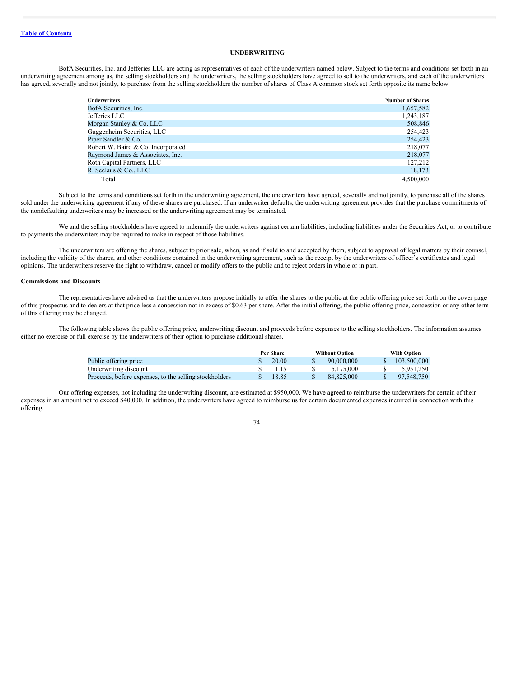## **UNDERWRITING**

BofA Securities, Inc. and Jefferies LLC are acting as representatives of each of the underwriters named below. Subject to the terms and conditions set forth in an underwriting agreement among us, the selling stockholders and the underwriters, the selling stockholders have agreed to sell to the underwriters, and each of the underwriters has agreed, severally and not jointly, to purchase from the selling stockholders the number of shares of Class A common stock set forth opposite its name below.

| <b>Underwriters</b>                | <b>Number of Shares</b> |
|------------------------------------|-------------------------|
| BofA Securities, Inc.              | 1,657,582               |
| Jefferies LLC                      | 1,243,187               |
| Morgan Stanley & Co. LLC           | 508,846                 |
| Guggenheim Securities, LLC         | 254,423                 |
| Piper Sandler & Co.                | 254,423                 |
| Robert W. Baird & Co. Incorporated | 218,077                 |
| Raymond James & Associates, Inc.   | 218,077                 |
| Roth Capital Partners, LLC         | 127,212                 |
| R. Seelaus & Co., LLC              | 18,173                  |
| Total                              | 4.500,000               |

Subject to the terms and conditions set forth in the underwriting agreement, the underwriters have agreed, severally and not jointly, to purchase all of the shares sold under the underwriting agreement if any of these shares are purchased. If an underwriter defaults, the underwriting agreement provides that the purchase commitments of the nondefaulting underwriters may be increased or the underwriting agreement may be terminated.

We and the selling stockholders have agreed to indemnify the underwriters against certain liabilities, including liabilities under the Securities Act, or to contribute to payments the underwriters may be required to make in respect of those liabilities.

The underwriters are offering the shares, subject to prior sale, when, as and if sold to and accepted by them, subject to approval of legal matters by their counsel, including the validity of the shares, and other conditions contained in the underwriting agreement, such as the receipt by the underwriters of officer's certificates and legal opinions. The underwriters reserve the right to withdraw, cancel or modify offers to the public and to reject orders in whole or in part.

#### **Commissions and Discounts**

The representatives have advised us that the underwriters propose initially to offer the shares to the public at the public offering price set forth on the cover page of this prospectus and to dealers at that price less a concession not in excess of \$0.63 per share. After the initial offering, the public offering price, concession or any other term of this offering may be changed.

The following table shows the public offering price, underwriting discount and proceeds before expenses to the selling stockholders. The information assumes either no exercise or full exercise by the underwriters of their option to purchase additional shares.

|                                                        | Per Share |       | <b>Without Option</b> |  | <b>With Option</b> |  |
|--------------------------------------------------------|-----------|-------|-----------------------|--|--------------------|--|
| Public offering price                                  | S         | 20.00 | 90,000,000            |  | 103,500,000        |  |
| Underwriting discount                                  |           |       | 5.175.000             |  | 5.951.250          |  |
| Proceeds, before expenses, to the selling stockholders |           | 18.85 | 84.825.000            |  | 97.548.750         |  |

Our offering expenses, not including the underwriting discount, are estimated at \$950,000. We have agreed to reimburse the underwriters for certain of their expenses in an amount not to exceed \$40,000. In addition, the underwriters have agreed to reimburse us for certain documented expenses incurred in connection with this offering.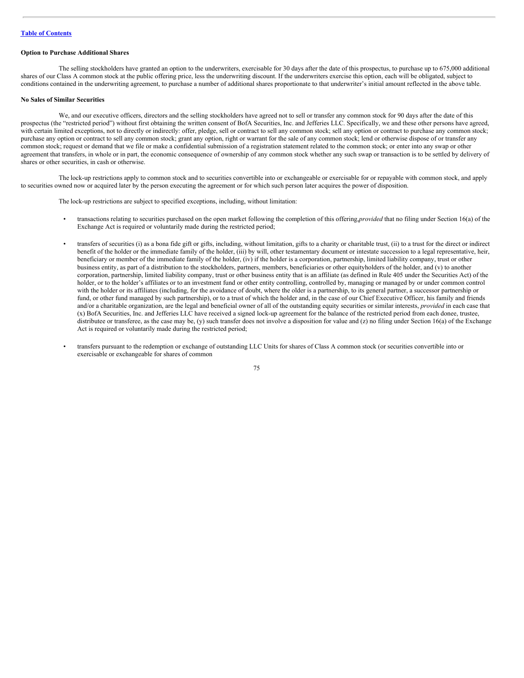## **Option to Purchase Additional Shares**

The selling stockholders have granted an option to the underwriters, exercisable for 30 days after the date of this prospectus, to purchase up to 675,000 additional shares of our Class A common stock at the public offering price, less the underwriting discount. If the underwriters exercise this option, each will be obligated, subject to conditions contained in the underwriting agreement, to purchase a number of additional shares proportionate to that underwriter's initial amount reflected in the above table.

## **No Sales of Similar Securities**

We, and our executive officers, directors and the selling stockholders have agreed not to sell or transfer any common stock for 90 days after the date of this prospectus (the "restricted period") without first obtaining the written consent of BofA Securities, Inc. and Jefferies LLC. Specifically, we and these other persons have agreed, with certain limited exceptions, not to directly or indirectly: offer, pledge, sell or contract to sell any common stock; sell any option or contract to purchase any common stock; purchase any option or contract to sell any common stock; grant any option, right or warrant for the sale of any common stock; lend or otherwise dispose of or transfer any common stock; request or demand that we file or make a confidential submission of a registration statement related to the common stock; or enter into any swap or other agreement that transfers, in whole or in part, the economic consequence of ownership of any common stock whether any such swap or transaction is to be settled by delivery of shares or other securities, in cash or otherwise.

The lock-up restrictions apply to common stock and to securities convertible into or exchangeable or exercisable for or repayable with common stock, and apply to securities owned now or acquired later by the person executing the agreement or for which such person later acquires the power of disposition.

The lock-up restrictions are subject to specified exceptions, including, without limitation:

- transactions relating to securities purchased on the open market following the completion of this offering,*provided* that no filing under Section 16(a) of the Exchange Act is required or voluntarily made during the restricted period;
- transfers of securities (i) as a bona fide gift or gifts, including, without limitation, gifts to a charity or charitable trust, (ii) to a trust for the direct or indirect benefit of the holder or the immediate family of the holder, (iii) by will, other testamentary document or intestate succession to a legal representative, heir, beneficiary or member of the immediate family of the holder, (iv) if the holder is a corporation, partnership, limited liability company, trust or other business entity, as part of a distribution to the stockholders, partners, members, beneficiaries or other equityholders of the holder, and (v) to another corporation, partnership, limited liability company, trust or other business entity that is an affiliate (as defined in Rule 405 under the Securities Act) of the holder, or to the holder's affiliates or to an investment fund or other entity controlling, controlled by, managing or managed by or under common control with the holder or its affiliates (including, for the avoidance of doubt, where the older is a partnership, to its general partner, a successor partnership or fund, or other fund managed by such partnership), or to a trust of which the holder and, in the case of our Chief Executive Officer, his family and friends and/or a charitable organization, are the legal and beneficial owner of all of the outstanding equity securities or similar interests, *provided* in each case that (x) BofA Securities, Inc. and Jefferies LLC have received a signed lock-up agreement for the balance of the restricted period from each donee, trustee, distributee or transferee, as the case may be, (y) such transfer does not involve a disposition for value and (z) no filing under Section 16(a) of the Exchange Act is required or voluntarily made during the restricted period;
- transfers pursuant to the redemption or exchange of outstanding LLC Units for shares of Class A common stock (or securities convertible into or exercisable or exchangeable for shares of common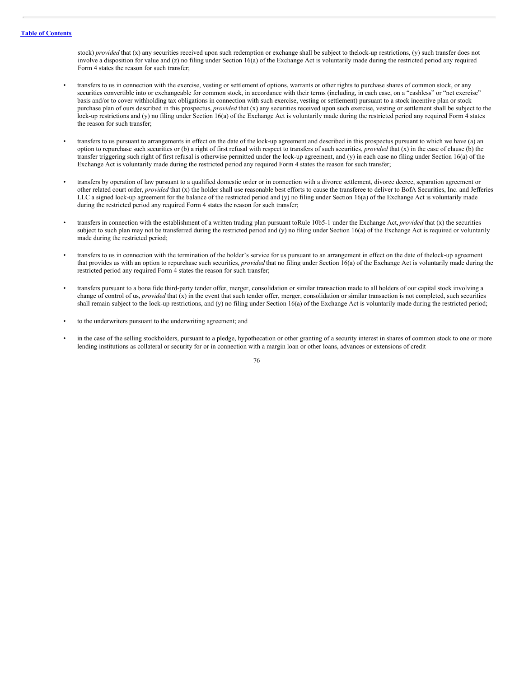stock) *provided* that (x) any securities received upon such redemption or exchange shall be subject to the lock-up restrictions, (y) such transfer does not involve a disposition for value and (z) no filing under Section 16(a) of the Exchange Act is voluntarily made during the restricted period any required Form 4 states the reason for such transfer;

- transfers to us in connection with the exercise, vesting or settlement of options, warrants or other rights to purchase shares of common stock, or any securities convertible into or exchangeable for common stock, in accordance with their terms (including, in each case, on a "cashless" or "net exercise" basis and/or to cover withholding tax obligations in connection with such exercise, vesting or settlement) pursuant to a stock incentive plan or stock purchase plan of ours described in this prospectus, *provided* that (x) any securities received upon such exercise, vesting or settlement shall be subject to the lock-up restrictions and (y) no filing under Section 16(a) of the Exchange Act is voluntarily made during the restricted period any required Form 4 states the reason for such transfer;
- transfers to us pursuant to arrangements in effect on the date of the lock-up agreement and described in this prospectus pursuant to which we have (a) an option to repurchase such securities or (b) a right of first refusal with respect to transfers of such securities, *provided* that (x) in the case of clause (b) the transfer triggering such right of first refusal is otherwise permitted under the lock-up agreement, and (y) in each case no filing under Section 16(a) of the Exchange Act is voluntarily made during the restricted period any required Form 4 states the reason for such transfer;
- transfers by operation of law pursuant to a qualified domestic order or in connection with a divorce settlement, divorce decree, separation agreement or other related court order, *provided* that (x) the holder shall use reasonable best efforts to cause the transferee to deliver to BofA Securities, Inc. and Jefferies LLC a signed lock-up agreement for the balance of the restricted period and (y) no filing under Section 16(a) of the Exchange Act is voluntarily made during the restricted period any required Form 4 states the reason for such transfer;
- transfers in connection with the establishment of a written trading plan pursuant toRule 10b5-1 under the Exchange Act, *provided* that (x) the securities subject to such plan may not be transferred during the restricted period and (y) no filing under Section 16(a) of the Exchange Act is required or voluntarily made during the restricted period;
- transfers to us in connection with the termination of the holder's service for us pursuant to an arrangement in effect on the date of thelock-up agreement that provides us with an option to repurchase such securities, *provided* that no filing under Section 16(a) of the Exchange Act is voluntarily made during the restricted period any required Form 4 states the reason for such transfer;
- transfers pursuant to a bona fide third-party tender offer, merger, consolidation or similar transaction made to all holders of our capital stock involving a change of control of us, *provided* that (x) in the event that such tender offer, merger, consolidation or similar transaction is not completed, such securities shall remain subject to the lock-up restrictions, and (y) no filing under Section 16(a) of the Exchange Act is voluntarily made during the restricted period;
- to the underwriters pursuant to the underwriting agreement; and
- in the case of the selling stockholders, pursuant to a pledge, hypothecation or other granting of a security interest in shares of common stock to one or more lending institutions as collateral or security for or in connection with a margin loan or other loans, advances or extensions of credit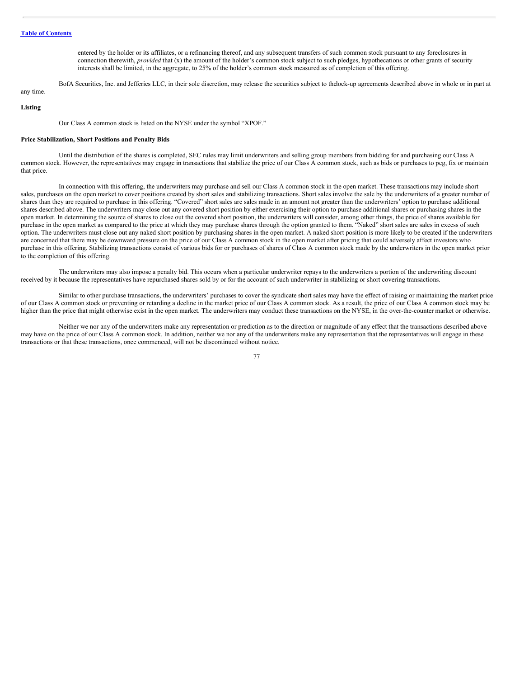entered by the holder or its affiliates, or a refinancing thereof, and any subsequent transfers of such common stock pursuant to any foreclosures in connection therewith, *provided* that (x) the amount of the holder's common stock subject to such pledges, hypothecations or other grants of security interests shall be limited, in the aggregate, to 25% of the holder's common stock measured as of completion of this offering.

BofA Securities, Inc. and Jefferies LLC, in their sole discretion, may release the securities subject to thelock-up agreements described above in whole or in part at

# any time.

## **Listing**

Our Class A common stock is listed on the NYSE under the symbol "XPOF."

#### **Price Stabilization, Short Positions and Penalty Bids**

Until the distribution of the shares is completed, SEC rules may limit underwriters and selling group members from bidding for and purchasing our Class A common stock. However, the representatives may engage in transactions that stabilize the price of our Class A common stock, such as bids or purchases to peg, fix or maintain that price.

In connection with this offering, the underwriters may purchase and sell our Class A common stock in the open market. These transactions may include short sales, purchases on the open market to cover positions created by short sales and stabilizing transactions. Short sales involve the sale by the underwriters of a greater number of shares than they are required to purchase in this offering. "Covered" short sales are sales made in an amount not greater than the underwriters' option to purchase additional shares described above. The underwriters may close out any covered short position by either exercising their option to purchase additional shares or purchasing shares in the open market. In determining the source of shares to close out the covered short position, the underwriters will consider, among other things, the price of shares available for purchase in the open market as compared to the price at which they may purchase shares through the option granted to them. "Naked" short sales are sales in excess of such option. The underwriters must close out any naked short position by purchasing shares in the open market. A naked short position is more likely to be created if the underwriters are concerned that there may be downward pressure on the price of our Class A common stock in the open market after pricing that could adversely affect investors who purchase in this offering. Stabilizing transactions consist of various bids for or purchases of shares of Class A common stock made by the underwriters in the open market prior to the completion of this offering.

The underwriters may also impose a penalty bid. This occurs when a particular underwriter repays to the underwriters a portion of the underwriting discount received by it because the representatives have repurchased shares sold by or for the account of such underwriter in stabilizing or short covering transactions.

Similar to other purchase transactions, the underwriters' purchases to cover the syndicate short sales may have the effect of raising or maintaining the market price of our Class A common stock or preventing or retarding a decline in the market price of our Class A common stock. As a result, the price of our Class A common stock may be higher than the price that might otherwise exist in the open market. The underwriters may conduct these transactions on the NYSE, in the over-the-counter market or otherwise.

Neither we nor any of the underwriters make any representation or prediction as to the direction or magnitude of any effect that the transactions described above may have on the price of our Class A common stock. In addition, neither we nor any of the underwriters make any representation that the representatives will engage in these transactions or that these transactions, once commenced, will not be discontinued without notice.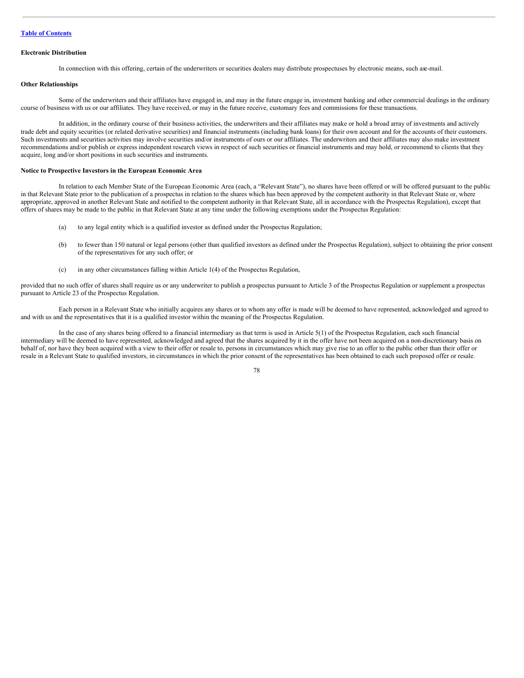#### **Electronic Distribution**

In connection with this offering, certain of the underwriters or securities dealers may distribute prospectuses by electronic means, such ase-mail.

## **Other Relationships**

Some of the underwriters and their affiliates have engaged in, and may in the future engage in, investment banking and other commercial dealings in the ordinary course of business with us or our affiliates. They have received, or may in the future receive, customary fees and commissions for these transactions.

In addition, in the ordinary course of their business activities, the underwriters and their affiliates may make or hold a broad array of investments and actively trade debt and equity securities (or related derivative securities) and financial instruments (including bank loans) for their own account and for the accounts of their customers. Such investments and securities activities may involve securities and/or instruments of ours or our affiliates. The underwriters and their affiliates may also make investment recommendations and/or publish or express independent research views in respect of such securities or financial instruments and may hold, or recommend to clients that they acquire, long and/or short positions in such securities and instruments.

## **Notice to Prospective Investors in the European Economic Area**

In relation to each Member State of the European Economic Area (each, a "Relevant State"), no shares have been offered or will be offered pursuant to the public in that Relevant State prior to the publication of a prospectus in relation to the shares which has been approved by the competent authority in that Relevant State or, where appropriate, approved in another Relevant State and notified to the competent authority in that Relevant State, all in accordance with the Prospectus Regulation), except that offers of shares may be made to the public in that Relevant State at any time under the following exemptions under the Prospectus Regulation:

- (a) to any legal entity which is a qualified investor as defined under the Prospectus Regulation;
- (b) to fewer than 150 natural or legal persons (other than qualified investors as defined under the Prospectus Regulation), subject to obtaining the prior consent of the representatives for any such offer; or
- (c) in any other circumstances falling within Article 1(4) of the Prospectus Regulation,

provided that no such offer of shares shall require us or any underwriter to publish a prospectus pursuant to Article 3 of the Prospectus Regulation or supplement a prospectus pursuant to Article 23 of the Prospectus Regulation.

Each person in a Relevant State who initially acquires any shares or to whom any offer is made will be deemed to have represented, acknowledged and agreed to and with us and the representatives that it is a qualified investor within the meaning of the Prospectus Regulation.

In the case of any shares being offered to a financial intermediary as that term is used in Article 5(1) of the Prospectus Regulation, each such financial intermediary will be deemed to have represented, acknowledged and agreed that the shares acquired by it in the offer have not been acquired on a non-discretionary basis on behalf of, nor have they been acquired with a view to their offer or resale to, persons in circumstances which may give rise to an offer to the public other than their offer or resale in a Relevant State to qualified investors, in circumstances in which the prior consent of the representatives has been obtained to each such proposed offer or resale.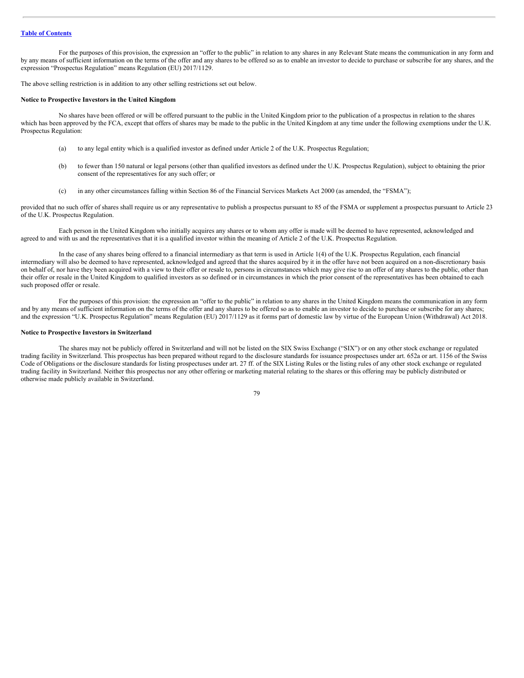For the purposes of this provision, the expression an "offer to the public" in relation to any shares in any Relevant State means the communication in any form and by any means of sufficient information on the terms of the offer and any shares to be offered so as to enable an investor to decide to purchase or subscribe for any shares, and the expression "Prospectus Regulation" means Regulation (EU) 2017/1129.

The above selling restriction is in addition to any other selling restrictions set out below.

## **Notice to Prospective Investors in the United Kingdom**

No shares have been offered or will be offered pursuant to the public in the United Kingdom prior to the publication of a prospectus in relation to the shares which has been approved by the FCA, except that offers of shares may be made to the public in the United Kingdom at any time under the following exemptions under the U.K. Prospectus Regulation:

- (a) to any legal entity which is a qualified investor as defined under Article 2 of the U.K. Prospectus Regulation;
- (b) to fewer than 150 natural or legal persons (other than qualified investors as defined under the U.K. Prospectus Regulation), subject to obtaining the prior consent of the representatives for any such offer; or
- (c) in any other circumstances falling within Section 86 of the Financial Services Markets Act 2000 (as amended, the "FSMA");

provided that no such offer of shares shall require us or any representative to publish a prospectus pursuant to 85 of the FSMA or supplement a prospectus pursuant to Article 23 of the U.K. Prospectus Regulation.

Each person in the United Kingdom who initially acquires any shares or to whom any offer is made will be deemed to have represented, acknowledged and agreed to and with us and the representatives that it is a qualified investor within the meaning of Article 2 of the U.K. Prospectus Regulation.

In the case of any shares being offered to a financial intermediary as that term is used in Article 1(4) of the U.K. Prospectus Regulation, each financial intermediary will also be deemed to have represented, acknowledged and agreed that the shares acquired by it in the offer have not been acquired on a non-discretionary basis on behalf of, nor have they been acquired with a view to their offer or resale to, persons in circumstances which may give rise to an offer of any shares to the public, other than their offer or resale in the United Kingdom to qualified investors as so defined or in circumstances in which the prior consent of the representatives has been obtained to each such proposed offer or resale.

For the purposes of this provision: the expression an "offer to the public" in relation to any shares in the United Kingdom means the communication in any form and by any means of sufficient information on the terms of the offer and any shares to be offered so as to enable an investor to decide to purchase or subscribe for any shares; and the expression "U.K. Prospectus Regulation" means Regulation (EU) 2017/1129 as it forms part of domestic law by virtue of the European Union (Withdrawal) Act 2018.

#### **Notice to Prospective Investors in Switzerland**

The shares may not be publicly offered in Switzerland and will not be listed on the SIX Swiss Exchange ("SIX") or on any other stock exchange or regulated trading facility in Switzerland. This prospectus has been prepared without regard to the disclosure standards for issuance prospectuses under art. 652a or art. 1156 of the Swiss Code of Obligations or the disclosure standards for listing prospectuses under art. 27 ff. of the SIX Listing Rules or the listing rules of any other stock exchange or regulated trading facility in Switzerland. Neither this prospectus nor any other offering or marketing material relating to the shares or this offering may be publicly distributed or otherwise made publicly available in Switzerland.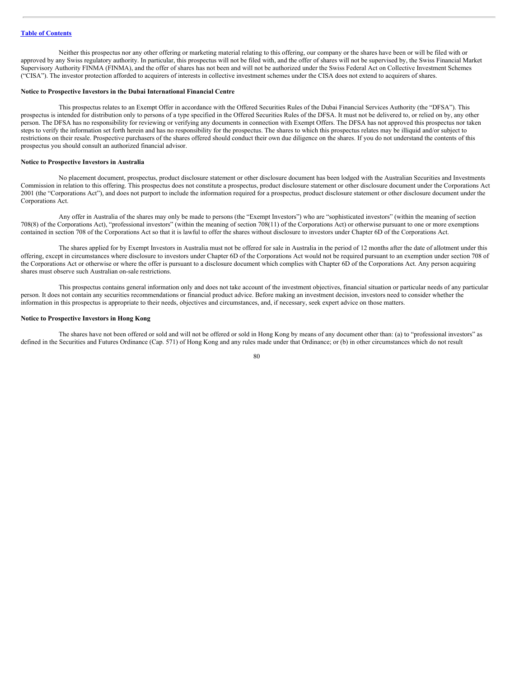Neither this prospectus nor any other offering or marketing material relating to this offering, our company or the shares have been or will be filed with or approved by any Swiss regulatory authority. In particular, this prospectus will not be filed with, and the offer of shares will not be supervised by, the Swiss Financial Market Supervisory Authority FINMA (FINMA), and the offer of shares has not been and will not be authorized under the Swiss Federal Act on Collective Investment Schemes ("CISA"). The investor protection afforded to acquirers of interests in collective investment schemes under the CISA does not extend to acquirers of shares.

## **Notice to Prospective Investors in the Dubai International Financial Centre**

This prospectus relates to an Exempt Offer in accordance with the Offered Securities Rules of the Dubai Financial Services Authority (the "DFSA"). This prospectus is intended for distribution only to persons of a type specified in the Offered Securities Rules of the DFSA. It must not be delivered to, or relied on by, any other person. The DFSA has no responsibility for reviewing or verifying any documents in connection with Exempt Offers. The DFSA has not approved this prospectus nor taken steps to verify the information set forth herein and has no responsibility for the prospectus. The shares to which this prospectus relates may be illiquid and/or subject to restrictions on their resale. Prospective purchasers of the shares offered should conduct their own due diligence on the shares. If you do not understand the contents of this prospectus you should consult an authorized financial advisor.

#### **Notice to Prospective Investors in Australia**

No placement document, prospectus, product disclosure statement or other disclosure document has been lodged with the Australian Securities and Investments Commission in relation to this offering. This prospectus does not constitute a prospectus, product disclosure statement or other disclosure document under the Corporations Act 2001 (the "Corporations Act"), and does not purport to include the information required for a prospectus, product disclosure statement or other disclosure document under the Corporations Act.

Any offer in Australia of the shares may only be made to persons (the "Exempt Investors") who are "sophisticated investors" (within the meaning of section 708(8) of the Corporations Act), "professional investors" (within the meaning of section 708(11) of the Corporations Act) or otherwise pursuant to one or more exemptions contained in section 708 of the Corporations Act so that it is lawful to offer the shares without disclosure to investors under Chapter 6D of the Corporations Act.

The shares applied for by Exempt Investors in Australia must not be offered for sale in Australia in the period of 12 months after the date of allotment under this offering, except in circumstances where disclosure to investors under Chapter 6D of the Corporations Act would not be required pursuant to an exemption under section 708 of the Corporations Act or otherwise or where the offer is pursuant to a disclosure document which complies with Chapter 6D of the Corporations Act. Any person acquiring shares must observe such Australian on-sale restrictions.

This prospectus contains general information only and does not take account of the investment objectives, financial situation or particular needs of any particular person. It does not contain any securities recommendations or financial product advice. Before making an investment decision, investors need to consider whether the information in this prospectus is appropriate to their needs, objectives and circumstances, and, if necessary, seek expert advice on those matters.

#### **Notice to Prospective Investors in Hong Kong**

The shares have not been offered or sold and will not be offered or sold in Hong Kong by means of any document other than: (a) to "professional investors" as defined in the Securities and Futures Ordinance (Cap. 571) of Hong Kong and any rules made under that Ordinance; or (b) in other circumstances which do not result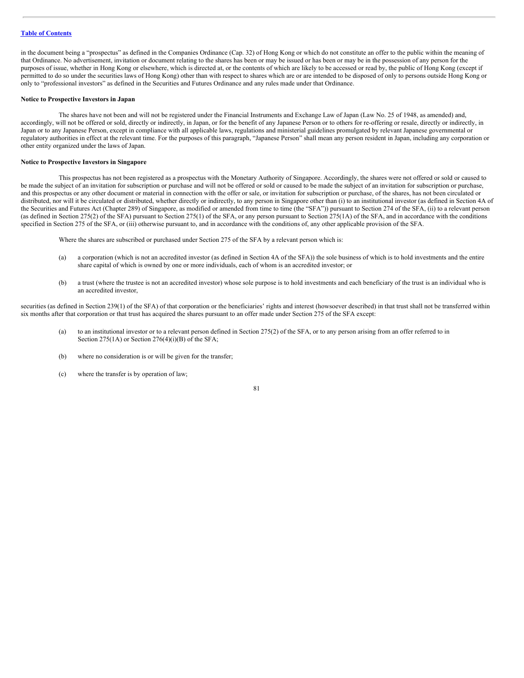## **Table of [Contents](#page-1-0)**

in the document being a "prospectus" as defined in the Companies Ordinance (Cap. 32) of Hong Kong or which do not constitute an offer to the public within the meaning of that Ordinance. No advertisement, invitation or document relating to the shares has been or may be issued or has been or may be in the possession of any person for the purposes of issue, whether in Hong Kong or elsewhere, which is directed at, or the contents of which are likely to be accessed or read by, the public of Hong Kong (except if permitted to do so under the securities laws of Hong Kong) other than with respect to shares which are or are intended to be disposed of only to persons outside Hong Kong or only to "professional investors" as defined in the Securities and Futures Ordinance and any rules made under that Ordinance.

## **Notice to Prospective Investors in Japan**

The shares have not been and will not be registered under the Financial Instruments and Exchange Law of Japan (Law No. 25 of 1948, as amended) and, accordingly, will not be offered or sold, directly or indirectly, in Japan, or for the benefit of any Japanese Person or to others for re-offering or resale, directly or indirectly, in Japan or to any Japanese Person, except in compliance with all applicable laws, regulations and ministerial guidelines promulgated by relevant Japanese governmental or regulatory authorities in effect at the relevant time. For the purposes of this paragraph, "Japanese Person" shall mean any person resident in Japan, including any corporation or other entity organized under the laws of Japan.

#### **Notice to Prospective Investors in Singapore**

This prospectus has not been registered as a prospectus with the Monetary Authority of Singapore. Accordingly, the shares were not offered or sold or caused to be made the subject of an invitation for subscription or purchase and will not be offered or sold or caused to be made the subject of an invitation for subscription or purchase, and this prospectus or any other document or material in connection with the offer or sale, or invitation for subscription or purchase, of the shares, has not been circulated or distributed, nor will it be circulated or distributed, whether directly or indirectly, to any person in Singapore other than (i) to an institutional investor (as defined in Section 4A of the Securities and Futures Act (Chapter 289) of Singapore, as modified or amended from time to time (the "SFA")) pursuant to Section 274 of the SFA, (ii) to a relevant person (as defined in Section 275(2) of the SFA) pursuant to Section 275(1) of the SFA, or any person pursuant to Section 275(1A) of the SFA, and in accordance with the conditions specified in Section 275 of the SFA, or (iii) otherwise pursuant to, and in accordance with the conditions of, any other applicable provision of the SFA.

Where the shares are subscribed or purchased under Section 275 of the SFA by a relevant person which is:

- (a) a corporation (which is not an accredited investor (as defined in Section 4A of the SFA)) the sole business of which is to hold investments and the entire share capital of which is owned by one or more individuals, each of whom is an accredited investor; or
- (b) a trust (where the trustee is not an accredited investor) whose sole purpose is to hold investments and each beneficiary of the trust is an individual who is an accredited investor,

securities (as defined in Section 239(1) of the SFA) of that corporation or the beneficiaries' rights and interest (howsoever described) in that trust shall not be transferred within six months after that corporation or that trust has acquired the shares pursuant to an offer made under Section 275 of the SFA except:

- (a) to an institutional investor or to a relevant person defined in Section 275(2) of the SFA, or to any person arising from an offer referred to in Section 275(1A) or Section 276(4)(i)(B) of the SFA;
- (b) where no consideration is or will be given for the transfer;
- (c) where the transfer is by operation of law;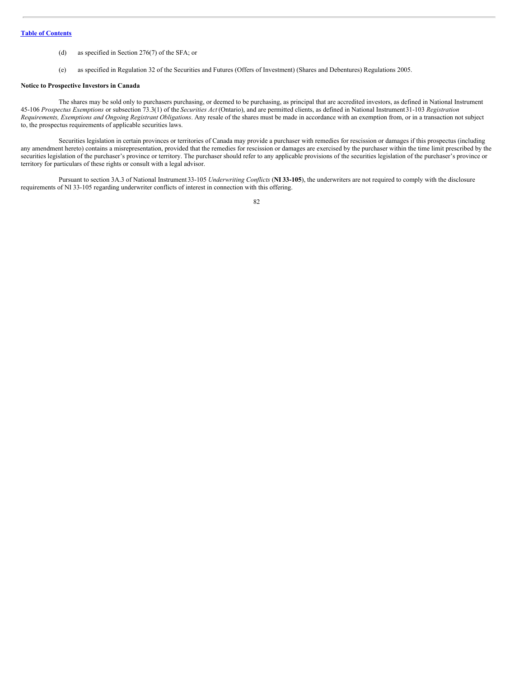- (d) as specified in Section 276(7) of the SFA; or
- (e) as specified in Regulation 32 of the Securities and Futures (Offers of Investment) (Shares and Debentures) Regulations 2005.

#### **Notice to Prospective Investors in Canada**

The shares may be sold only to purchasers purchasing, or deemed to be purchasing, as principal that are accredited investors, as defined in National Instrument 45-106 *Prospectus Exemptions* or subsection 73.3(1) of the *Securities Act* (Ontario), and are permitted clients, as defined in National Instrument31-103 *Registration Requirements, Exemptions and Ongoing Registrant Obligations*. Any resale of the shares must be made in accordance with an exemption from, or in a transaction not subject to, the prospectus requirements of applicable securities laws.

Securities legislation in certain provinces or territories of Canada may provide a purchaser with remedies for rescission or damages if this prospectus (including any amendment hereto) contains a misrepresentation, provided that the remedies for rescission or damages are exercised by the purchaser within the time limit prescribed by the securities legislation of the purchaser's province or territory. The purchaser should refer to any applicable provisions of the securities legislation of the purchaser's province or territory for particulars of these rights or consult with a legal advisor.

Pursuant to section 3A.3 of National Instrument 33-105 *Underwriting Conflicts* (**NI 33-105**), the underwriters are not required to comply with the disclosure requirements of NI 33-105 regarding underwriter conflicts of interest in connection with this offering.